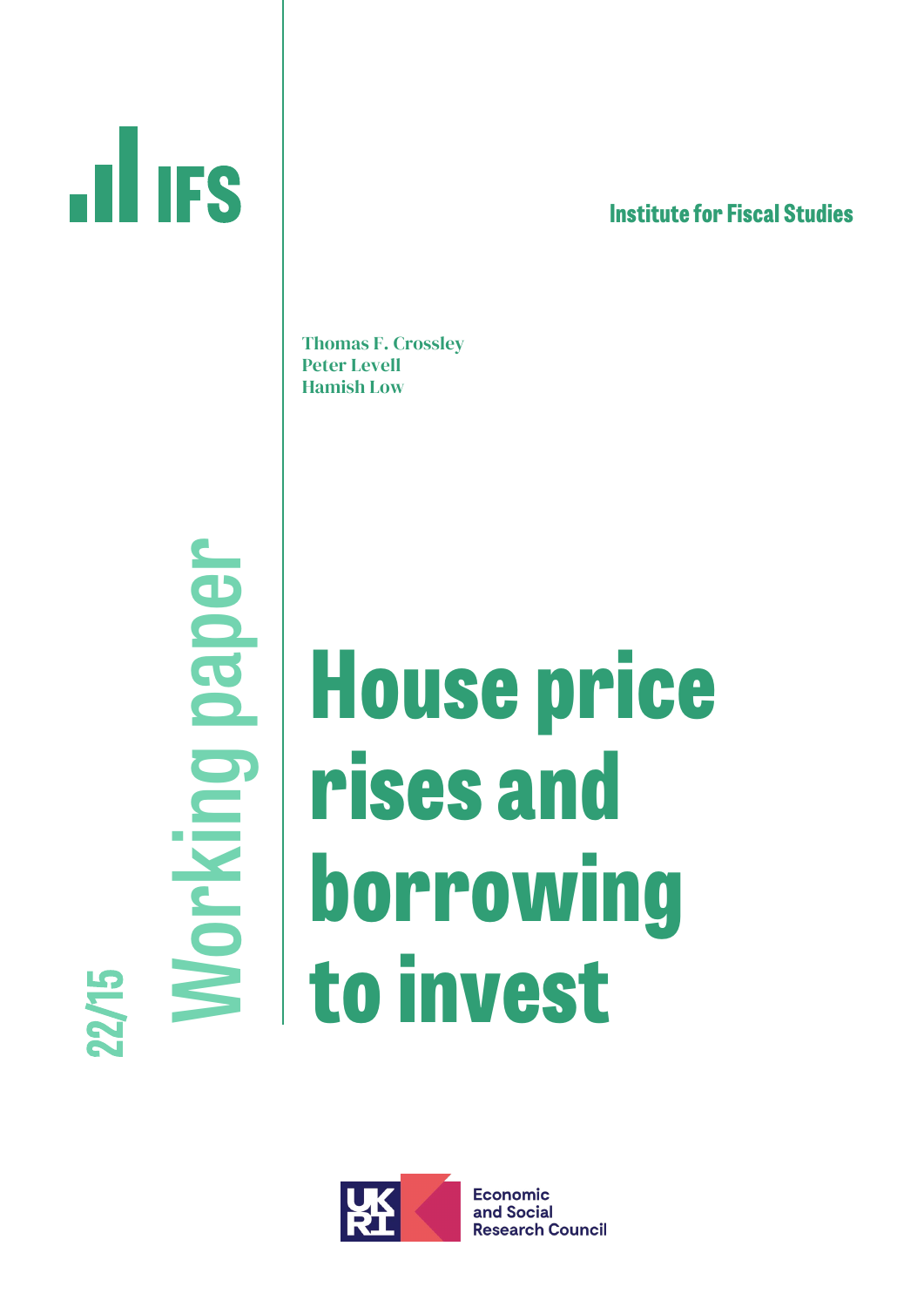# **THES**

**lnstitute for Fiscal Studies**

Thomas F. Crossley Peter Levell Hamish Low

**Working paper** Norking paper LQ  $\mathbf{z}$ **21** 

## **House price rises and borrowing to invest**



**Economic** and Social **Research Council**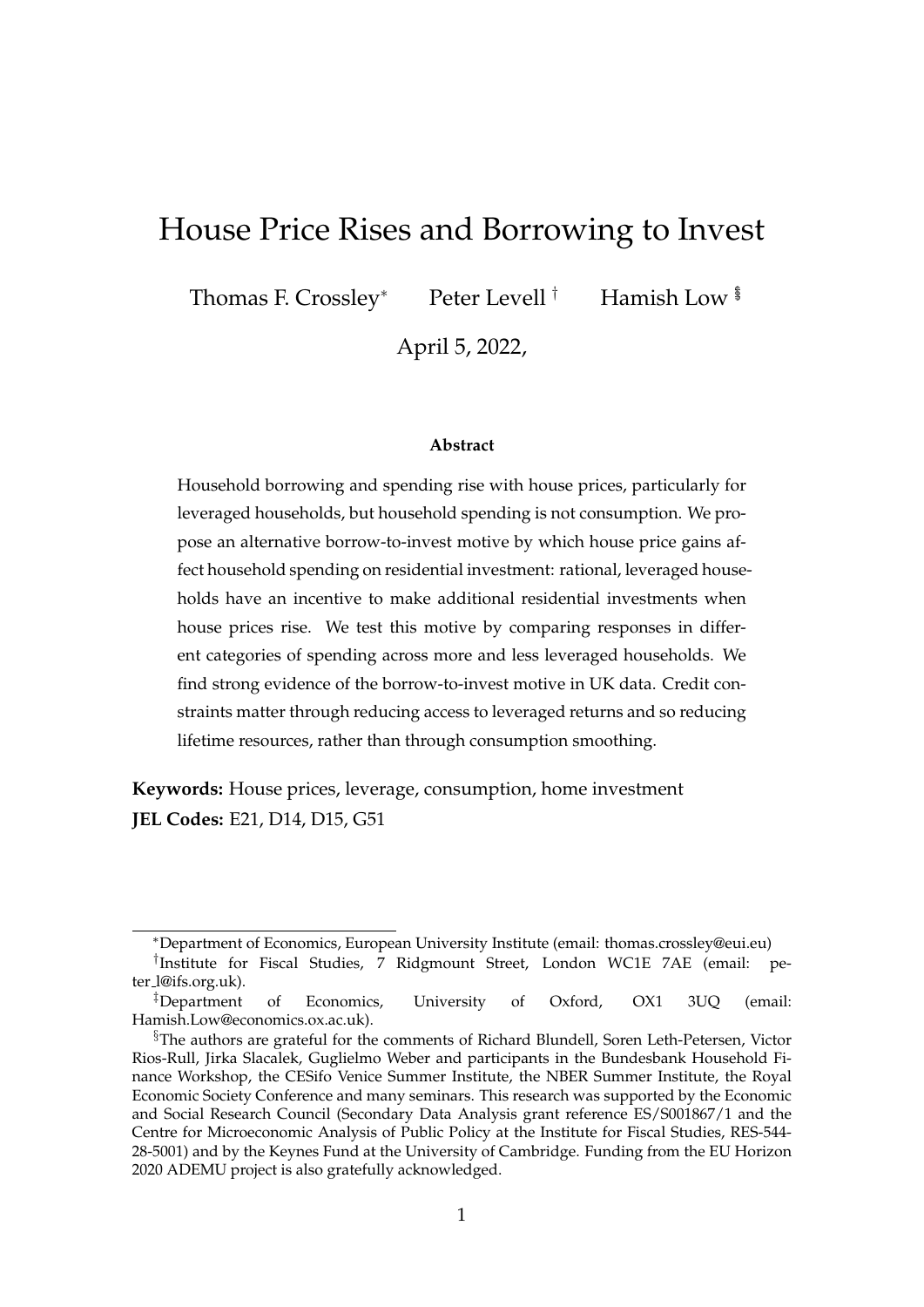## House Price Rises and Borrowing to Invest

Thomas F. Crossley<sup>∗</sup> Peter Levell<sup>†</sup> Hamish Low <sup>§</sup>

April 5, 2022,

#### **Abstract**

Household borrowing and spending rise with house prices, particularly for leveraged households, but household spending is not consumption. We propose an alternative borrow-to-invest motive by which house price gains affect household spending on residential investment: rational, leveraged households have an incentive to make additional residential investments when house prices rise. We test this motive by comparing responses in different categories of spending across more and less leveraged households. We find strong evidence of the borrow-to-invest motive in UK data. Credit constraints matter through reducing access to leveraged returns and so reducing lifetime resources, rather than through consumption smoothing.

**Keywords:** House prices, leverage, consumption, home investment **JEL Codes:** E21, D14, D15, G51

<sup>∗</sup>Department of Economics, European University Institute (email: thomas.crossley@eui.eu)

<sup>†</sup> Institute for Fiscal Studies, 7 Ridgmount Street, London WC1E 7AE (email: peter l@ifs.org.uk).

<sup>‡</sup>Department of Economics, University of Oxford, OX1 3UQ (email: Hamish.Low@economics.ox.ac.uk).

<sup>§</sup>The authors are grateful for the comments of Richard Blundell, Soren Leth-Petersen, Victor Rios-Rull, Jirka Slacalek, Guglielmo Weber and participants in the Bundesbank Household Finance Workshop, the CESifo Venice Summer Institute, the NBER Summer Institute, the Royal Economic Society Conference and many seminars. This research was supported by the Economic and Social Research Council (Secondary Data Analysis grant reference ES/S001867/1 and the Centre for Microeconomic Analysis of Public Policy at the Institute for Fiscal Studies, RES-544- 28-5001) and by the Keynes Fund at the University of Cambridge. Funding from the EU Horizon 2020 ADEMU project is also gratefully acknowledged.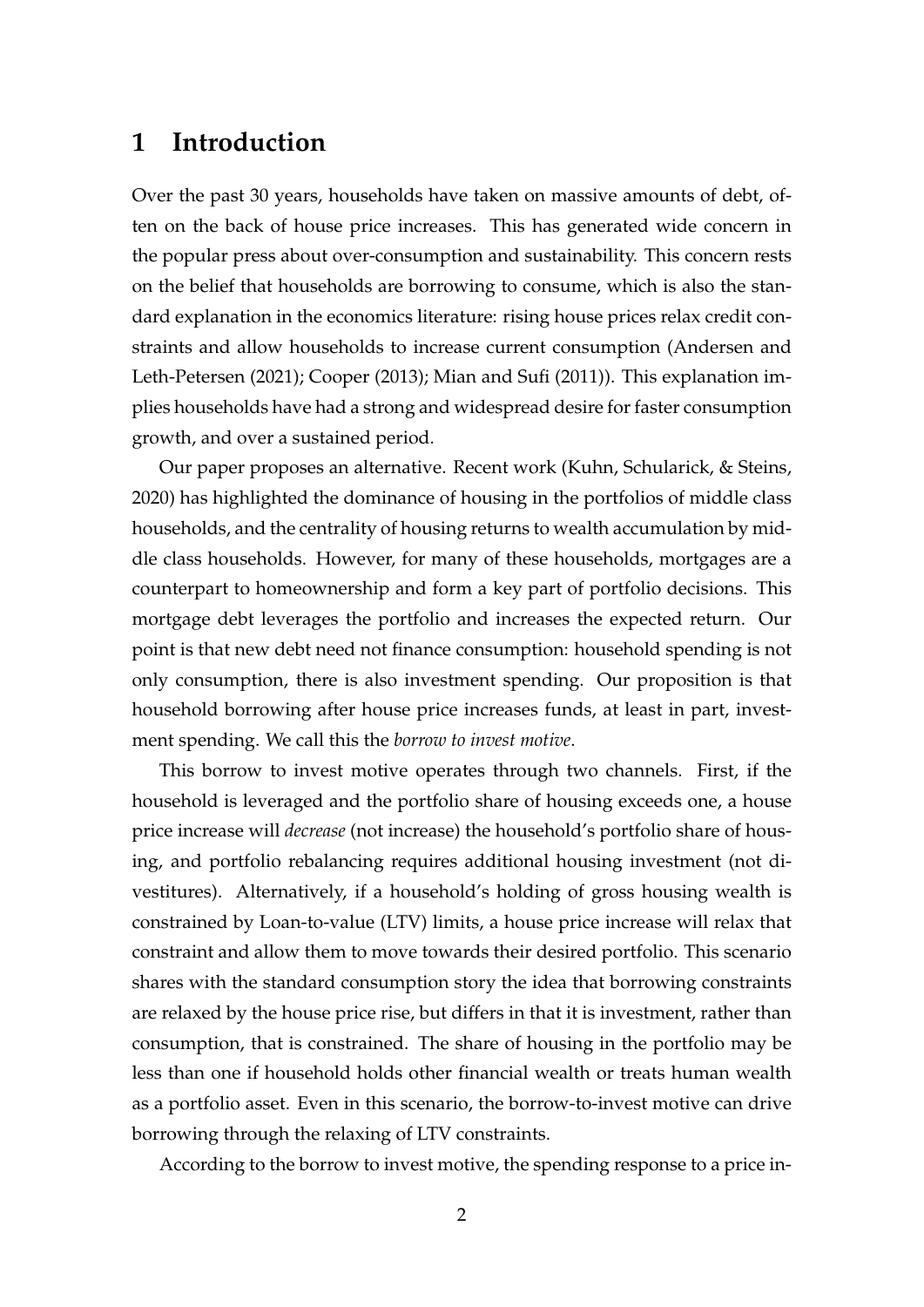## **1 Introduction**

Over the past 30 years, households have taken on massive amounts of debt, often on the back of house price increases. This has generated wide concern in the popular press about over-consumption and sustainability. This concern rests on the belief that households are borrowing to consume, which is also the standard explanation in the economics literature: rising house prices relax credit constraints and allow households to increase current consumption (Andersen and Leth-Petersen (2021); Cooper (2013); Mian and Sufi (2011)). This explanation implies households have had a strong and widespread desire for faster consumption growth, and over a sustained period.

Our paper proposes an alternative. Recent work (Kuhn, Schularick, & Steins, 2020) has highlighted the dominance of housing in the portfolios of middle class households, and the centrality of housing returns to wealth accumulation by middle class households. However, for many of these households, mortgages are a counterpart to homeownership and form a key part of portfolio decisions. This mortgage debt leverages the portfolio and increases the expected return. Our point is that new debt need not finance consumption: household spending is not only consumption, there is also investment spending. Our proposition is that household borrowing after house price increases funds, at least in part, investment spending. We call this the *borrow to invest motive*.

This borrow to invest motive operates through two channels. First, if the household is leveraged and the portfolio share of housing exceeds one, a house price increase will *decrease* (not increase) the household's portfolio share of housing, and portfolio rebalancing requires additional housing investment (not divestitures). Alternatively, if a household's holding of gross housing wealth is constrained by Loan-to-value (LTV) limits, a house price increase will relax that constraint and allow them to move towards their desired portfolio. This scenario shares with the standard consumption story the idea that borrowing constraints are relaxed by the house price rise, but differs in that it is investment, rather than consumption, that is constrained. The share of housing in the portfolio may be less than one if household holds other financial wealth or treats human wealth as a portfolio asset. Even in this scenario, the borrow-to-invest motive can drive borrowing through the relaxing of LTV constraints.

According to the borrow to invest motive, the spending response to a price in-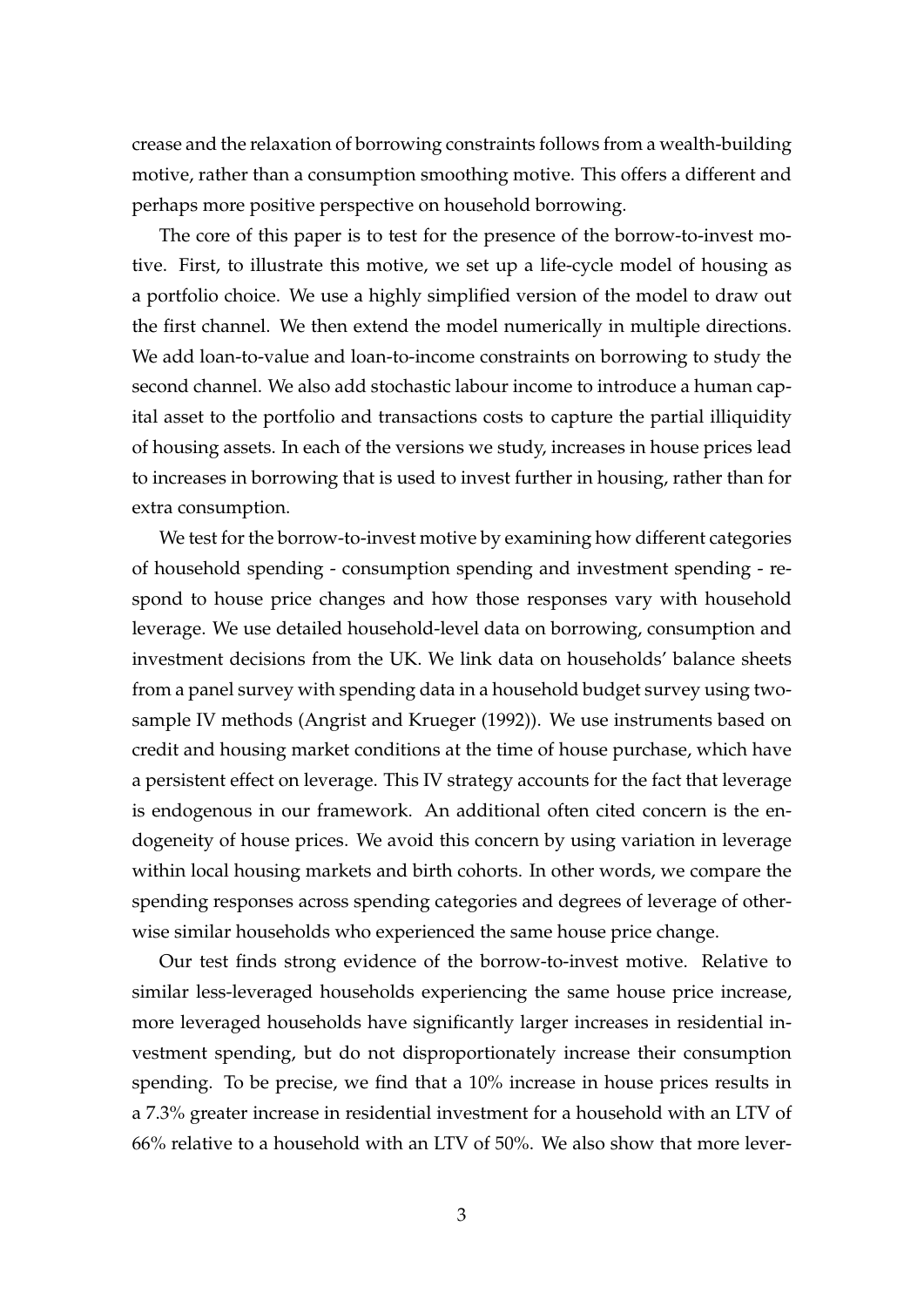crease and the relaxation of borrowing constraints follows from a wealth-building motive, rather than a consumption smoothing motive. This offers a different and perhaps more positive perspective on household borrowing.

The core of this paper is to test for the presence of the borrow-to-invest motive. First, to illustrate this motive, we set up a life-cycle model of housing as a portfolio choice. We use a highly simplified version of the model to draw out the first channel. We then extend the model numerically in multiple directions. We add loan-to-value and loan-to-income constraints on borrowing to study the second channel. We also add stochastic labour income to introduce a human capital asset to the portfolio and transactions costs to capture the partial illiquidity of housing assets. In each of the versions we study, increases in house prices lead to increases in borrowing that is used to invest further in housing, rather than for extra consumption.

We test for the borrow-to-invest motive by examining how different categories of household spending - consumption spending and investment spending - respond to house price changes and how those responses vary with household leverage. We use detailed household-level data on borrowing, consumption and investment decisions from the UK. We link data on households' balance sheets from a panel survey with spending data in a household budget survey using twosample IV methods (Angrist and Krueger (1992)). We use instruments based on credit and housing market conditions at the time of house purchase, which have a persistent effect on leverage. This IV strategy accounts for the fact that leverage is endogenous in our framework. An additional often cited concern is the endogeneity of house prices. We avoid this concern by using variation in leverage within local housing markets and birth cohorts. In other words, we compare the spending responses across spending categories and degrees of leverage of otherwise similar households who experienced the same house price change.

Our test finds strong evidence of the borrow-to-invest motive. Relative to similar less-leveraged households experiencing the same house price increase, more leveraged households have significantly larger increases in residential investment spending, but do not disproportionately increase their consumption spending. To be precise, we find that a 10% increase in house prices results in a 7.3% greater increase in residential investment for a household with an LTV of 66% relative to a household with an LTV of 50%. We also show that more lever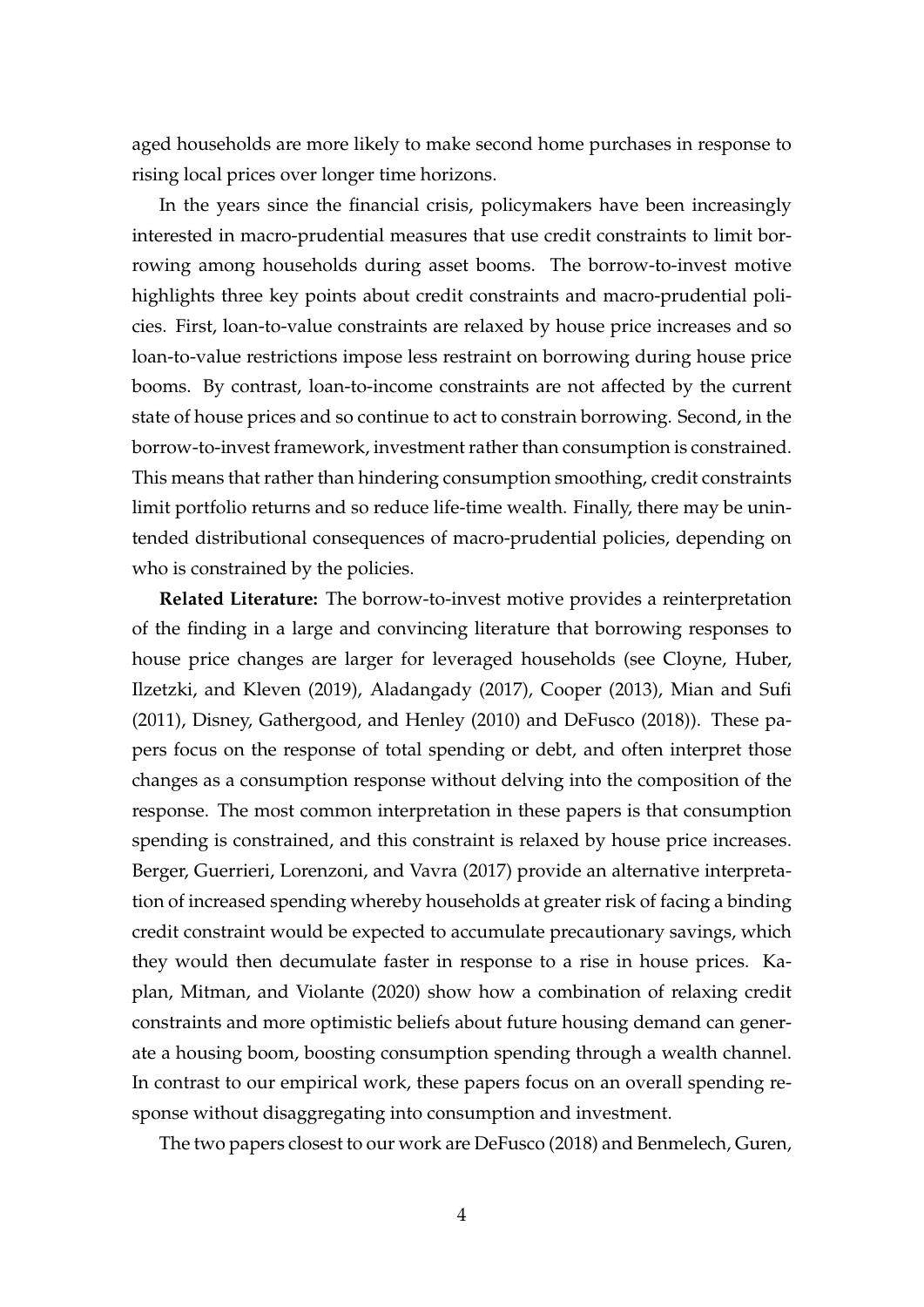aged households are more likely to make second home purchases in response to rising local prices over longer time horizons.

In the years since the financial crisis, policymakers have been increasingly interested in macro-prudential measures that use credit constraints to limit borrowing among households during asset booms. The borrow-to-invest motive highlights three key points about credit constraints and macro-prudential policies. First, loan-to-value constraints are relaxed by house price increases and so loan-to-value restrictions impose less restraint on borrowing during house price booms. By contrast, loan-to-income constraints are not affected by the current state of house prices and so continue to act to constrain borrowing. Second, in the borrow-to-invest framework, investment rather than consumption is constrained. This means that rather than hindering consumption smoothing, credit constraints limit portfolio returns and so reduce life-time wealth. Finally, there may be unintended distributional consequences of macro-prudential policies, depending on who is constrained by the policies.

**Related Literature:** The borrow-to-invest motive provides a reinterpretation of the finding in a large and convincing literature that borrowing responses to house price changes are larger for leveraged households (see Cloyne, Huber, Ilzetzki, and Kleven (2019), Aladangady (2017), Cooper (2013), Mian and Sufi (2011), Disney, Gathergood, and Henley (2010) and DeFusco (2018)). These papers focus on the response of total spending or debt, and often interpret those changes as a consumption response without delving into the composition of the response. The most common interpretation in these papers is that consumption spending is constrained, and this constraint is relaxed by house price increases. Berger, Guerrieri, Lorenzoni, and Vavra (2017) provide an alternative interpretation of increased spending whereby households at greater risk of facing a binding credit constraint would be expected to accumulate precautionary savings, which they would then decumulate faster in response to a rise in house prices. Kaplan, Mitman, and Violante (2020) show how a combination of relaxing credit constraints and more optimistic beliefs about future housing demand can generate a housing boom, boosting consumption spending through a wealth channel. In contrast to our empirical work, these papers focus on an overall spending response without disaggregating into consumption and investment.

The two papers closest to our work are DeFusco (2018) and Benmelech, Guren,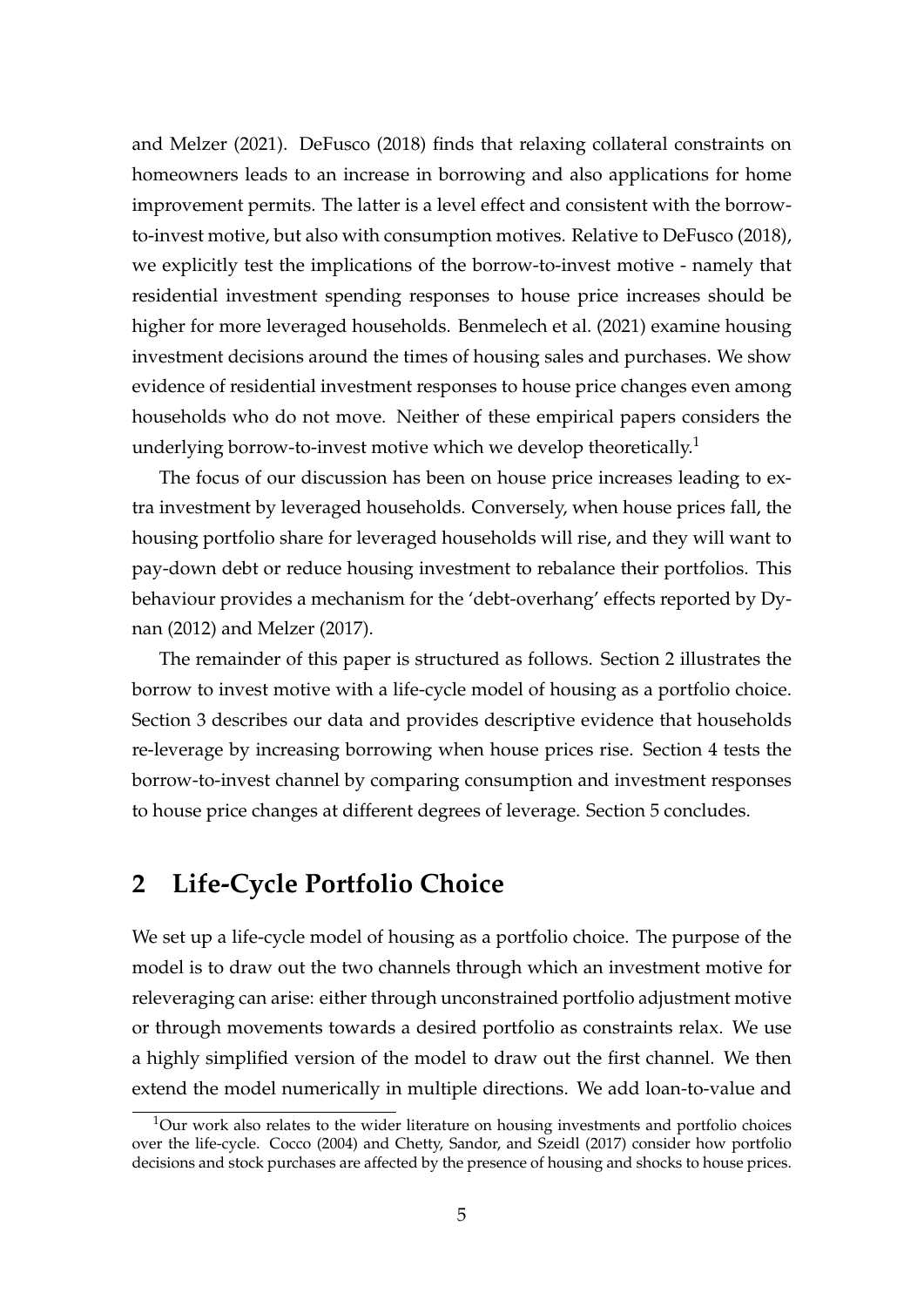and Melzer (2021). DeFusco (2018) finds that relaxing collateral constraints on homeowners leads to an increase in borrowing and also applications for home improvement permits. The latter is a level effect and consistent with the borrowto-invest motive, but also with consumption motives. Relative to DeFusco (2018), we explicitly test the implications of the borrow-to-invest motive - namely that residential investment spending responses to house price increases should be higher for more leveraged households. Benmelech et al. (2021) examine housing investment decisions around the times of housing sales and purchases. We show evidence of residential investment responses to house price changes even among households who do not move. Neither of these empirical papers considers the underlying borrow-to-invest motive which we develop theoretically.<sup>1</sup>

The focus of our discussion has been on house price increases leading to extra investment by leveraged households. Conversely, when house prices fall, the housing portfolio share for leveraged households will rise, and they will want to pay-down debt or reduce housing investment to rebalance their portfolios. This behaviour provides a mechanism for the 'debt-overhang' effects reported by Dynan (2012) and Melzer (2017).

The remainder of this paper is structured as follows. Section 2 illustrates the borrow to invest motive with a life-cycle model of housing as a portfolio choice. Section 3 describes our data and provides descriptive evidence that households re-leverage by increasing borrowing when house prices rise. Section 4 tests the borrow-to-invest channel by comparing consumption and investment responses to house price changes at different degrees of leverage. Section 5 concludes.

## **2 Life-Cycle Portfolio Choice**

We set up a life-cycle model of housing as a portfolio choice. The purpose of the model is to draw out the two channels through which an investment motive for releveraging can arise: either through unconstrained portfolio adjustment motive or through movements towards a desired portfolio as constraints relax. We use a highly simplified version of the model to draw out the first channel. We then extend the model numerically in multiple directions. We add loan-to-value and

 $1$ Our work also relates to the wider literature on housing investments and portfolio choices over the life-cycle. Cocco (2004) and Chetty, Sandor, and Szeidl (2017) consider how portfolio decisions and stock purchases are affected by the presence of housing and shocks to house prices.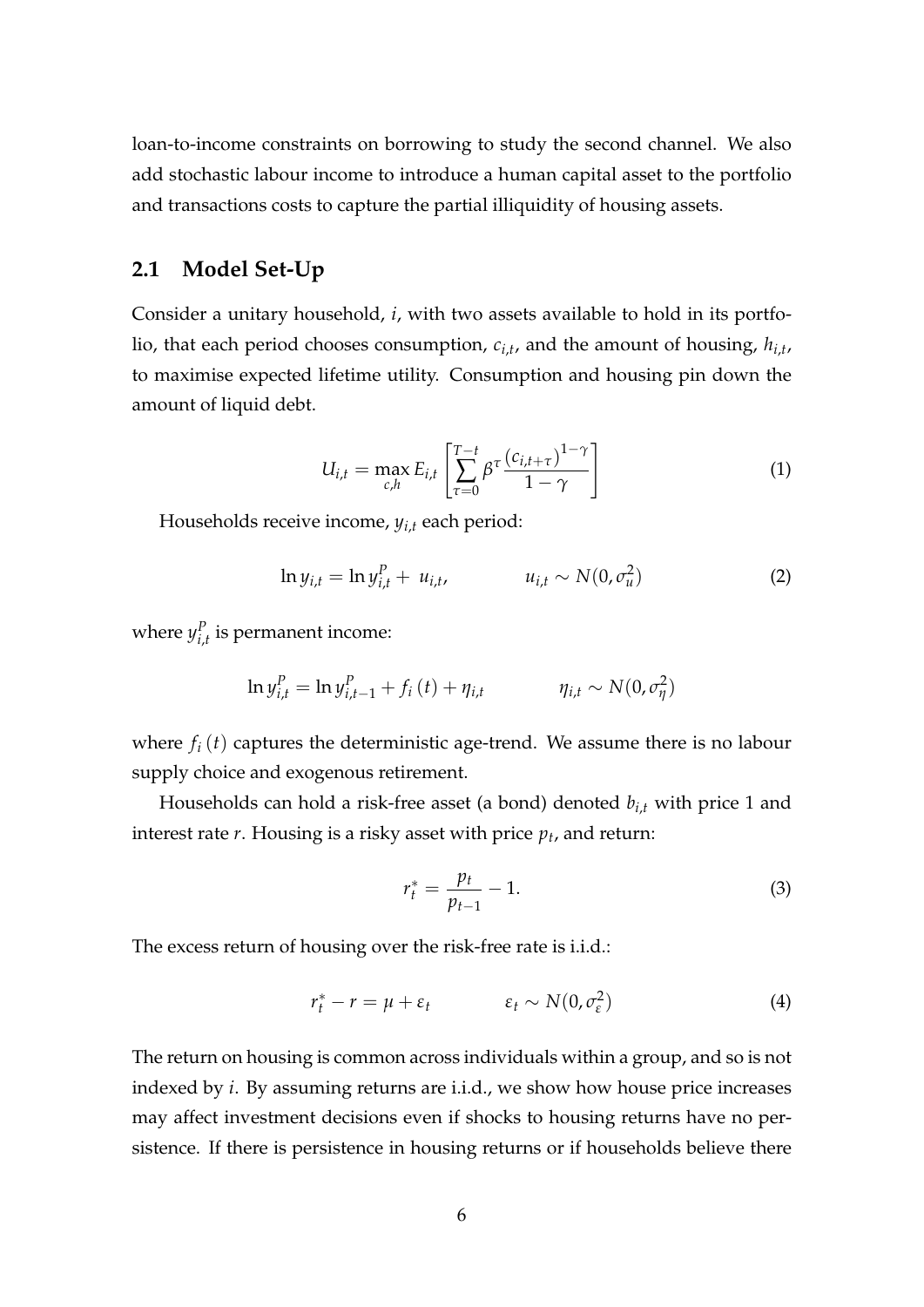loan-to-income constraints on borrowing to study the second channel. We also add stochastic labour income to introduce a human capital asset to the portfolio and transactions costs to capture the partial illiquidity of housing assets.

#### **2.1 Model Set-Up**

Consider a unitary household, *i*, with two assets available to hold in its portfolio, that each period chooses consumption, *ci*,*<sup>t</sup>* , and the amount of housing, *hi*,*<sup>t</sup>* , to maximise expected lifetime utility. Consumption and housing pin down the amount of liquid debt.

$$
U_{i,t} = \max_{c,h} E_{i,t} \left[ \sum_{\tau=0}^{T-t} \beta^{\tau} \frac{(c_{i,t+\tau})^{1-\gamma}}{1-\gamma} \right]
$$
(1)

Households receive income, *yi*,*<sup>t</sup>* each period:

$$
\ln y_{i,t} = \ln y_{i,t}^P + u_{i,t}, \qquad u_{i,t} \sim N(0, \sigma_u^2)
$$
 (2)

where  $y^P_i$  $I_{i,t}^P$  is permanent income:

$$
\ln y_{i,t}^P = \ln y_{i,t-1}^P + f_i(t) + \eta_{i,t} \qquad \eta_{i,t} \sim N(0, \sigma_\eta^2)
$$

where  $f_i(t)$  captures the deterministic age-trend. We assume there is no labour supply choice and exogenous retirement.

Households can hold a risk-free asset (a bond) denoted *bi*,*<sup>t</sup>* with price 1 and interest rate *r*. Housing is a risky asset with price *p<sup>t</sup>* , and return:

$$
r_t^* = \frac{p_t}{p_{t-1}} - 1.
$$
\n(3)

The excess return of housing over the risk-free rate is i.i.d.:

$$
r_t^* - r = \mu + \varepsilon_t \qquad \qquad \varepsilon_t \sim N(0, \sigma_{\varepsilon}^2) \tag{4}
$$

The return on housing is common across individuals within a group, and so is not indexed by *i*. By assuming returns are i.i.d., we show how house price increases may affect investment decisions even if shocks to housing returns have no persistence. If there is persistence in housing returns or if households believe there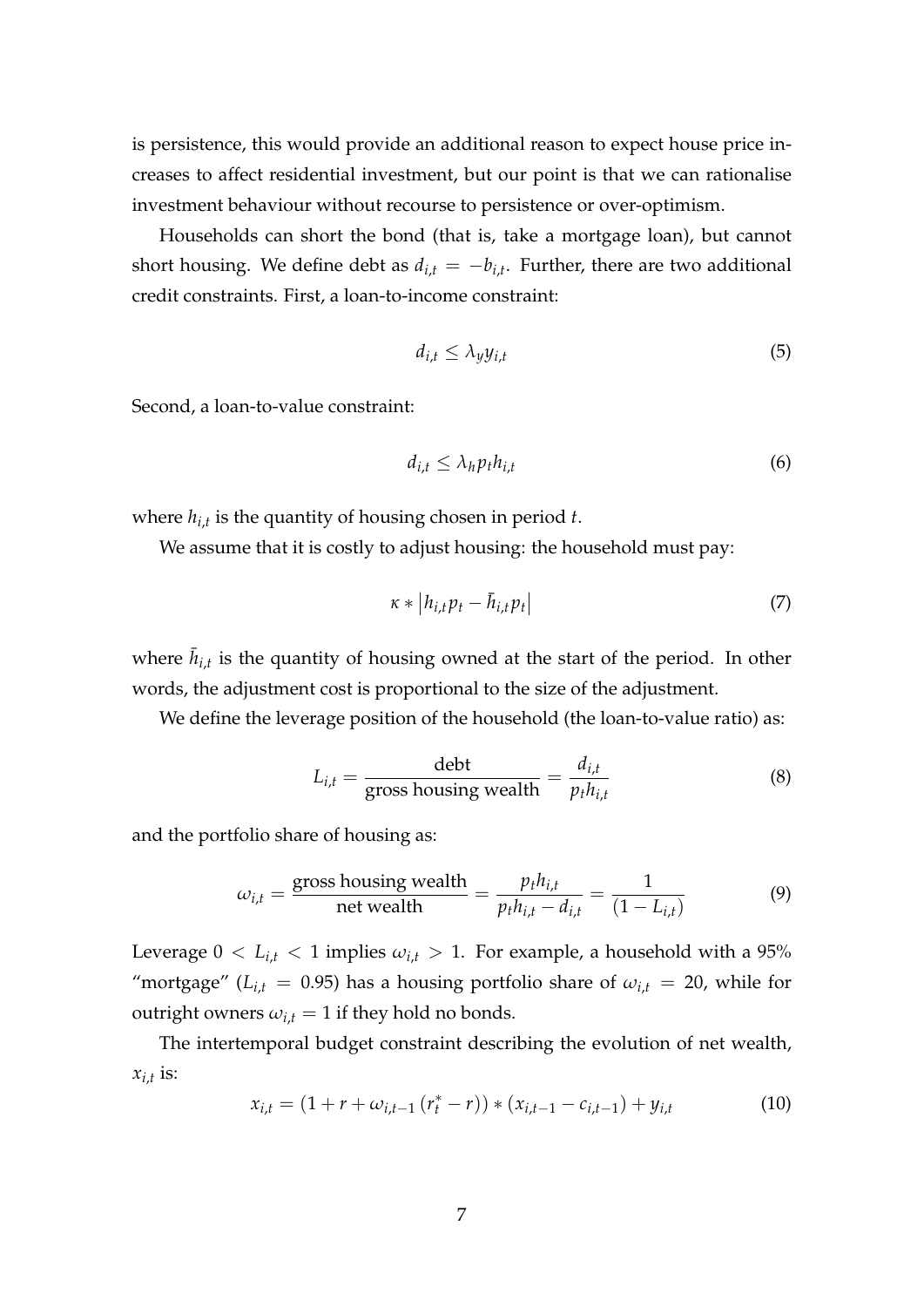is persistence, this would provide an additional reason to expect house price increases to affect residential investment, but our point is that we can rationalise investment behaviour without recourse to persistence or over-optimism.

Households can short the bond (that is, take a mortgage loan), but cannot short housing. We define debt as  $d_{i,t} = -b_{i,t}$ . Further, there are two additional credit constraints. First, a loan-to-income constraint:

$$
d_{i,t} \le \lambda_y y_{i,t} \tag{5}
$$

Second, a loan-to-value constraint:

$$
d_{i,t} \leq \lambda_h p_t h_{i,t} \tag{6}
$$

where *hi*,*<sup>t</sup>* is the quantity of housing chosen in period *t*.

We assume that it is costly to adjust housing: the household must pay:

$$
\kappa * |h_{i,t}p_t - \bar{h}_{i,t}p_t|
$$
\n<sup>(7)</sup>

where  $\bar{h}_{i,t}$  is the quantity of housing owned at the start of the period. In other words, the adjustment cost is proportional to the size of the adjustment.

We define the leverage position of the household (the loan-to-value ratio) as:

$$
L_{i,t} = \frac{\text{debt}}{\text{gross housing wealth}} = \frac{d_{i,t}}{p_t h_{i,t}} \tag{8}
$$

and the portfolio share of housing as:

$$
\omega_{i,t} = \frac{\text{gross housing wealth}}{\text{net wealth}} = \frac{p_t h_{i,t}}{p_t h_{i,t} - d_{i,t}} = \frac{1}{(1 - L_{i,t})}
$$
(9)

Leverage  $0 < L_{i,t} < 1$  implies  $\omega_{i,t} > 1$ . For example, a household with a 95% "mortgage" ( $L_{i,t}$  = 0.95) has a housing portfolio share of  $\omega_{i,t}$  = 20, while for outright owners  $\omega_{i,t} = 1$  if they hold no bonds.

The intertemporal budget constraint describing the evolution of net wealth,  $x_{i,t}$  is:

$$
x_{i,t} = (1 + r + \omega_{i,t-1} (r_t^* - r)) * (x_{i,t-1} - c_{i,t-1}) + y_{i,t}
$$
 (10)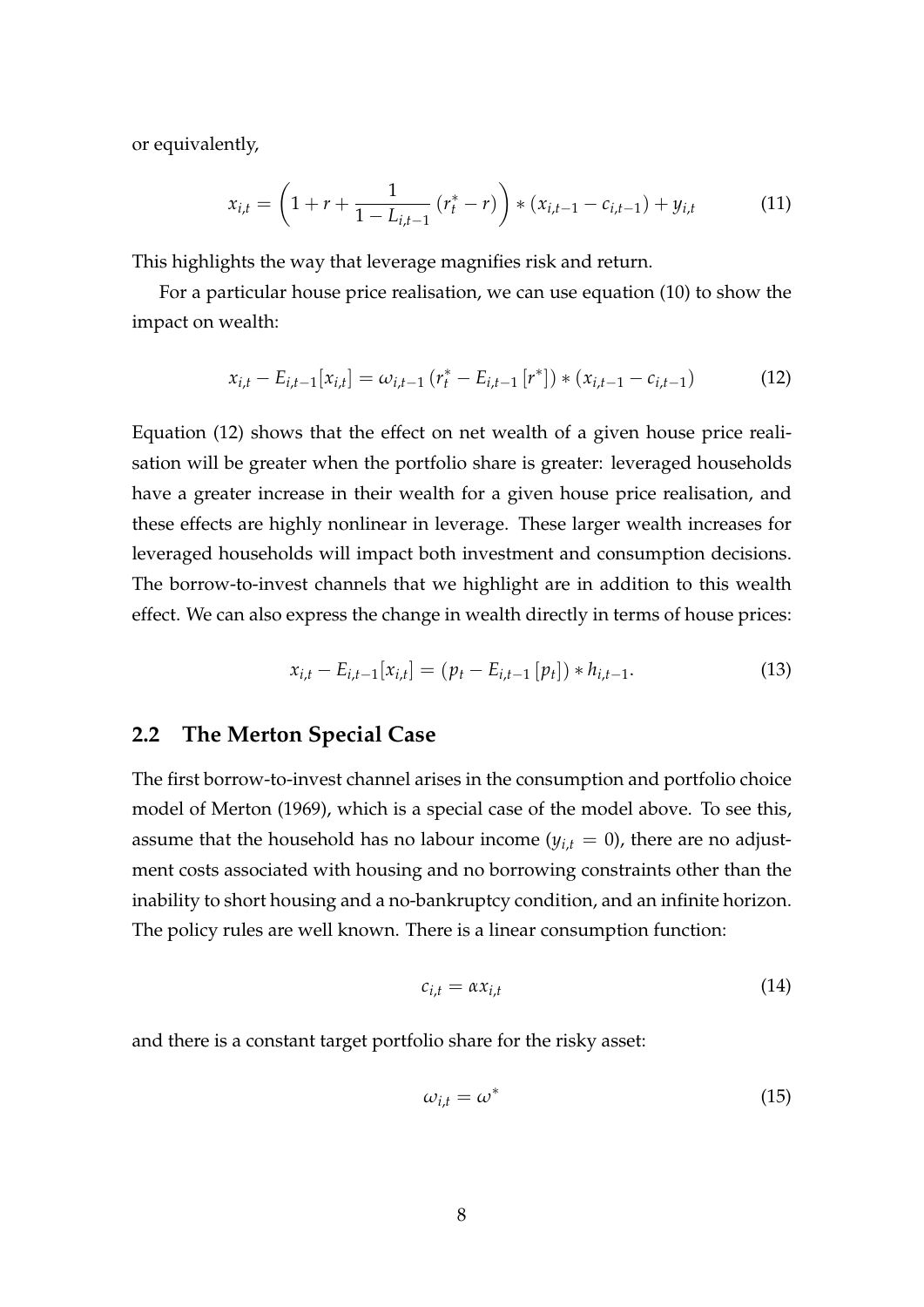or equivalently,

$$
x_{i,t} = \left(1 + r + \frac{1}{1 - L_{i,t-1}} \left(r_t^* - r\right)\right) * \left(x_{i,t-1} - c_{i,t-1}\right) + y_{i,t} \tag{11}
$$

This highlights the way that leverage magnifies risk and return.

For a particular house price realisation, we can use equation (10) to show the impact on wealth:

$$
x_{i,t} - E_{i,t-1}[x_{i,t}] = \omega_{i,t-1} (r_t^* - E_{i,t-1}[r^*]) * (x_{i,t-1} - c_{i,t-1})
$$
(12)

Equation (12) shows that the effect on net wealth of a given house price realisation will be greater when the portfolio share is greater: leveraged households have a greater increase in their wealth for a given house price realisation, and these effects are highly nonlinear in leverage. These larger wealth increases for leveraged households will impact both investment and consumption decisions. The borrow-to-invest channels that we highlight are in addition to this wealth effect. We can also express the change in wealth directly in terms of house prices:

$$
x_{i,t} - E_{i,t-1}[x_{i,t}] = (p_t - E_{i,t-1}[p_t]) * h_{i,t-1}.
$$
\n(13)

#### **2.2 The Merton Special Case**

The first borrow-to-invest channel arises in the consumption and portfolio choice model of Merton (1969), which is a special case of the model above. To see this, assume that the household has no labour income  $(y_{i,t} = 0)$ , there are no adjustment costs associated with housing and no borrowing constraints other than the inability to short housing and a no-bankruptcy condition, and an infinite horizon. The policy rules are well known. There is a linear consumption function:

$$
c_{i,t} = \alpha x_{i,t} \tag{14}
$$

and there is a constant target portfolio share for the risky asset:

$$
\omega_{i,t} = \omega^* \tag{15}
$$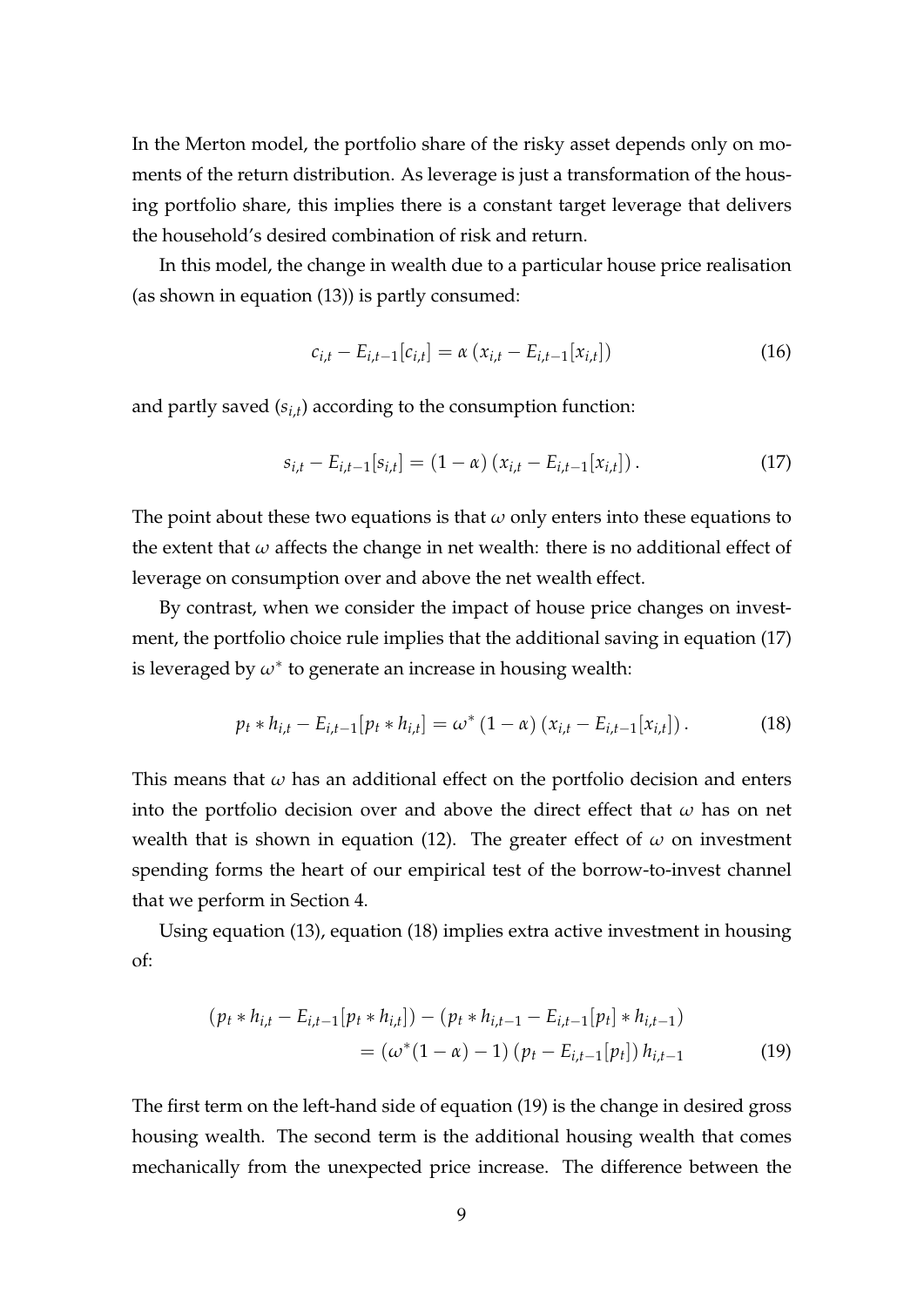In the Merton model, the portfolio share of the risky asset depends only on moments of the return distribution. As leverage is just a transformation of the housing portfolio share, this implies there is a constant target leverage that delivers the household's desired combination of risk and return.

In this model, the change in wealth due to a particular house price realisation (as shown in equation (13)) is partly consumed:

$$
c_{i,t} - E_{i,t-1}[c_{i,t}] = \alpha (x_{i,t} - E_{i,t-1}[x_{i,t}])
$$
\n(16)

and partly saved (*si*,*<sup>t</sup>* ) according to the consumption function:

$$
s_{i,t} - E_{i,t-1}[s_{i,t}] = (1 - \alpha) (x_{i,t} - E_{i,t-1}[x_{i,t}]). \qquad (17)
$$

The point about these two equations is that  $\omega$  only enters into these equations to the extent that  $\omega$  affects the change in net wealth: there is no additional effect of leverage on consumption over and above the net wealth effect.

By contrast, when we consider the impact of house price changes on investment, the portfolio choice rule implies that the additional saving in equation (17) is leveraged by  $\omega^*$  to generate an increase in housing wealth:

$$
p_t * h_{i,t} - E_{i,t-1}[p_t * h_{i,t}] = \omega^* (1 - \alpha) (x_{i,t} - E_{i,t-1}[x_{i,t}]).
$$
 (18)

This means that *ω* has an additional effect on the portfolio decision and enters into the portfolio decision over and above the direct effect that *ω* has on net wealth that is shown in equation (12). The greater effect of *ω* on investment spending forms the heart of our empirical test of the borrow-to-invest channel that we perform in Section 4.

Using equation (13), equation (18) implies extra active investment in housing of:

$$
(p_t * h_{i,t} - E_{i,t-1}[p_t * h_{i,t}]) - (p_t * h_{i,t-1} - E_{i,t-1}[p_t] * h_{i,t-1})
$$
  
= 
$$
(\omega^*(1 - \alpha) - 1) (p_t - E_{i,t-1}[p_t]) h_{i,t-1}
$$
 (19)

The first term on the left-hand side of equation (19) is the change in desired gross housing wealth. The second term is the additional housing wealth that comes mechanically from the unexpected price increase. The difference between the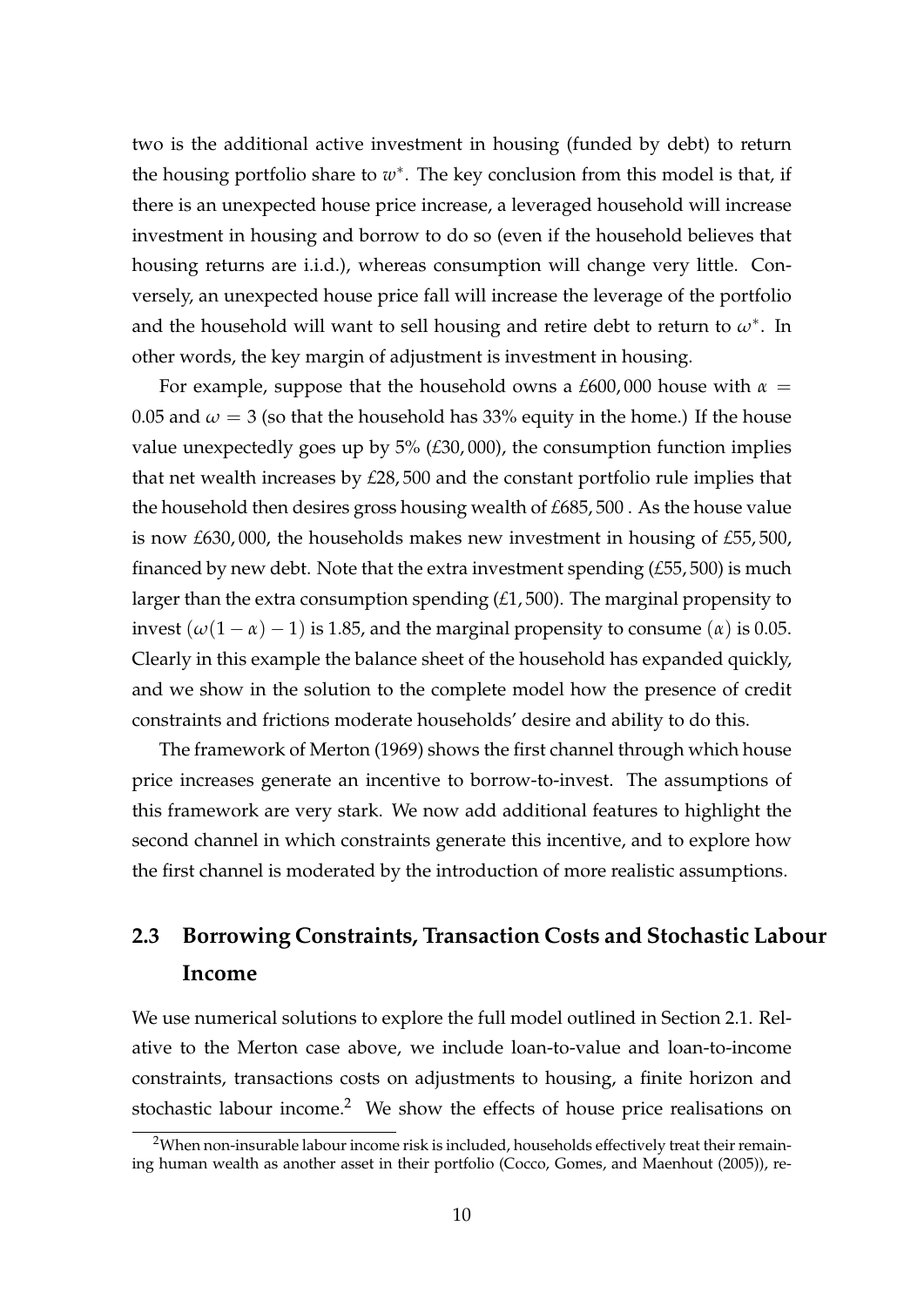two is the additional active investment in housing (funded by debt) to return the housing portfolio share to  $w^*$ . The key conclusion from this model is that, if there is an unexpected house price increase, a leveraged household will increase investment in housing and borrow to do so (even if the household believes that housing returns are i.i.d.), whereas consumption will change very little. Conversely, an unexpected house price fall will increase the leverage of the portfolio and the household will want to sell housing and retire debt to return to  $\omega^*$ . In other words, the key margin of adjustment is investment in housing.

For example, suppose that the household owns a  $£600,000$  house with  $\alpha =$ 0.05 and  $\omega = 3$  (so that the household has 33% equity in the home.) If the house value unexpectedly goes up by 5% (*£*30, 000), the consumption function implies that net wealth increases by *£*28, 500 and the constant portfolio rule implies that the household then desires gross housing wealth of *£*685, 500 . As the house value is now *£*630, 000, the households makes new investment in housing of *£*55, 500, financed by new debt. Note that the extra investment spending (*£*55, 500) is much larger than the extra consumption spending (*£*1, 500). The marginal propensity to invest  $(\omega(1 - \alpha) - 1)$  is 1.85, and the marginal propensity to consume  $(\alpha)$  is 0.05. Clearly in this example the balance sheet of the household has expanded quickly, and we show in the solution to the complete model how the presence of credit constraints and frictions moderate households' desire and ability to do this.

The framework of Merton (1969) shows the first channel through which house price increases generate an incentive to borrow-to-invest. The assumptions of this framework are very stark. We now add additional features to highlight the second channel in which constraints generate this incentive, and to explore how the first channel is moderated by the introduction of more realistic assumptions.

## **2.3 Borrowing Constraints, Transaction Costs and Stochastic Labour Income**

We use numerical solutions to explore the full model outlined in Section 2.1. Relative to the Merton case above, we include loan-to-value and loan-to-income constraints, transactions costs on adjustments to housing, a finite horizon and stochastic labour income.<sup>2</sup> We show the effects of house price realisations on

<sup>&</sup>lt;sup>2</sup>When non-insurable labour income risk is included, households effectively treat their remaining human wealth as another asset in their portfolio (Cocco, Gomes, and Maenhout (2005)), re-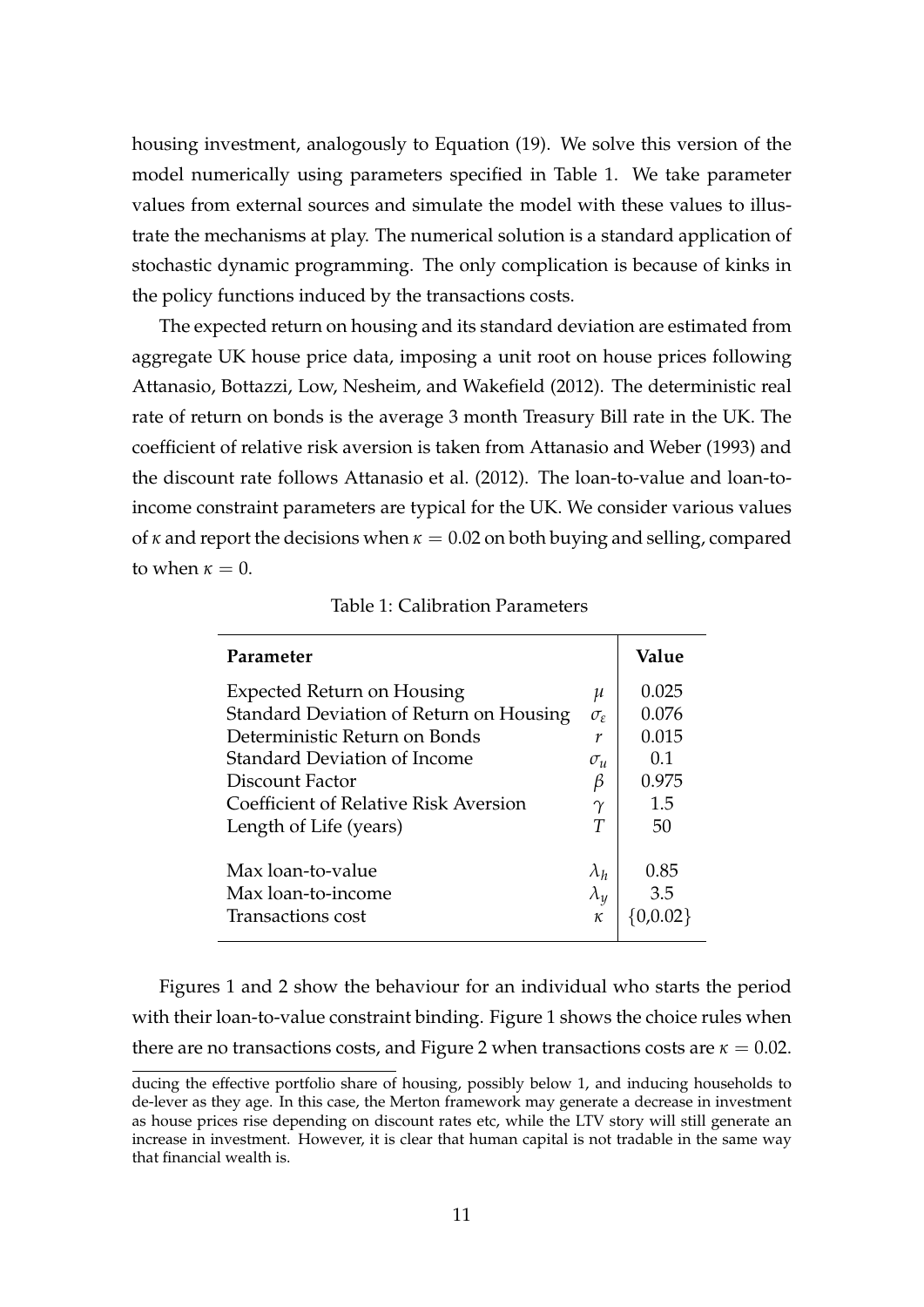housing investment, analogously to Equation (19). We solve this version of the model numerically using parameters specified in Table 1. We take parameter values from external sources and simulate the model with these values to illustrate the mechanisms at play. The numerical solution is a standard application of stochastic dynamic programming. The only complication is because of kinks in the policy functions induced by the transactions costs.

The expected return on housing and its standard deviation are estimated from aggregate UK house price data, imposing a unit root on house prices following Attanasio, Bottazzi, Low, Nesheim, and Wakefield (2012). The deterministic real rate of return on bonds is the average 3 month Treasury Bill rate in the UK. The coefficient of relative risk aversion is taken from Attanasio and Weber (1993) and the discount rate follows Attanasio et al. (2012). The loan-to-value and loan-toincome constraint parameters are typical for the UK. We consider various values of  $\kappa$  and report the decisions when  $\kappa = 0.02$  on both buying and selling, compared to when  $\kappa = 0$ .

| Parameter                                                                    |                       | Value          |
|------------------------------------------------------------------------------|-----------------------|----------------|
| <b>Expected Return on Housing</b><br>Standard Deviation of Return on Housing | μ<br>$\sigma_{\rm s}$ | 0.025<br>0.076 |
| Deterministic Return on Bonds                                                | r                     | 0.015          |
| Standard Deviation of Income<br>Discount Factor                              | $\sigma_u$<br>B       | 0.1<br>0.975   |
| Coefficient of Relative Risk Aversion                                        | $\gamma$              | 1.5            |
| Length of Life (years)                                                       | T                     | 50             |
| Max loan-to-value                                                            | $\lambda_h$           | 0.85           |
| Max loan-to-income                                                           | $\lambda_y$           | 3.5            |
| Transactions cost                                                            | к                     |                |

Table 1: Calibration Parameters

Figures 1 and 2 show the behaviour for an individual who starts the period with their loan-to-value constraint binding. Figure 1 shows the choice rules when there are no transactions costs, and Figure 2 when transactions costs are  $\kappa = 0.02$ .

ducing the effective portfolio share of housing, possibly below 1, and inducing households to de-lever as they age. In this case, the Merton framework may generate a decrease in investment as house prices rise depending on discount rates etc, while the LTV story will still generate an increase in investment. However, it is clear that human capital is not tradable in the same way that financial wealth is.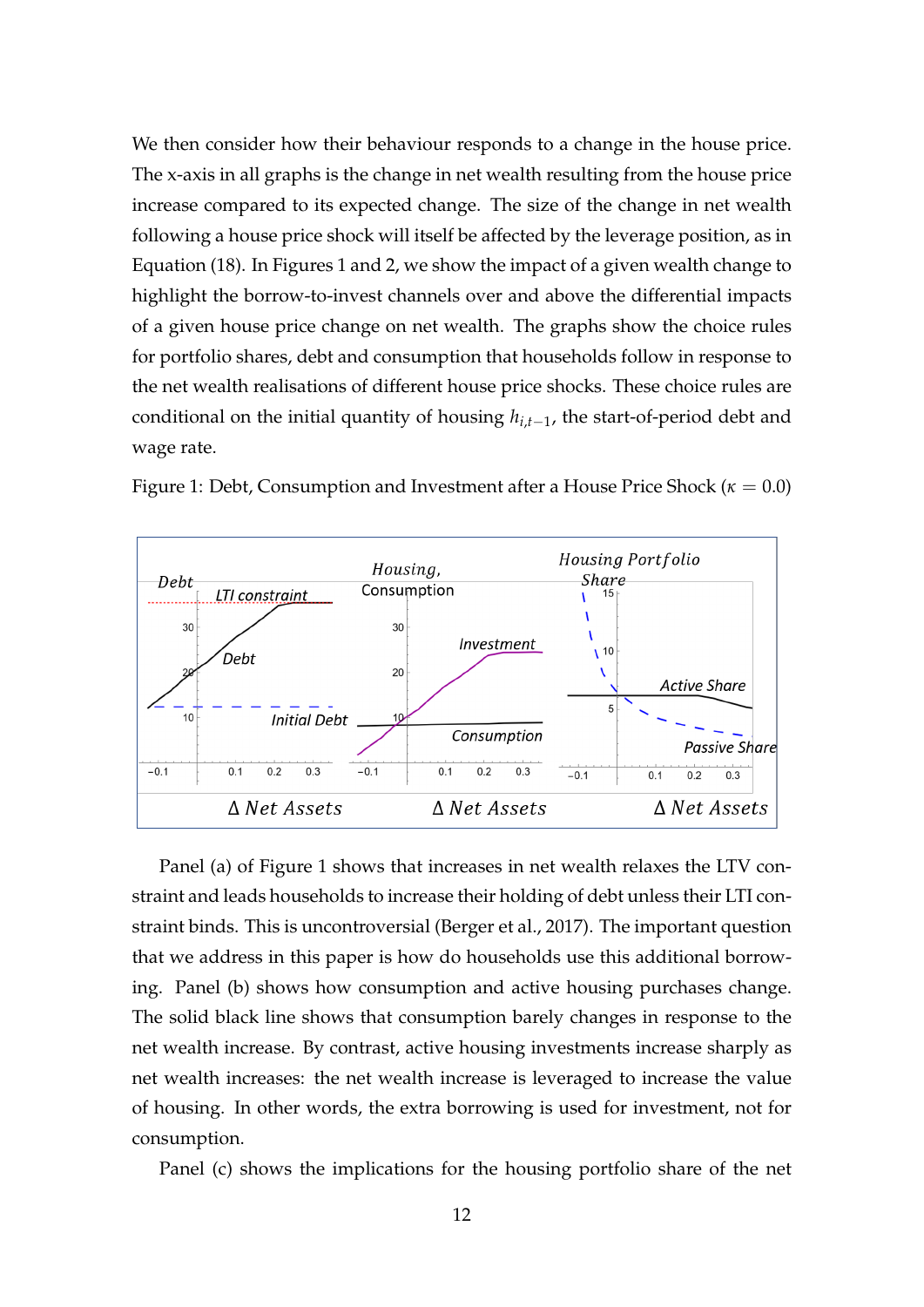We then consider how their behaviour responds to a change in the house price. The x-axis in all graphs is the change in net wealth resulting from the house price increase compared to its expected change. The size of the change in net wealth following a house price shock will itself be affected by the leverage position, as in Equation (18). In Figures 1 and 2, we show the impact of a given wealth change to highlight the borrow-to-invest channels over and above the differential impacts of a given house price change on net wealth. The graphs show the choice rules for portfolio shares, debt and consumption that households follow in response to the net wealth realisations of different house price shocks. These choice rules are conditional on the initial quantity of housing *hi*,*t*−<sup>1</sup> , the start-of-period debt and wage rate.



Figure 1: Debt, Consumption and Investment after a House Price Shock (*κ* = 0.0)

Panel (a) of Figure 1 shows that increases in net wealth relaxes the LTV constraint and leads households to increase their holding of debt unless their LTI constraint binds. This is uncontroversial (Berger et al., 2017). The important question that we address in this paper is how do households use this additional borrowing. Panel (b) shows how consumption and active housing purchases change. The solid black line shows that consumption barely changes in response to the net wealth increase. By contrast, active housing investments increase sharply as net wealth increases: the net wealth increase is leveraged to increase the value of housing. In other words, the extra borrowing is used for investment, not for consumption.

Panel (c) shows the implications for the housing portfolio share of the net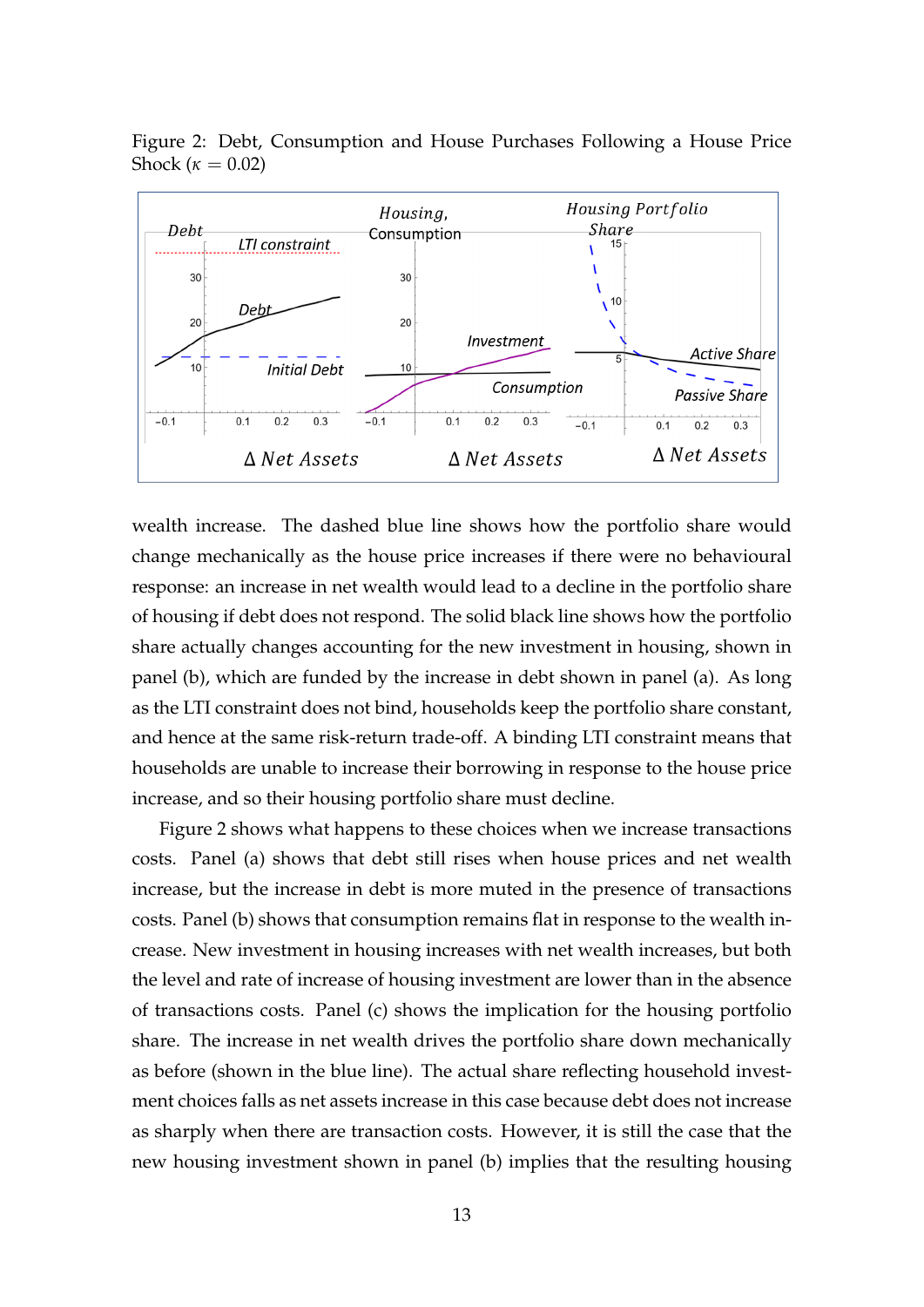

Figure 2: Debt, Consumption and House Purchases Following a House Price Shock ( $\kappa = 0.02$ )

wealth increase. The dashed blue line shows how the portfolio share would change mechanically as the house price increases if there were no behavioural response: an increase in net wealth would lead to a decline in the portfolio share of housing if debt does not respond. The solid black line shows how the portfolio share actually changes accounting for the new investment in housing, shown in panel (b), which are funded by the increase in debt shown in panel (a). As long as the LTI constraint does not bind, households keep the portfolio share constant, and hence at the same risk-return trade-off. A binding LTI constraint means that households are unable to increase their borrowing in response to the house price increase, and so their housing portfolio share must decline.

Figure 2 shows what happens to these choices when we increase transactions costs. Panel (a) shows that debt still rises when house prices and net wealth increase, but the increase in debt is more muted in the presence of transactions costs. Panel (b) shows that consumption remains flat in response to the wealth increase. New investment in housing increases with net wealth increases, but both the level and rate of increase of housing investment are lower than in the absence of transactions costs. Panel (c) shows the implication for the housing portfolio share. The increase in net wealth drives the portfolio share down mechanically as before (shown in the blue line). The actual share reflecting household investment choices falls as net assets increase in this case because debt does not increase as sharply when there are transaction costs. However, it is still the case that the new housing investment shown in panel (b) implies that the resulting housing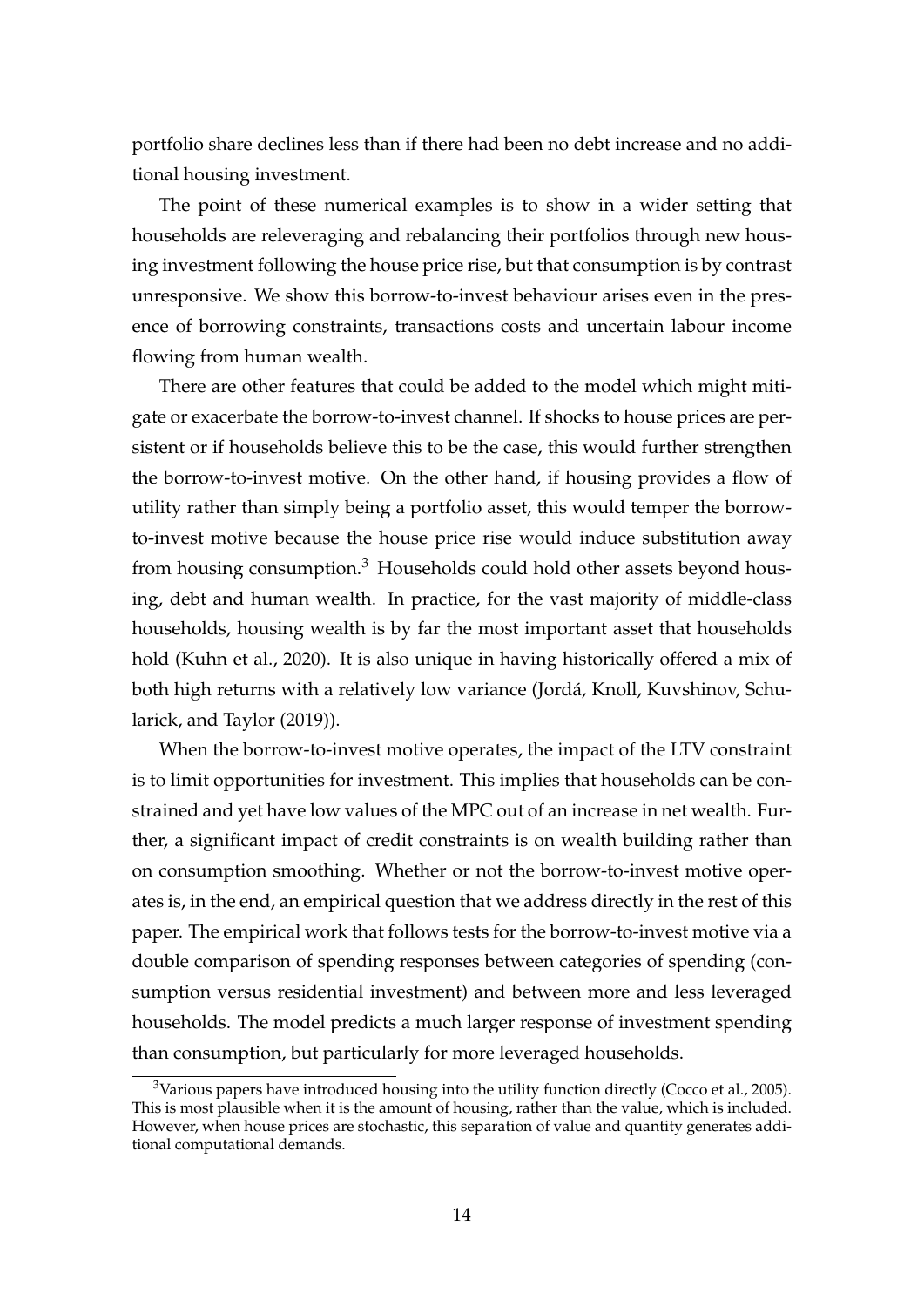portfolio share declines less than if there had been no debt increase and no additional housing investment.

The point of these numerical examples is to show in a wider setting that households are releveraging and rebalancing their portfolios through new housing investment following the house price rise, but that consumption is by contrast unresponsive. We show this borrow-to-invest behaviour arises even in the presence of borrowing constraints, transactions costs and uncertain labour income flowing from human wealth.

There are other features that could be added to the model which might mitigate or exacerbate the borrow-to-invest channel. If shocks to house prices are persistent or if households believe this to be the case, this would further strengthen the borrow-to-invest motive. On the other hand, if housing provides a flow of utility rather than simply being a portfolio asset, this would temper the borrowto-invest motive because the house price rise would induce substitution away from housing consumption.<sup>3</sup> Households could hold other assets beyond housing, debt and human wealth. In practice, for the vast majority of middle-class households, housing wealth is by far the most important asset that households hold (Kuhn et al., 2020). It is also unique in having historically offered a mix of both high returns with a relatively low variance (Jordá, Knoll, Kuvshinov, Schularick, and Taylor (2019)).

When the borrow-to-invest motive operates, the impact of the LTV constraint is to limit opportunities for investment. This implies that households can be constrained and yet have low values of the MPC out of an increase in net wealth. Further, a significant impact of credit constraints is on wealth building rather than on consumption smoothing. Whether or not the borrow-to-invest motive operates is, in the end, an empirical question that we address directly in the rest of this paper. The empirical work that follows tests for the borrow-to-invest motive via a double comparison of spending responses between categories of spending (consumption versus residential investment) and between more and less leveraged households. The model predicts a much larger response of investment spending than consumption, but particularly for more leveraged households.

 $3$ Various papers have introduced housing into the utility function directly (Cocco et al., 2005). This is most plausible when it is the amount of housing, rather than the value, which is included. However, when house prices are stochastic, this separation of value and quantity generates additional computational demands.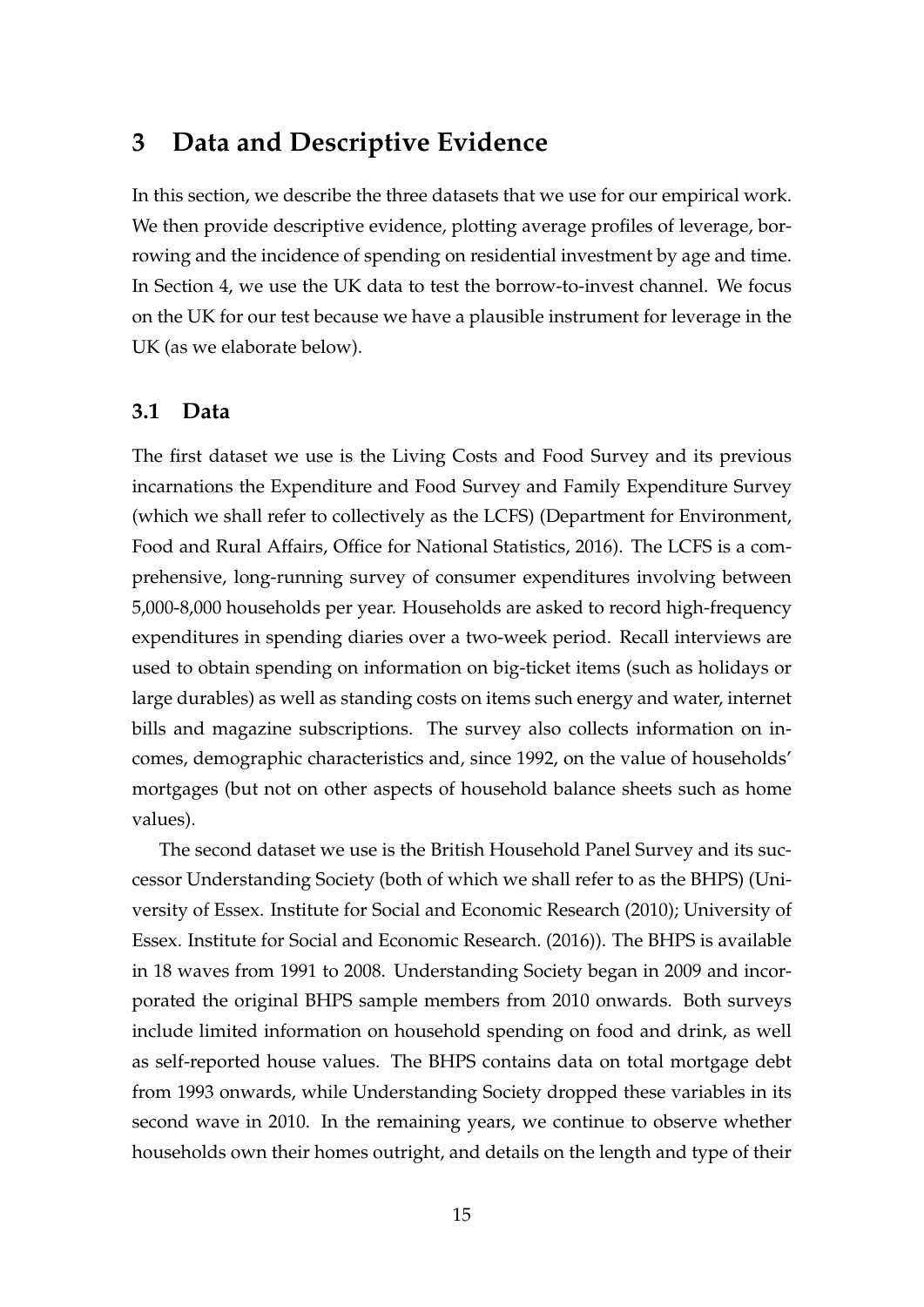## **3 Data and Descriptive Evidence**

In this section, we describe the three datasets that we use for our empirical work. We then provide descriptive evidence, plotting average profiles of leverage, borrowing and the incidence of spending on residential investment by age and time. In Section 4, we use the UK data to test the borrow-to-invest channel. We focus on the UK for our test because we have a plausible instrument for leverage in the UK (as we elaborate below).

#### **3.1 Data**

The first dataset we use is the Living Costs and Food Survey and its previous incarnations the Expenditure and Food Survey and Family Expenditure Survey (which we shall refer to collectively as the LCFS) (Department for Environment, Food and Rural Affairs, Office for National Statistics, 2016). The LCFS is a comprehensive, long-running survey of consumer expenditures involving between 5,000-8,000 households per year. Households are asked to record high-frequency expenditures in spending diaries over a two-week period. Recall interviews are used to obtain spending on information on big-ticket items (such as holidays or large durables) as well as standing costs on items such energy and water, internet bills and magazine subscriptions. The survey also collects information on incomes, demographic characteristics and, since 1992, on the value of households' mortgages (but not on other aspects of household balance sheets such as home values).

The second dataset we use is the British Household Panel Survey and its successor Understanding Society (both of which we shall refer to as the BHPS) (University of Essex. Institute for Social and Economic Research (2010); University of Essex. Institute for Social and Economic Research. (2016)). The BHPS is available in 18 waves from 1991 to 2008. Understanding Society began in 2009 and incorporated the original BHPS sample members from 2010 onwards. Both surveys include limited information on household spending on food and drink, as well as self-reported house values. The BHPS contains data on total mortgage debt from 1993 onwards, while Understanding Society dropped these variables in its second wave in 2010. In the remaining years, we continue to observe whether households own their homes outright, and details on the length and type of their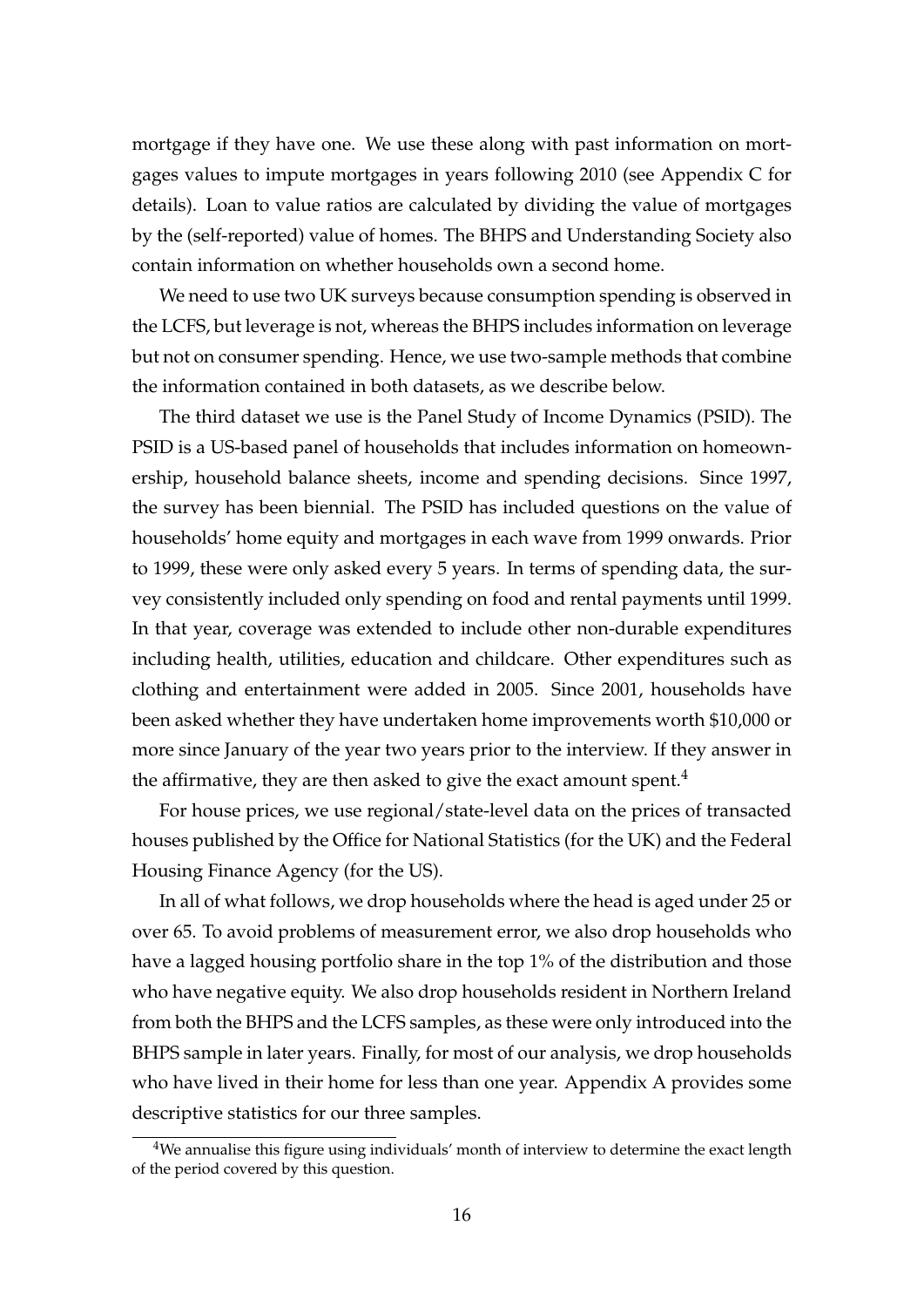mortgage if they have one. We use these along with past information on mortgages values to impute mortgages in years following 2010 (see Appendix C for details). Loan to value ratios are calculated by dividing the value of mortgages by the (self-reported) value of homes. The BHPS and Understanding Society also contain information on whether households own a second home.

We need to use two UK surveys because consumption spending is observed in the LCFS, but leverage is not, whereas the BHPS includes information on leverage but not on consumer spending. Hence, we use two-sample methods that combine the information contained in both datasets, as we describe below.

The third dataset we use is the Panel Study of Income Dynamics (PSID). The PSID is a US-based panel of households that includes information on homeownership, household balance sheets, income and spending decisions. Since 1997, the survey has been biennial. The PSID has included questions on the value of households' home equity and mortgages in each wave from 1999 onwards. Prior to 1999, these were only asked every 5 years. In terms of spending data, the survey consistently included only spending on food and rental payments until 1999. In that year, coverage was extended to include other non-durable expenditures including health, utilities, education and childcare. Other expenditures such as clothing and entertainment were added in 2005. Since 2001, households have been asked whether they have undertaken home improvements worth \$10,000 or more since January of the year two years prior to the interview. If they answer in the affirmative, they are then asked to give the exact amount spent. $4$ 

For house prices, we use regional/state-level data on the prices of transacted houses published by the Office for National Statistics (for the UK) and the Federal Housing Finance Agency (for the US).

In all of what follows, we drop households where the head is aged under 25 or over 65. To avoid problems of measurement error, we also drop households who have a lagged housing portfolio share in the top 1% of the distribution and those who have negative equity. We also drop households resident in Northern Ireland from both the BHPS and the LCFS samples, as these were only introduced into the BHPS sample in later years. Finally, for most of our analysis, we drop households who have lived in their home for less than one year. Appendix A provides some descriptive statistics for our three samples.

<sup>&</sup>lt;sup>4</sup>We annualise this figure using individuals' month of interview to determine the exact length of the period covered by this question.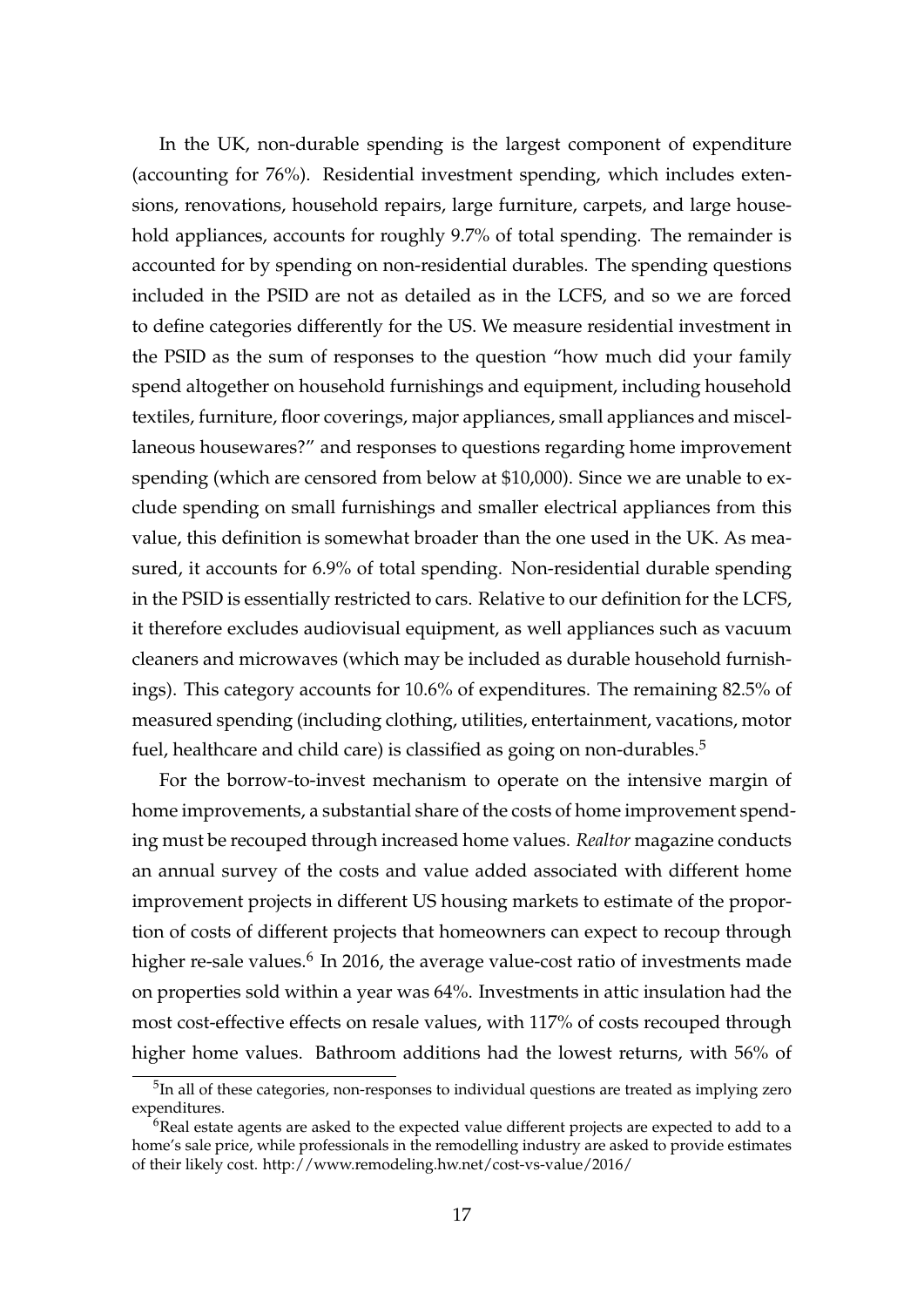In the UK, non-durable spending is the largest component of expenditure (accounting for 76%). Residential investment spending, which includes extensions, renovations, household repairs, large furniture, carpets, and large household appliances, accounts for roughly 9.7% of total spending. The remainder is accounted for by spending on non-residential durables. The spending questions included in the PSID are not as detailed as in the LCFS, and so we are forced to define categories differently for the US. We measure residential investment in the PSID as the sum of responses to the question "how much did your family spend altogether on household furnishings and equipment, including household textiles, furniture, floor coverings, major appliances, small appliances and miscellaneous housewares?" and responses to questions regarding home improvement spending (which are censored from below at \$10,000). Since we are unable to exclude spending on small furnishings and smaller electrical appliances from this value, this definition is somewhat broader than the one used in the UK. As measured, it accounts for 6.9% of total spending. Non-residential durable spending in the PSID is essentially restricted to cars. Relative to our definition for the LCFS, it therefore excludes audiovisual equipment, as well appliances such as vacuum cleaners and microwaves (which may be included as durable household furnishings). This category accounts for 10.6% of expenditures. The remaining 82.5% of measured spending (including clothing, utilities, entertainment, vacations, motor fuel, healthcare and child care) is classified as going on non-durables.<sup>5</sup>

For the borrow-to-invest mechanism to operate on the intensive margin of home improvements, a substantial share of the costs of home improvement spending must be recouped through increased home values. *Realtor* magazine conducts an annual survey of the costs and value added associated with different home improvement projects in different US housing markets to estimate of the proportion of costs of different projects that homeowners can expect to recoup through higher re-sale values.<sup>6</sup> In 2016, the average value-cost ratio of investments made on properties sold within a year was 64%. Investments in attic insulation had the most cost-effective effects on resale values, with 117% of costs recouped through higher home values. Bathroom additions had the lowest returns, with 56% of

 $5$ In all of these categories, non-responses to individual questions are treated as implying zero expenditures.

 $6$ Real estate agents are asked to the expected value different projects are expected to add to a home's sale price, while professionals in the remodelling industry are asked to provide estimates of their likely cost. http://www.remodeling.hw.net/cost-vs-value/2016/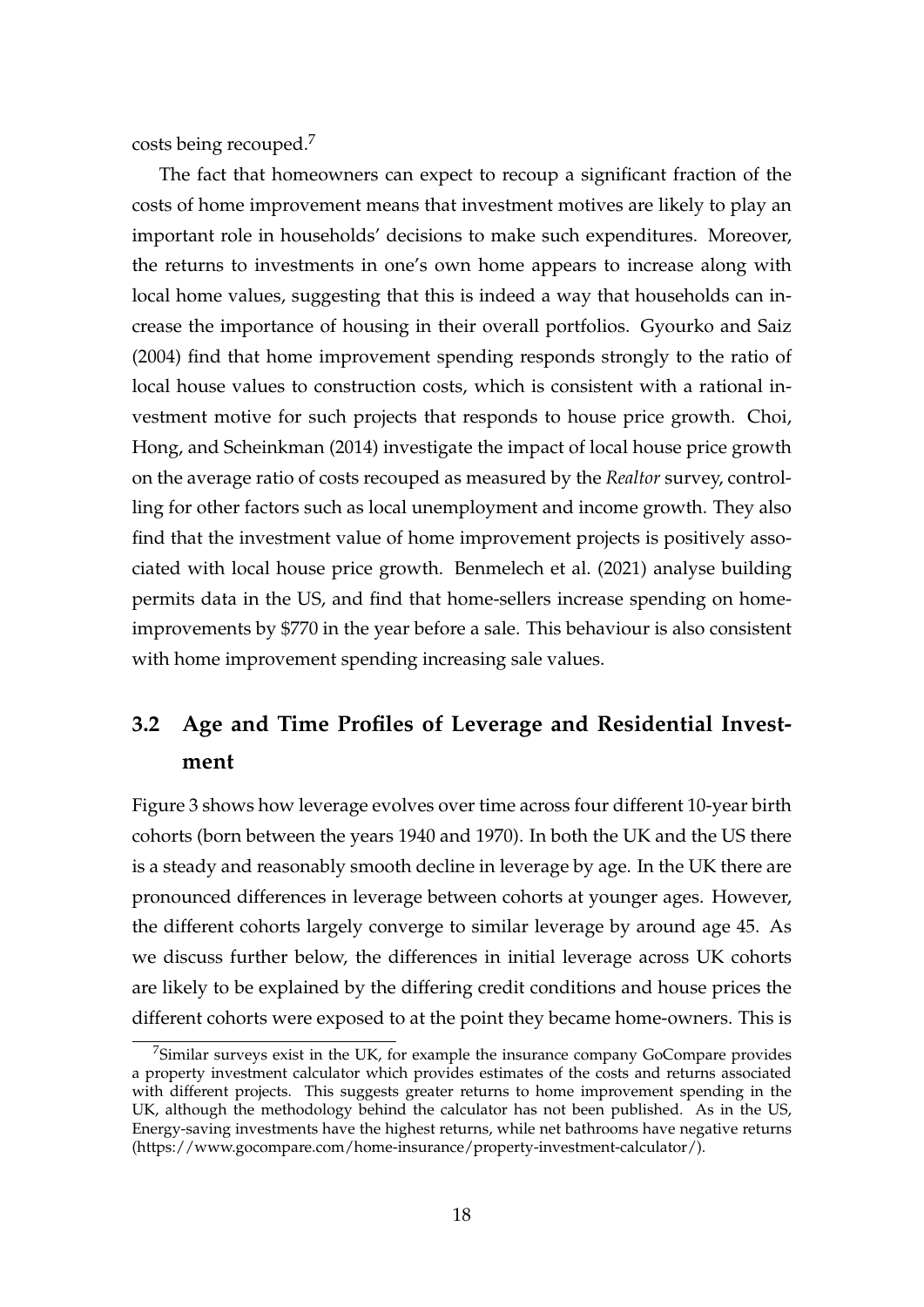costs being recouped.<sup>7</sup>

The fact that homeowners can expect to recoup a significant fraction of the costs of home improvement means that investment motives are likely to play an important role in households' decisions to make such expenditures. Moreover, the returns to investments in one's own home appears to increase along with local home values, suggesting that this is indeed a way that households can increase the importance of housing in their overall portfolios. Gyourko and Saiz (2004) find that home improvement spending responds strongly to the ratio of local house values to construction costs, which is consistent with a rational investment motive for such projects that responds to house price growth. Choi, Hong, and Scheinkman (2014) investigate the impact of local house price growth on the average ratio of costs recouped as measured by the *Realtor* survey, controlling for other factors such as local unemployment and income growth. They also find that the investment value of home improvement projects is positively associated with local house price growth. Benmelech et al. (2021) analyse building permits data in the US, and find that home-sellers increase spending on homeimprovements by \$770 in the year before a sale. This behaviour is also consistent with home improvement spending increasing sale values.

## **3.2 Age and Time Profiles of Leverage and Residential Investment**

Figure 3 shows how leverage evolves over time across four different 10-year birth cohorts (born between the years 1940 and 1970). In both the UK and the US there is a steady and reasonably smooth decline in leverage by age. In the UK there are pronounced differences in leverage between cohorts at younger ages. However, the different cohorts largely converge to similar leverage by around age 45. As we discuss further below, the differences in initial leverage across UK cohorts are likely to be explained by the differing credit conditions and house prices the different cohorts were exposed to at the point they became home-owners. This is

<sup>7</sup>Similar surveys exist in the UK, for example the insurance company GoCompare provides a property investment calculator which provides estimates of the costs and returns associated with different projects. This suggests greater returns to home improvement spending in the UK, although the methodology behind the calculator has not been published. As in the US, Energy-saving investments have the highest returns, while net bathrooms have negative returns (https://www.gocompare.com/home-insurance/property-investment-calculator/).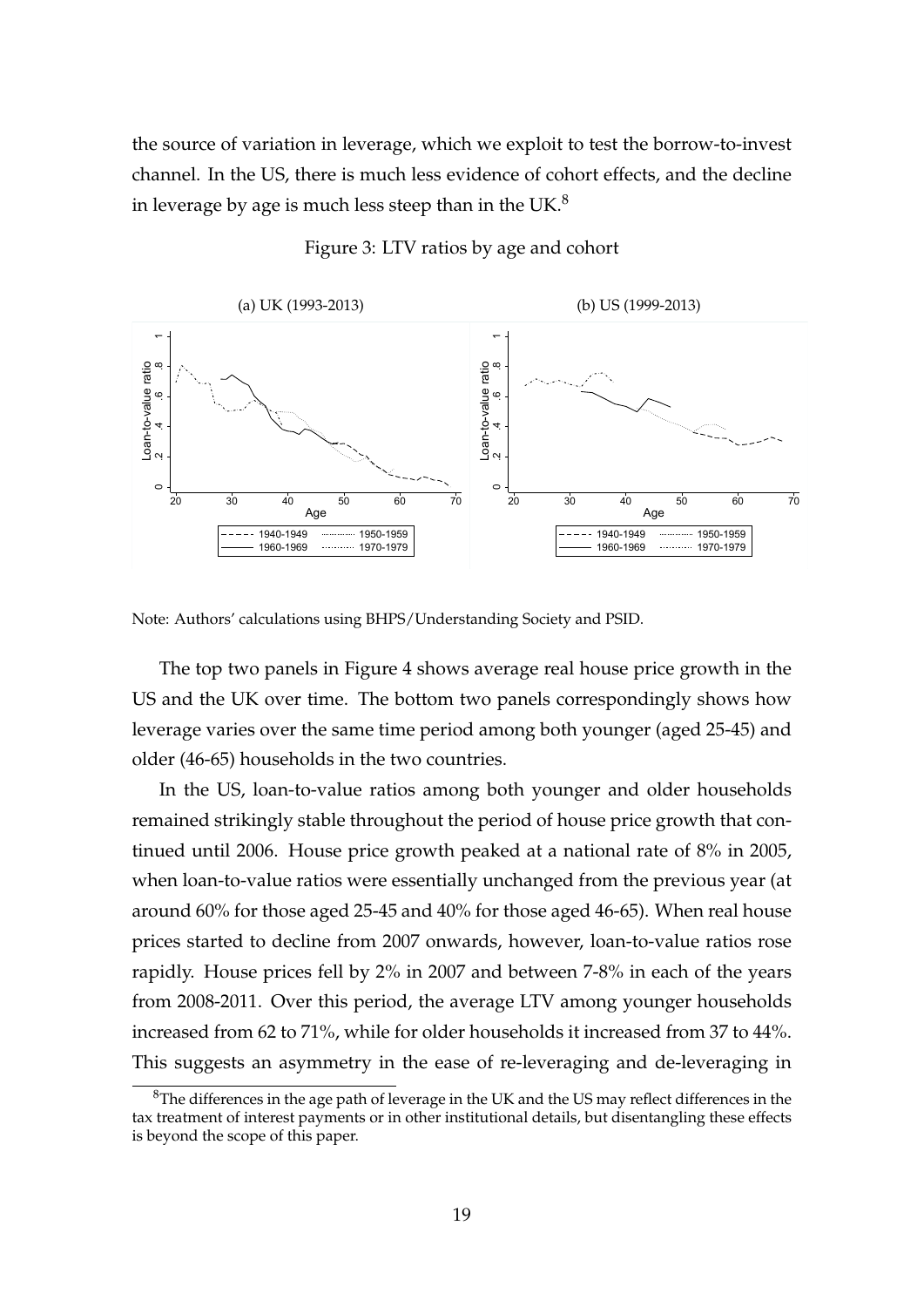the source of variation in leverage, which we exploit to test the borrow-to-invest channel. In the US, there is much less evidence of cohort effects, and the decline in leverage by age is much less steep than in the UK. $8$ 



Figure 3: LTV ratios by age and cohort

The top two panels in Figure 4 shows average real house price growth in the US and the UK over time. The bottom two panels correspondingly shows how leverage varies over the same time period among both younger (aged 25-45) and older (46-65) households in the two countries.

In the US, loan-to-value ratios among both younger and older households remained strikingly stable throughout the period of house price growth that continued until 2006. House price growth peaked at a national rate of 8% in 2005, when loan-to-value ratios were essentially unchanged from the previous year (at around 60% for those aged 25-45 and 40% for those aged 46-65). When real house prices started to decline from 2007 onwards, however, loan-to-value ratios rose rapidly. House prices fell by 2% in 2007 and between 7-8% in each of the years from 2008-2011. Over this period, the average LTV among younger households increased from 62 to 71%, while for older households it increased from 37 to 44%. This suggests an asymmetry in the ease of re-leveraging and de-leveraging in

Note: Authors' calculations using BHPS/Understanding Society and PSID.

<sup>&</sup>lt;sup>8</sup>The differences in the age path of leverage in the UK and the US may reflect differences in the tax treatment of interest payments or in other institutional details, but disentangling these effects is beyond the scope of this paper.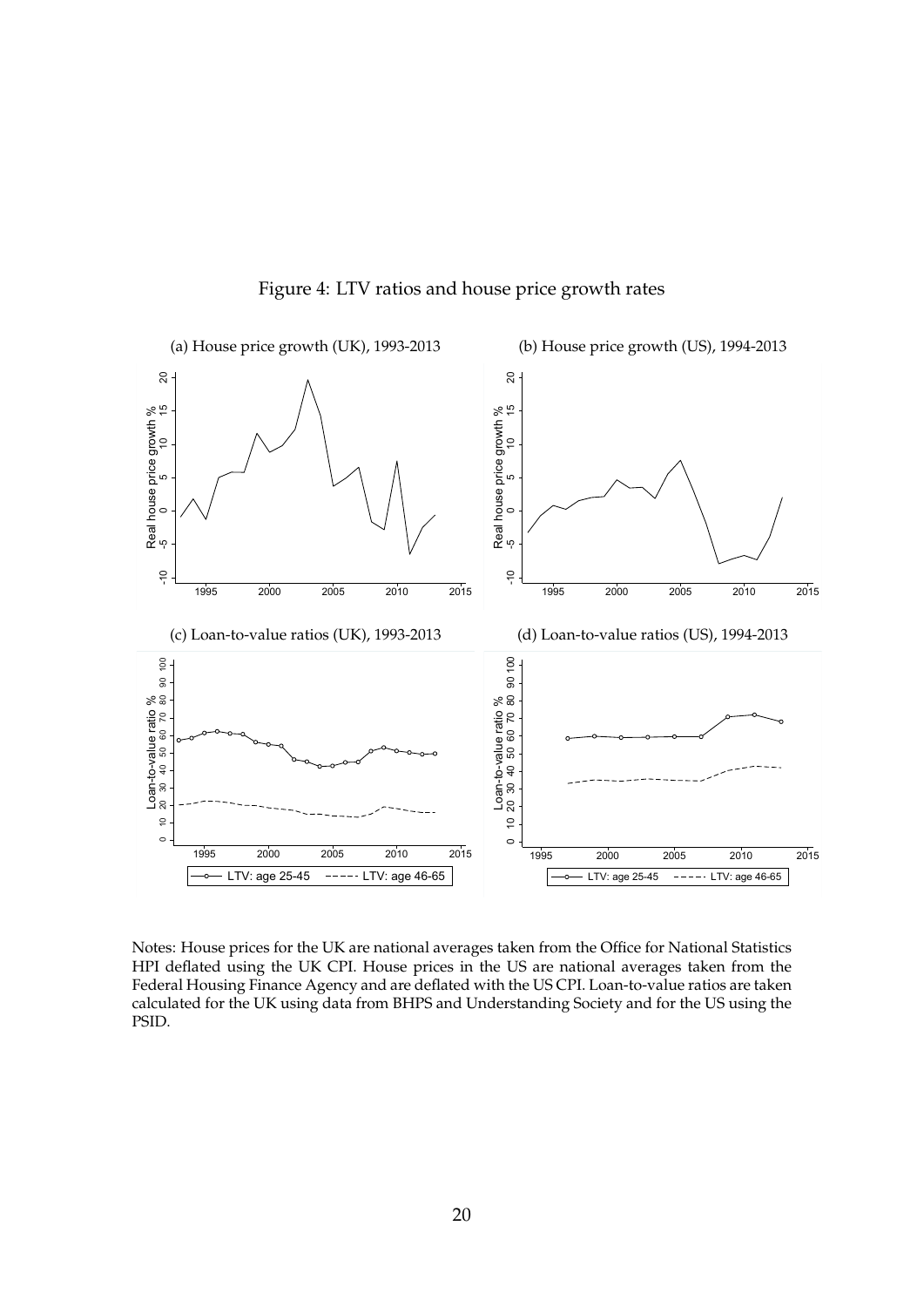

Figure 4: LTV ratios and house price growth rates

Notes: House prices for the UK are national averages taken from the Office for National Statistics HPI deflated using the UK CPI. House prices in the US are national averages taken from the Federal Housing Finance Agency and are deflated with the US CPI. Loan-to-value ratios are taken calculated for the UK using data from BHPS and Understanding Society and for the US using the PSID.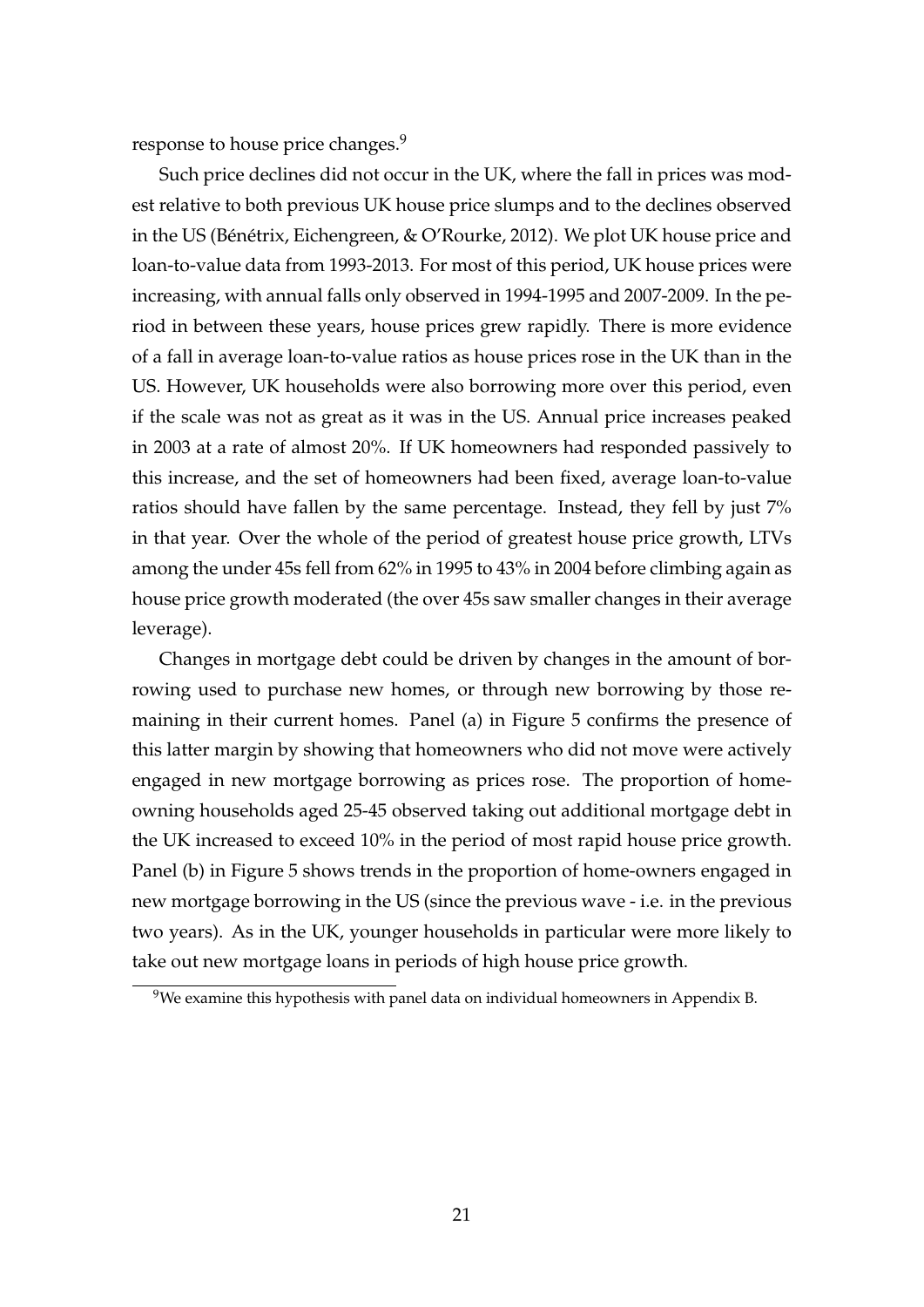response to house price changes.<sup>9</sup>

Such price declines did not occur in the UK, where the fall in prices was modest relative to both previous UK house price slumps and to the declines observed in the US (Bénétrix, Eichengreen,  $& O'$ Rourke, 2012). We plot UK house price and loan-to-value data from 1993-2013. For most of this period, UK house prices were increasing, with annual falls only observed in 1994-1995 and 2007-2009. In the period in between these years, house prices grew rapidly. There is more evidence of a fall in average loan-to-value ratios as house prices rose in the UK than in the US. However, UK households were also borrowing more over this period, even if the scale was not as great as it was in the US. Annual price increases peaked in 2003 at a rate of almost 20%. If UK homeowners had responded passively to this increase, and the set of homeowners had been fixed, average loan-to-value ratios should have fallen by the same percentage. Instead, they fell by just 7% in that year. Over the whole of the period of greatest house price growth, LTVs among the under 45s fell from 62% in 1995 to 43% in 2004 before climbing again as house price growth moderated (the over 45s saw smaller changes in their average leverage).

Changes in mortgage debt could be driven by changes in the amount of borrowing used to purchase new homes, or through new borrowing by those remaining in their current homes. Panel (a) in Figure 5 confirms the presence of this latter margin by showing that homeowners who did not move were actively engaged in new mortgage borrowing as prices rose. The proportion of homeowning households aged 25-45 observed taking out additional mortgage debt in the UK increased to exceed 10% in the period of most rapid house price growth. Panel (b) in Figure 5 shows trends in the proportion of home-owners engaged in new mortgage borrowing in the US (since the previous wave - i.e. in the previous two years). As in the UK, younger households in particular were more likely to take out new mortgage loans in periods of high house price growth.

 $9$ We examine this hypothesis with panel data on individual homeowners in Appendix B.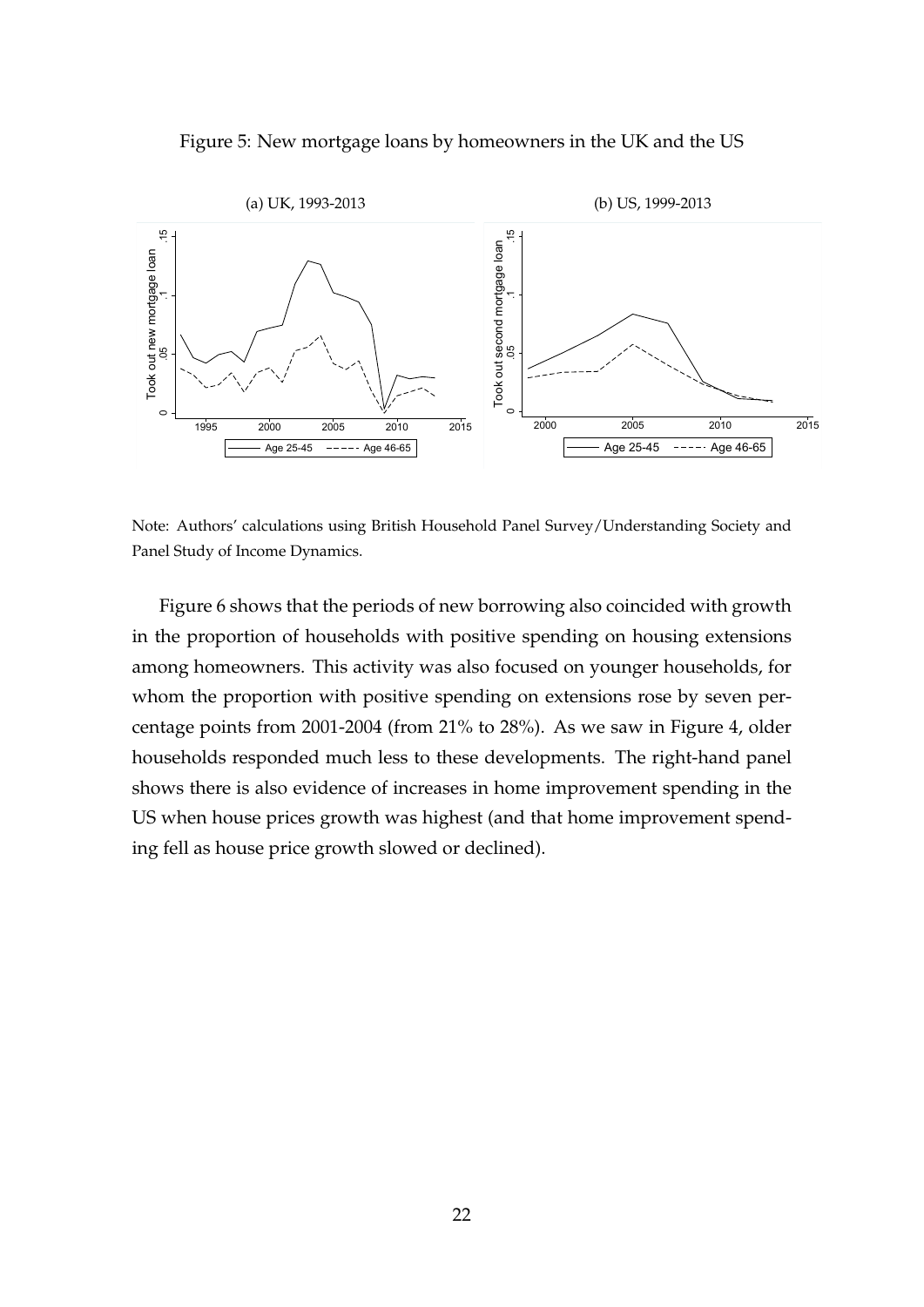



Note: Authors' calculations using British Household Panel Survey/Understanding Society and Panel Study of Income Dynamics.

Figure 6 shows that the periods of new borrowing also coincided with growth in the proportion of households with positive spending on housing extensions among homeowners. This activity was also focused on younger households, for whom the proportion with positive spending on extensions rose by seven percentage points from 2001-2004 (from 21% to 28%). As we saw in Figure 4, older households responded much less to these developments. The right-hand panel shows there is also evidence of increases in home improvement spending in the US when house prices growth was highest (and that home improvement spending fell as house price growth slowed or declined).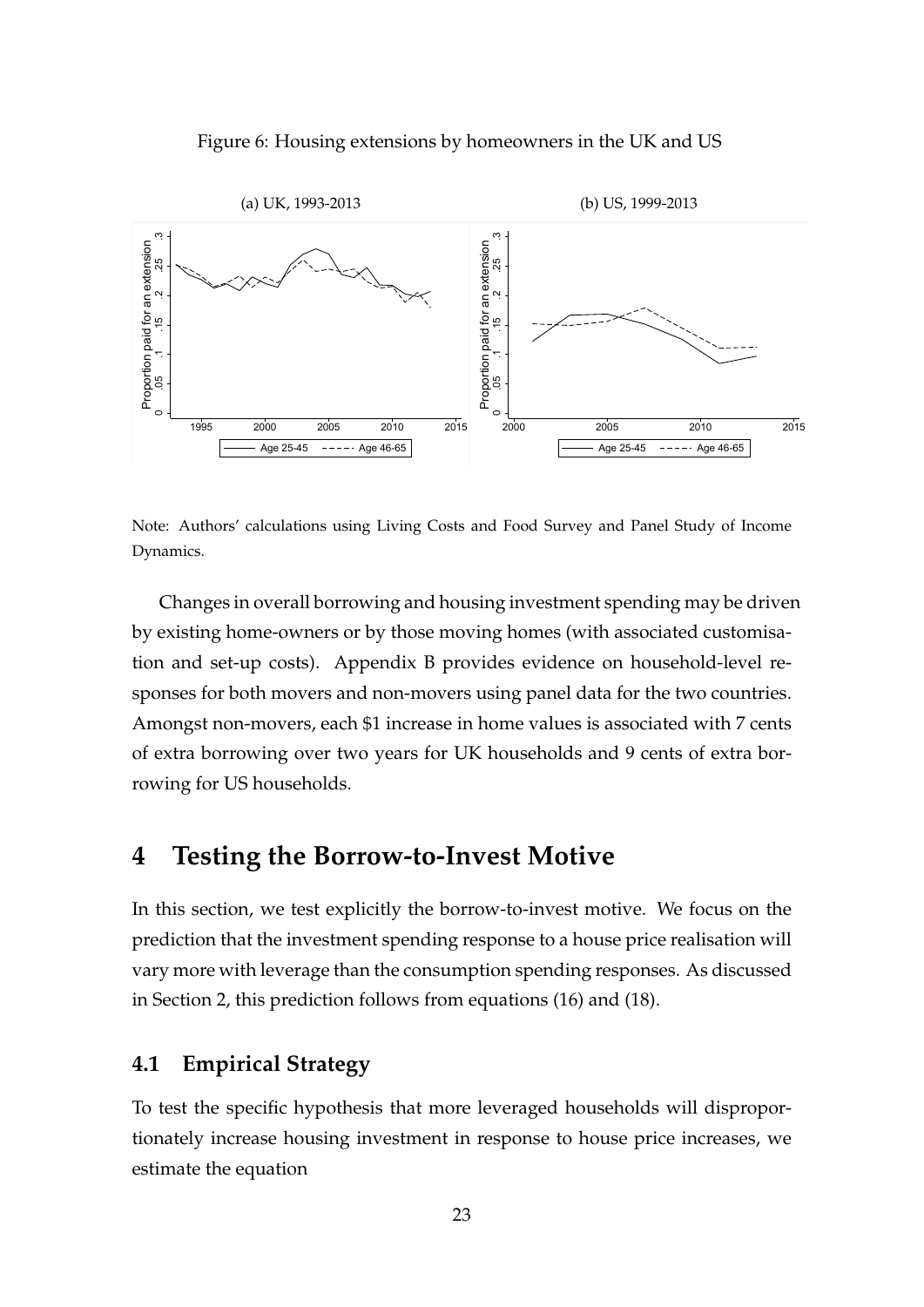Figure 6: Housing extensions by homeowners in the UK and US



Note: Authors' calculations using Living Costs and Food Survey and Panel Study of Income Dynamics.

Changes in overall borrowing and housing investment spending may be driven by existing home-owners or by those moving homes (with associated customisation and set-up costs). Appendix B provides evidence on household-level responses for both movers and non-movers using panel data for the two countries. Amongst non-movers, each \$1 increase in home values is associated with 7 cents of extra borrowing over two years for UK households and 9 cents of extra borrowing for US households.

### **4 Testing the Borrow-to-Invest Motive**

In this section, we test explicitly the borrow-to-invest motive. We focus on the prediction that the investment spending response to a house price realisation will vary more with leverage than the consumption spending responses. As discussed in Section 2, this prediction follows from equations (16) and (18).

#### **4.1 Empirical Strategy**

To test the specific hypothesis that more leveraged households will disproportionately increase housing investment in response to house price increases, we estimate the equation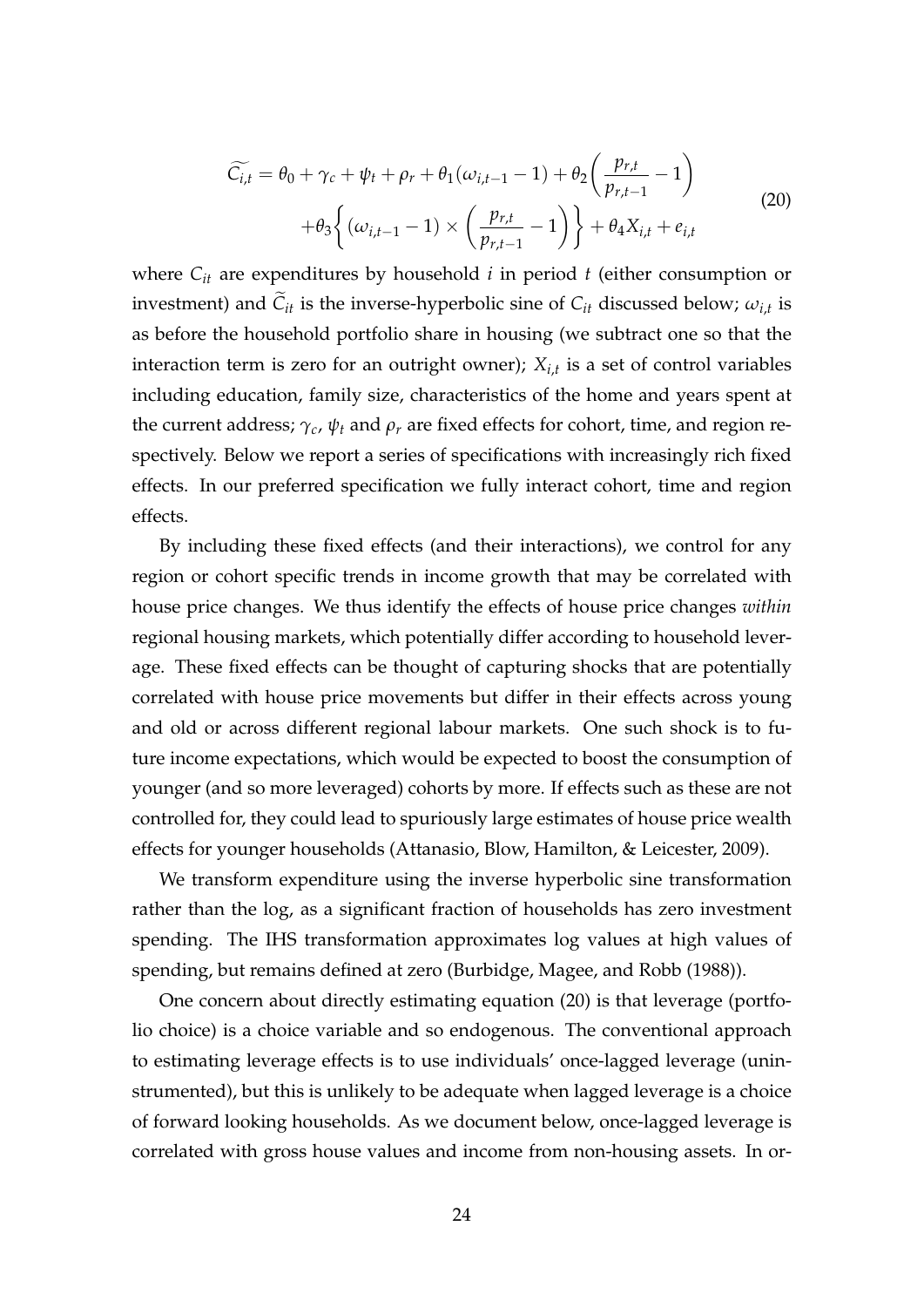$$
\widetilde{C_{i,t}} = \theta_0 + \gamma_c + \psi_t + \rho_r + \theta_1(\omega_{i,t-1} - 1) + \theta_2\left(\frac{p_{r,t}}{p_{r,t-1}} - 1\right)
$$
  
+ 
$$
\theta_3\left\{(\omega_{i,t-1} - 1) \times \left(\frac{p_{r,t}}{p_{r,t-1}} - 1\right)\right\} + \theta_4 X_{i,t} + e_{i,t}
$$
\n(20)

where  $C_{it}$  are expenditures by household  $i$  in period  $t$  (either consumption or investment) and  $C_{it}$  is the inverse-hyperbolic sine of  $C_{it}$  discussed below;  $\omega_{i,t}$  is as before the household portfolio share in housing (we subtract one so that the interaction term is zero for an outright owner); *Xi*,*<sup>t</sup>* is a set of control variables including education, family size, characteristics of the home and years spent at the current address; *γc*, *ψ<sup>t</sup>* and *ρ<sup>r</sup>* are fixed effects for cohort, time, and region respectively. Below we report a series of specifications with increasingly rich fixed effects. In our preferred specification we fully interact cohort, time and region effects.

By including these fixed effects (and their interactions), we control for any region or cohort specific trends in income growth that may be correlated with house price changes. We thus identify the effects of house price changes *within* regional housing markets, which potentially differ according to household leverage. These fixed effects can be thought of capturing shocks that are potentially correlated with house price movements but differ in their effects across young and old or across different regional labour markets. One such shock is to future income expectations, which would be expected to boost the consumption of younger (and so more leveraged) cohorts by more. If effects such as these are not controlled for, they could lead to spuriously large estimates of house price wealth effects for younger households (Attanasio, Blow, Hamilton, & Leicester, 2009).

We transform expenditure using the inverse hyperbolic sine transformation rather than the log, as a significant fraction of households has zero investment spending. The IHS transformation approximates log values at high values of spending, but remains defined at zero (Burbidge, Magee, and Robb (1988)).

One concern about directly estimating equation (20) is that leverage (portfolio choice) is a choice variable and so endogenous. The conventional approach to estimating leverage effects is to use individuals' once-lagged leverage (uninstrumented), but this is unlikely to be adequate when lagged leverage is a choice of forward looking households. As we document below, once-lagged leverage is correlated with gross house values and income from non-housing assets. In or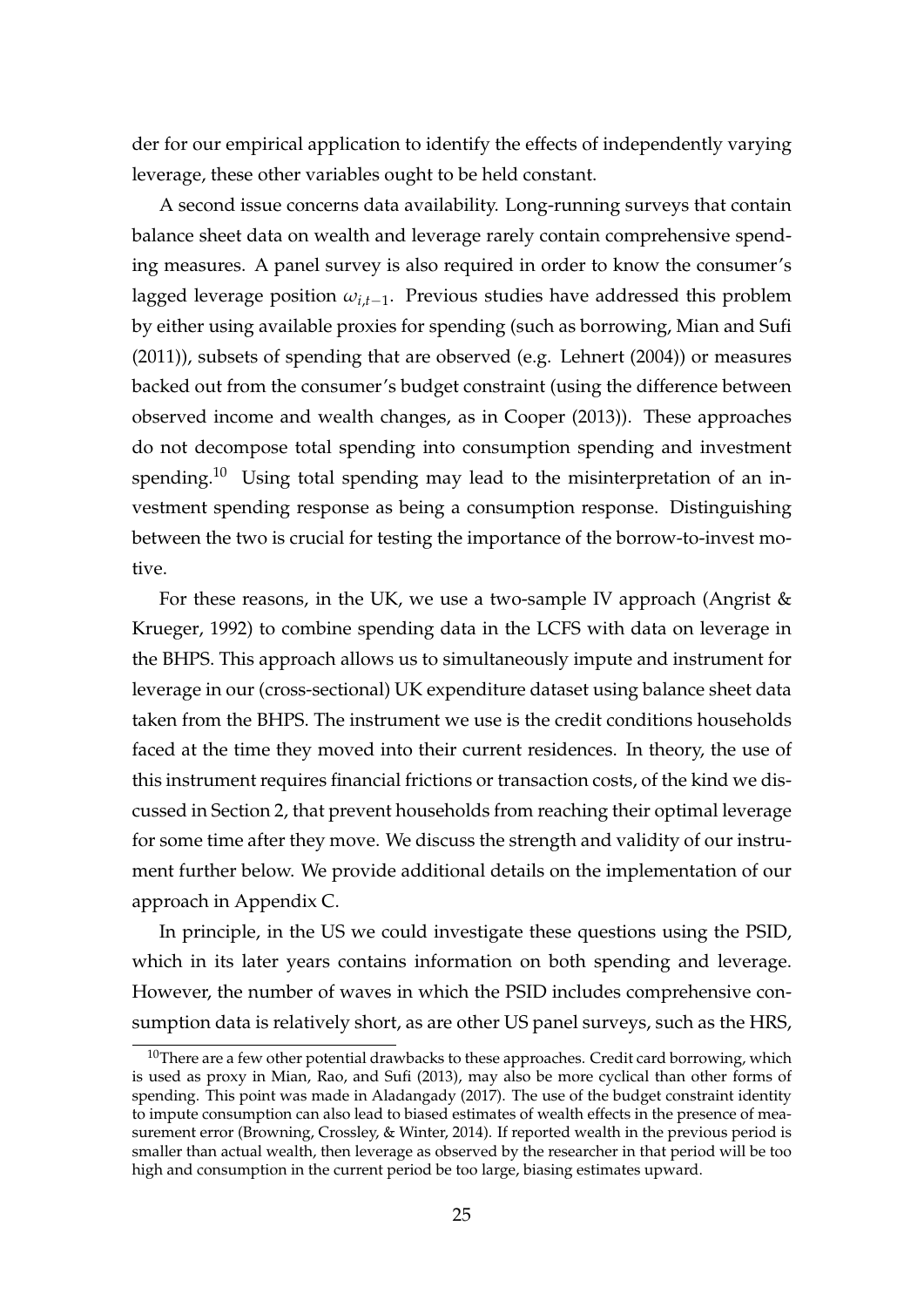der for our empirical application to identify the effects of independently varying leverage, these other variables ought to be held constant.

A second issue concerns data availability. Long-running surveys that contain balance sheet data on wealth and leverage rarely contain comprehensive spending measures. A panel survey is also required in order to know the consumer's lagged leverage position *ωi*,*t*−<sup>1</sup> . Previous studies have addressed this problem by either using available proxies for spending (such as borrowing, Mian and Sufi (2011)), subsets of spending that are observed (e.g. Lehnert (2004)) or measures backed out from the consumer's budget constraint (using the difference between observed income and wealth changes, as in Cooper (2013)). These approaches do not decompose total spending into consumption spending and investment spending.<sup>10</sup> Using total spending may lead to the misinterpretation of an investment spending response as being a consumption response. Distinguishing between the two is crucial for testing the importance of the borrow-to-invest motive.

For these reasons, in the UK, we use a two-sample IV approach (Angrist & Krueger, 1992) to combine spending data in the LCFS with data on leverage in the BHPS. This approach allows us to simultaneously impute and instrument for leverage in our (cross-sectional) UK expenditure dataset using balance sheet data taken from the BHPS. The instrument we use is the credit conditions households faced at the time they moved into their current residences. In theory, the use of this instrument requires financial frictions or transaction costs, of the kind we discussed in Section 2, that prevent households from reaching their optimal leverage for some time after they move. We discuss the strength and validity of our instrument further below. We provide additional details on the implementation of our approach in Appendix C.

In principle, in the US we could investigate these questions using the PSID, which in its later years contains information on both spending and leverage. However, the number of waves in which the PSID includes comprehensive consumption data is relatively short, as are other US panel surveys, such as the HRS,

 $10$ There are a few other potential drawbacks to these approaches. Credit card borrowing, which is used as proxy in Mian, Rao, and Sufi (2013), may also be more cyclical than other forms of spending. This point was made in Aladangady (2017). The use of the budget constraint identity to impute consumption can also lead to biased estimates of wealth effects in the presence of measurement error (Browning, Crossley, & Winter, 2014). If reported wealth in the previous period is smaller than actual wealth, then leverage as observed by the researcher in that period will be too high and consumption in the current period be too large, biasing estimates upward.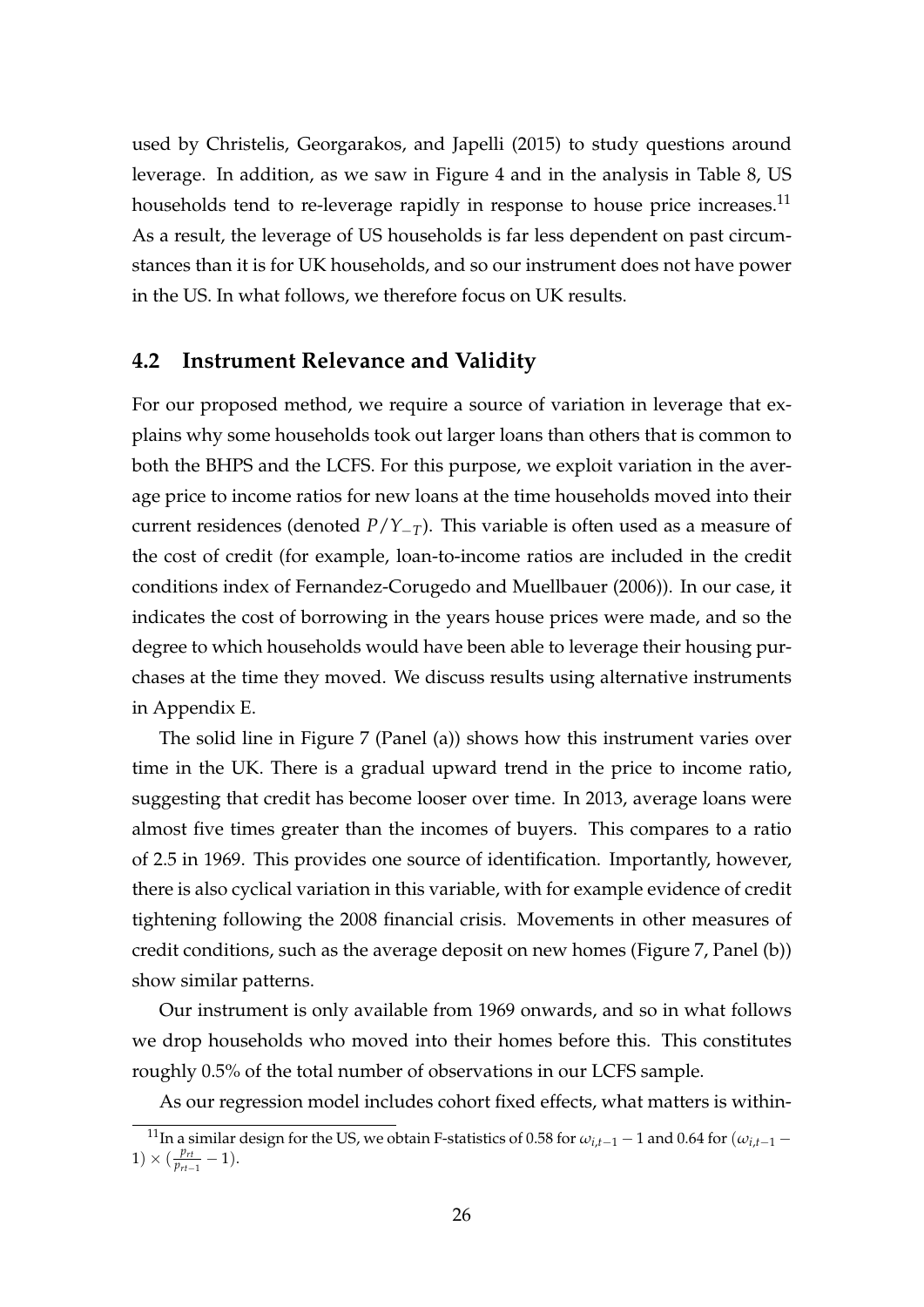used by Christelis, Georgarakos, and Japelli (2015) to study questions around leverage. In addition, as we saw in Figure 4 and in the analysis in Table 8, US households tend to re-leverage rapidly in response to house price increases.<sup>11</sup> As a result, the leverage of US households is far less dependent on past circumstances than it is for UK households, and so our instrument does not have power in the US. In what follows, we therefore focus on UK results.

#### **4.2 Instrument Relevance and Validity**

For our proposed method, we require a source of variation in leverage that explains why some households took out larger loans than others that is common to both the BHPS and the LCFS. For this purpose, we exploit variation in the average price to income ratios for new loans at the time households moved into their current residences (denoted *P*/*Y*−*T*). This variable is often used as a measure of the cost of credit (for example, loan-to-income ratios are included in the credit conditions index of Fernandez-Corugedo and Muellbauer (2006)). In our case, it indicates the cost of borrowing in the years house prices were made, and so the degree to which households would have been able to leverage their housing purchases at the time they moved. We discuss results using alternative instruments in Appendix E.

The solid line in Figure 7 (Panel (a)) shows how this instrument varies over time in the UK. There is a gradual upward trend in the price to income ratio, suggesting that credit has become looser over time. In 2013, average loans were almost five times greater than the incomes of buyers. This compares to a ratio of 2.5 in 1969. This provides one source of identification. Importantly, however, there is also cyclical variation in this variable, with for example evidence of credit tightening following the 2008 financial crisis. Movements in other measures of credit conditions, such as the average deposit on new homes (Figure 7, Panel (b)) show similar patterns.

Our instrument is only available from 1969 onwards, and so in what follows we drop households who moved into their homes before this. This constitutes roughly 0.5% of the total number of observations in our LCFS sample.

As our regression model includes cohort fixed effects, what matters is within-

<sup>&</sup>lt;sup>11</sup>In a similar design for the US, we obtain F-statistics of 0.58 for  $\omega_{i,t-1}$  − 1 and 0.64 for  $(\omega_{i,t-1}$  −  $1) \times (\frac{p_{rt}}{p_{rt}})$  $\frac{p_{rt}}{p_{rt-1}} - 1$ ).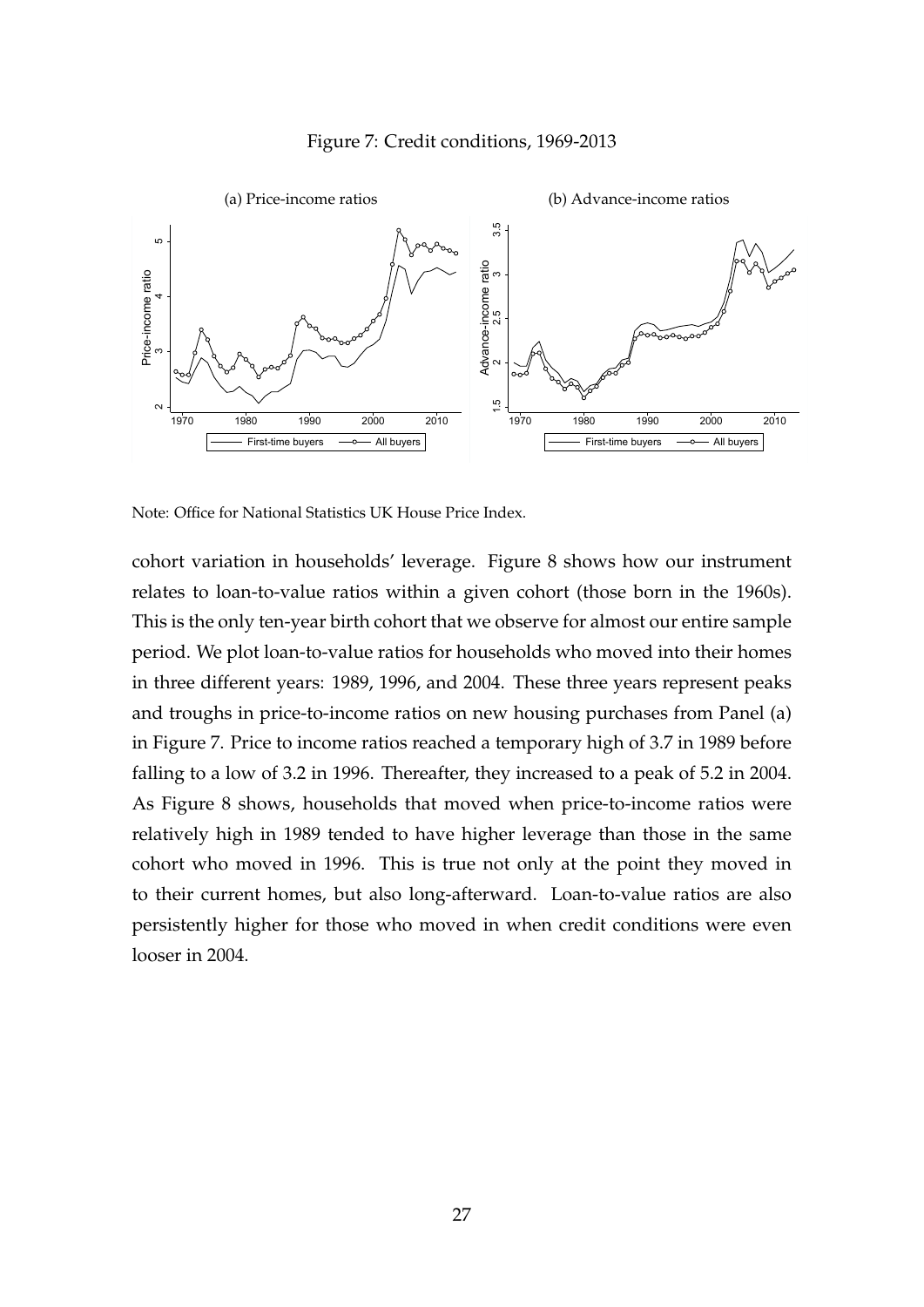



Note: Office for National Statistics UK House Price Index.

cohort variation in households' leverage. Figure 8 shows how our instrument relates to loan-to-value ratios within a given cohort (those born in the 1960s). This is the only ten-year birth cohort that we observe for almost our entire sample period. We plot loan-to-value ratios for households who moved into their homes in three different years: 1989, 1996, and 2004. These three years represent peaks and troughs in price-to-income ratios on new housing purchases from Panel (a) in Figure 7. Price to income ratios reached a temporary high of 3.7 in 1989 before falling to a low of 3.2 in 1996. Thereafter, they increased to a peak of 5.2 in 2004. As Figure 8 shows, households that moved when price-to-income ratios were relatively high in 1989 tended to have higher leverage than those in the same cohort who moved in 1996. This is true not only at the point they moved in to their current homes, but also long-afterward. Loan-to-value ratios are also persistently higher for those who moved in when credit conditions were even looser in 2004.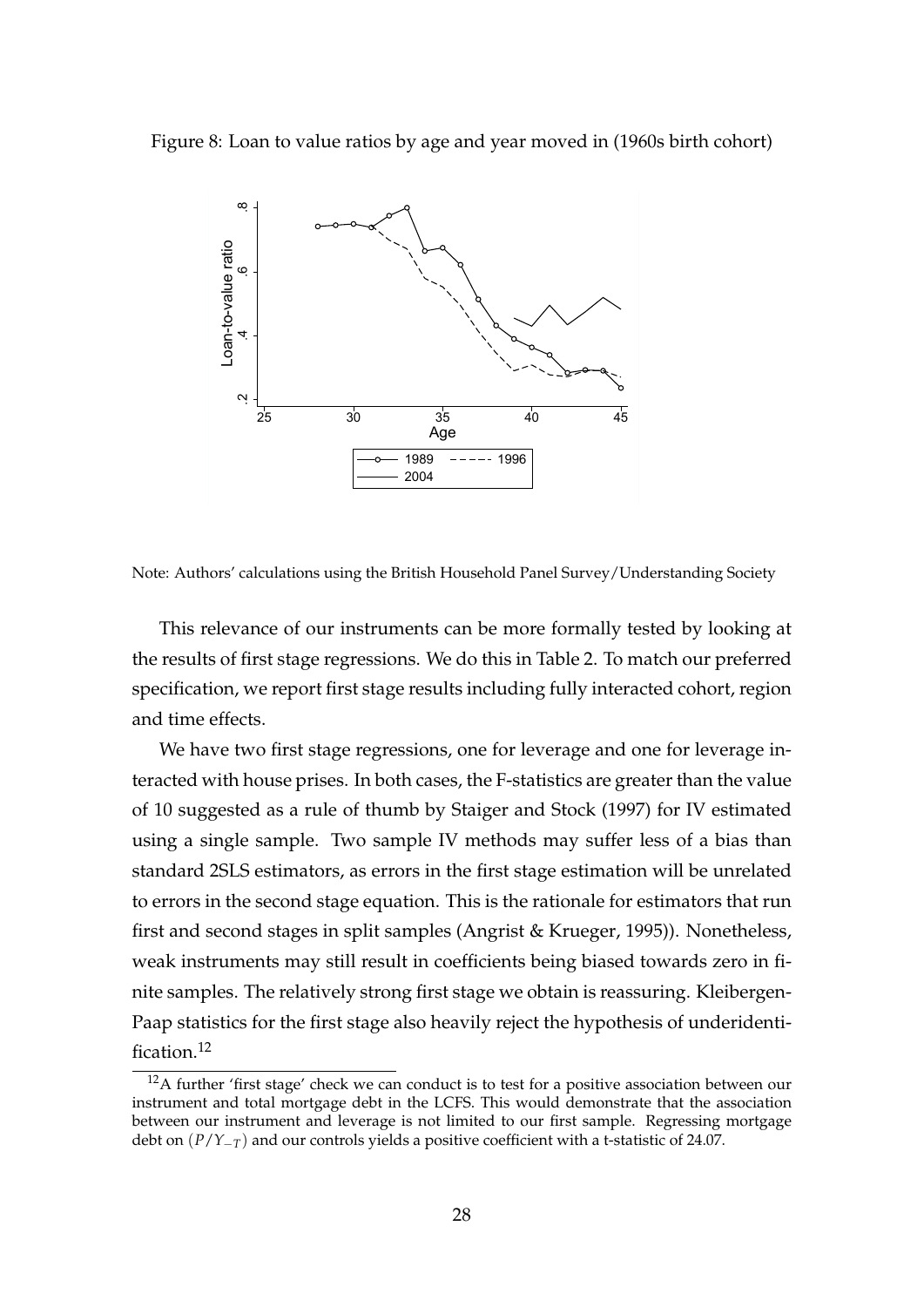Figure 8: Loan to value ratios by age and year moved in (1960s birth cohort)



Note: Authors' calculations using the British Household Panel Survey/Understanding Society

This relevance of our instruments can be more formally tested by looking at the results of first stage regressions. We do this in Table 2. To match our preferred specification, we report first stage results including fully interacted cohort, region and time effects.

We have two first stage regressions, one for leverage and one for leverage interacted with house prises. In both cases, the F-statistics are greater than the value of 10 suggested as a rule of thumb by Staiger and Stock (1997) for IV estimated using a single sample. Two sample IV methods may suffer less of a bias than standard 2SLS estimators, as errors in the first stage estimation will be unrelated to errors in the second stage equation. This is the rationale for estimators that run first and second stages in split samples (Angrist & Krueger, 1995)). Nonetheless, weak instruments may still result in coefficients being biased towards zero in finite samples. The relatively strong first stage we obtain is reassuring. Kleibergen-Paap statistics for the first stage also heavily reject the hypothesis of underidentification.<sup>12</sup>

 $12A$  further 'first stage' check we can conduct is to test for a positive association between our instrument and total mortgage debt in the LCFS. This would demonstrate that the association between our instrument and leverage is not limited to our first sample. Regressing mortgage debt on  $(P/Y_{-T})$  and our controls yields a positive coefficient with a t-statistic of 24.07.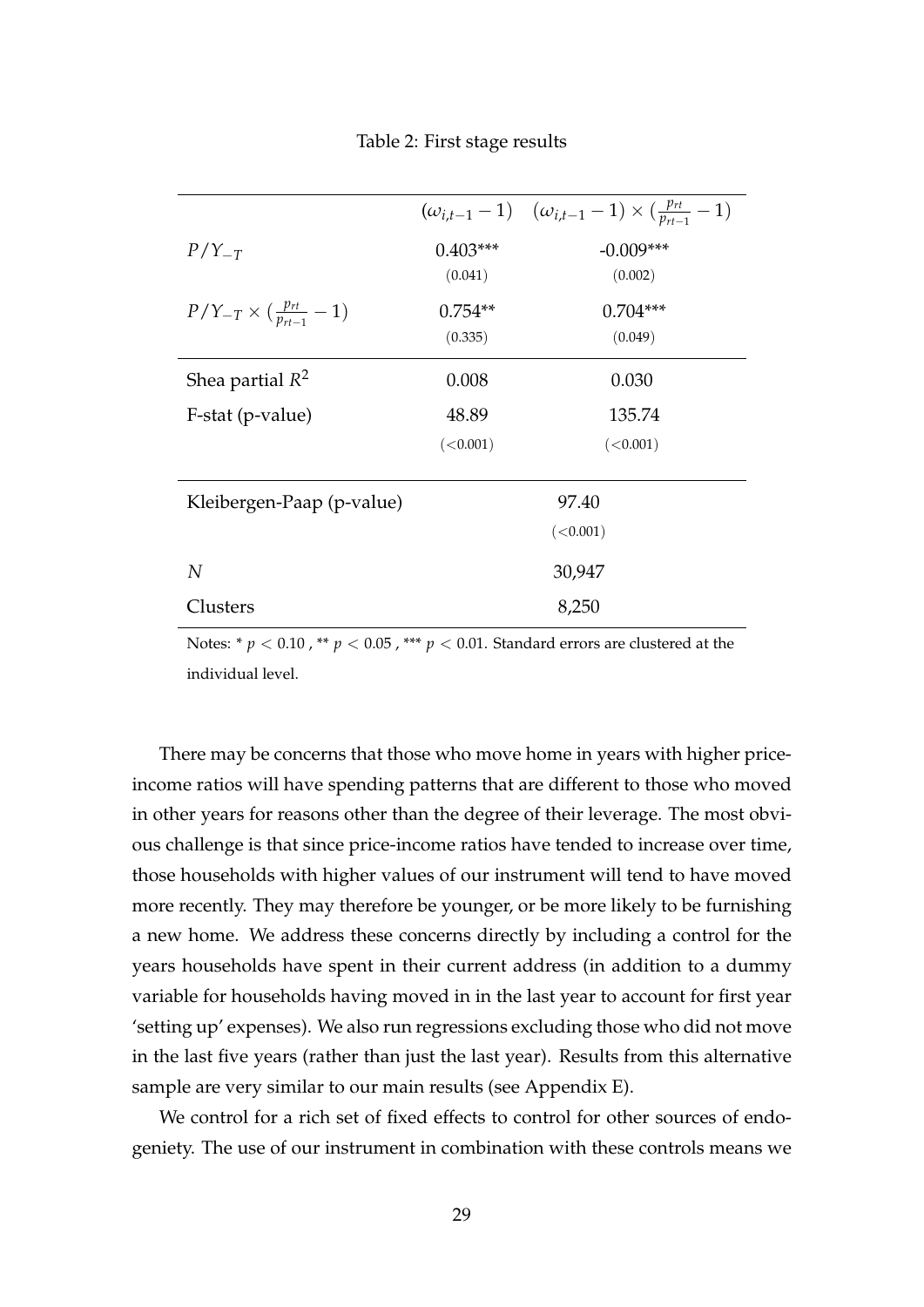Table 2: First stage results

|                                                 |            | $(\omega_{i,t-1}-1)$ $(\omega_{i,t-1}-1) \times (\frac{p_{rt}}{p_{rt-1}}-1)$ |
|-------------------------------------------------|------------|------------------------------------------------------------------------------|
| $P/Y_{-T}$                                      | $0.403***$ | $-0.009***$                                                                  |
|                                                 | (0.041)    | (0.002)                                                                      |
| $P/Y_{-T} \times (\frac{p_{rt}}{p_{rt-1}} - 1)$ | $0.754**$  | $0.704***$                                                                   |
|                                                 | (0.335)    | (0.049)                                                                      |
| Shea partial $R^2$                              | 0.008      | 0.030                                                                        |
| F-stat (p-value)                                | 48.89      | 135.74                                                                       |
|                                                 | (<0.001)   | (<0.001)                                                                     |
|                                                 |            |                                                                              |
| Kleibergen-Paap (p-value)                       |            | 97.40                                                                        |
|                                                 |            | (<0.001)                                                                     |
| N                                               |            | 30,947                                                                       |
| Clusters                                        |            | 8,250                                                                        |

Notes: \*  $p < 0.10$ , \*\*  $p < 0.05$ , \*\*\*  $p < 0.01$ . Standard errors are clustered at the individual level.

There may be concerns that those who move home in years with higher priceincome ratios will have spending patterns that are different to those who moved in other years for reasons other than the degree of their leverage. The most obvious challenge is that since price-income ratios have tended to increase over time, those households with higher values of our instrument will tend to have moved more recently. They may therefore be younger, or be more likely to be furnishing a new home. We address these concerns directly by including a control for the years households have spent in their current address (in addition to a dummy variable for households having moved in in the last year to account for first year 'setting up' expenses). We also run regressions excluding those who did not move in the last five years (rather than just the last year). Results from this alternative sample are very similar to our main results (see Appendix E).

We control for a rich set of fixed effects to control for other sources of endogeniety. The use of our instrument in combination with these controls means we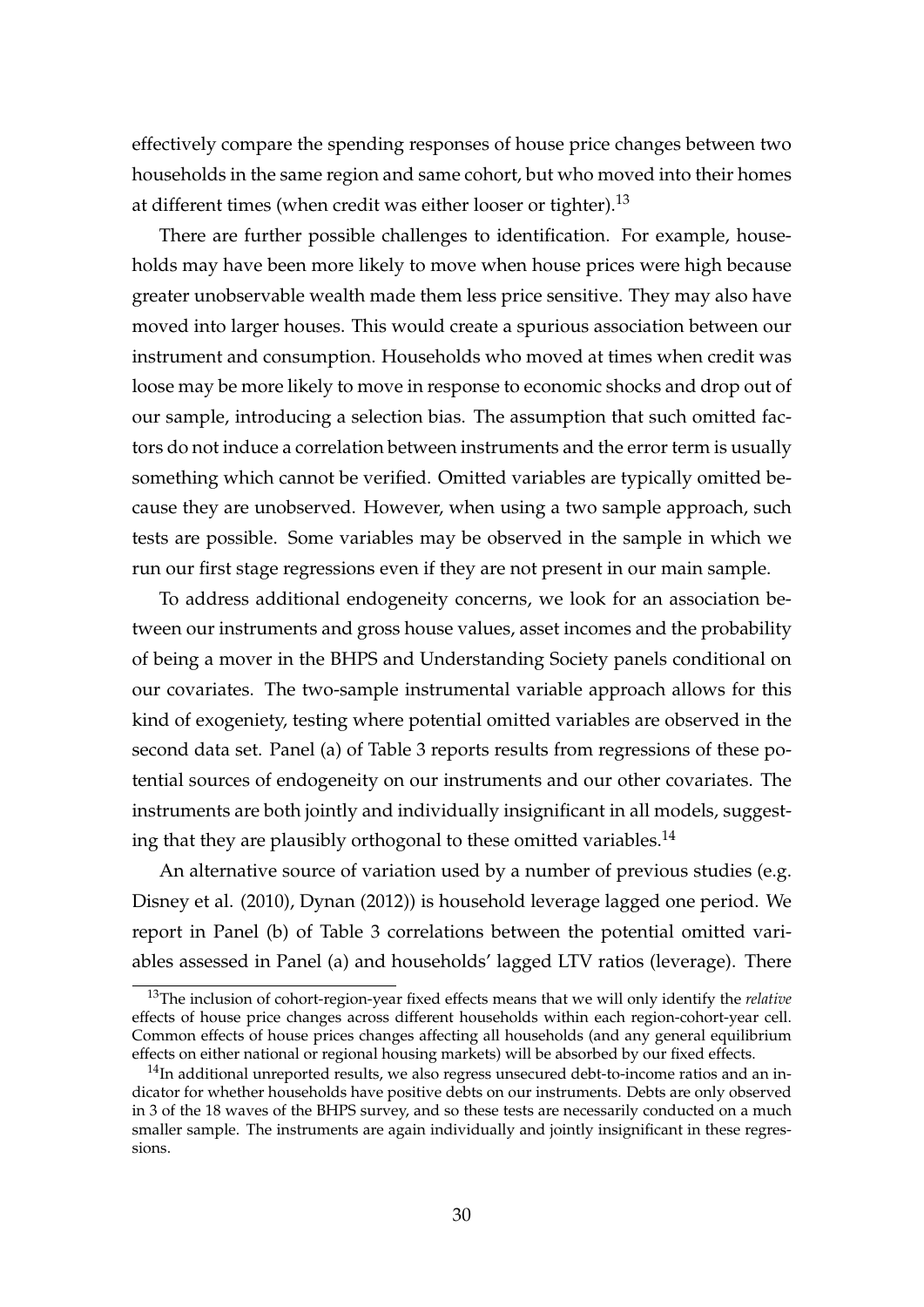effectively compare the spending responses of house price changes between two households in the same region and same cohort, but who moved into their homes at different times (when credit was either looser or tighter).<sup>13</sup>

There are further possible challenges to identification. For example, households may have been more likely to move when house prices were high because greater unobservable wealth made them less price sensitive. They may also have moved into larger houses. This would create a spurious association between our instrument and consumption. Households who moved at times when credit was loose may be more likely to move in response to economic shocks and drop out of our sample, introducing a selection bias. The assumption that such omitted factors do not induce a correlation between instruments and the error term is usually something which cannot be verified. Omitted variables are typically omitted because they are unobserved. However, when using a two sample approach, such tests are possible. Some variables may be observed in the sample in which we run our first stage regressions even if they are not present in our main sample.

To address additional endogeneity concerns, we look for an association between our instruments and gross house values, asset incomes and the probability of being a mover in the BHPS and Understanding Society panels conditional on our covariates. The two-sample instrumental variable approach allows for this kind of exogeniety, testing where potential omitted variables are observed in the second data set. Panel (a) of Table 3 reports results from regressions of these potential sources of endogeneity on our instruments and our other covariates. The instruments are both jointly and individually insignificant in all models, suggesting that they are plausibly orthogonal to these omitted variables.<sup>14</sup>

An alternative source of variation used by a number of previous studies (e.g. Disney et al. (2010), Dynan (2012)) is household leverage lagged one period. We report in Panel (b) of Table 3 correlations between the potential omitted variables assessed in Panel (a) and households' lagged LTV ratios (leverage). There

<sup>13</sup>The inclusion of cohort-region-year fixed effects means that we will only identify the *relative* effects of house price changes across different households within each region-cohort-year cell. Common effects of house prices changes affecting all households (and any general equilibrium effects on either national or regional housing markets) will be absorbed by our fixed effects.

 $14$ In additional unreported results, we also regress unsecured debt-to-income ratios and an indicator for whether households have positive debts on our instruments. Debts are only observed in 3 of the 18 waves of the BHPS survey, and so these tests are necessarily conducted on a much smaller sample. The instruments are again individually and jointly insignificant in these regressions.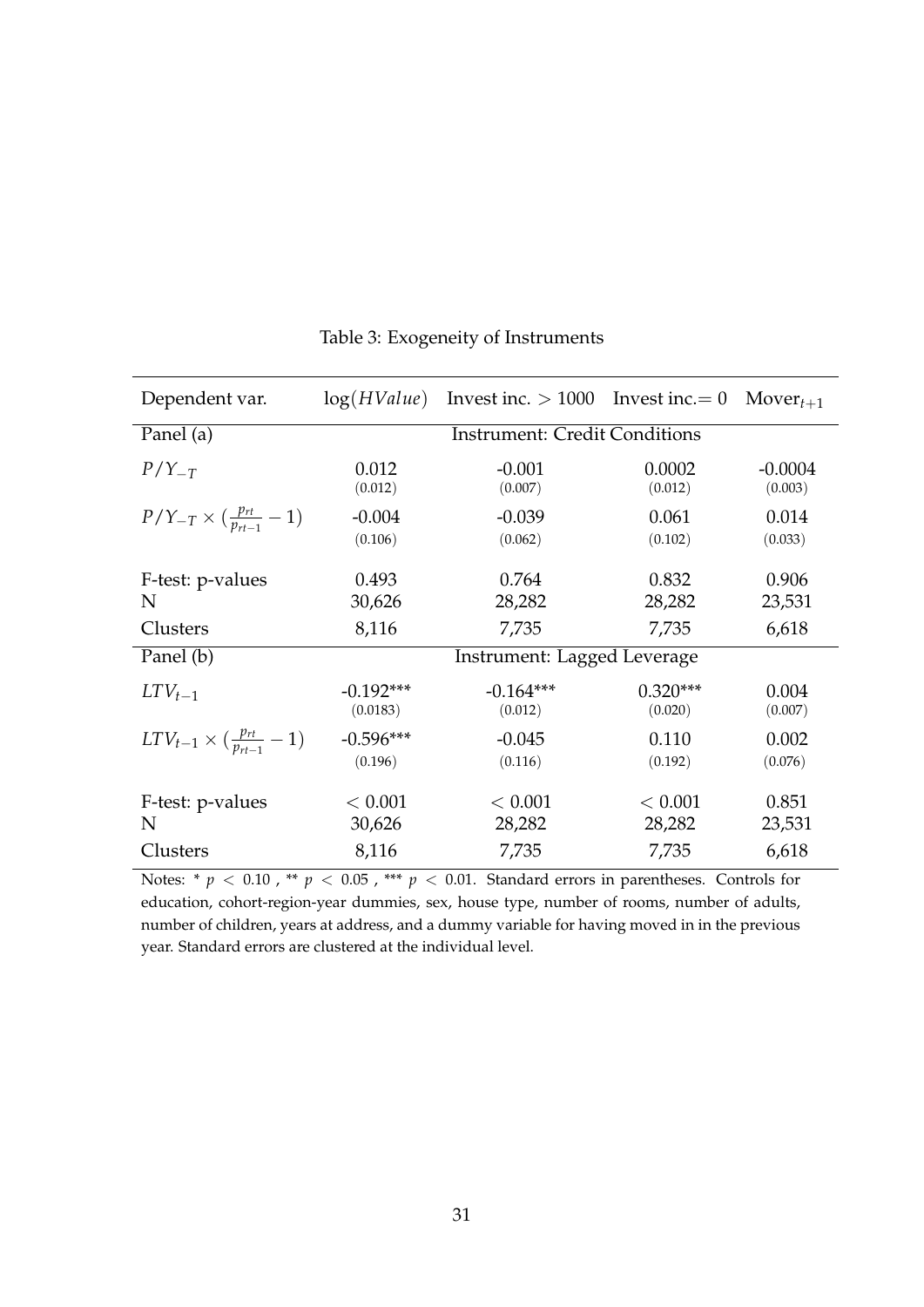| Dependent var.                                   |             | $log(HValue)$ Invest inc. > 1000 Invest inc. = 0 |            | $Mover_{t+1}$ |  |  |
|--------------------------------------------------|-------------|--------------------------------------------------|------------|---------------|--|--|
| Panel (a)                                        |             | <b>Instrument: Credit Conditions</b>             |            |               |  |  |
| $P/Y_{-T}$                                       | 0.012       | $-0.001$                                         | 0.0002     | $-0.0004$     |  |  |
|                                                  | (0.012)     | (0.007)                                          | (0.012)    | (0.003)       |  |  |
| $P/Y_{-T} \times (\frac{p_{rt}}{p_{rt-1}}-1)$    | $-0.004$    | $-0.039$                                         | 0.061      | 0.014         |  |  |
|                                                  | (0.106)     | (0.062)                                          | (0.102)    | (0.033)       |  |  |
| F-test: p-values                                 | 0.493       | 0.764                                            | 0.832      | 0.906         |  |  |
| N                                                | 30,626      | 28,282                                           | 28,282     | 23,531        |  |  |
| Clusters                                         | 8,116       | 7,735                                            | 7,735      | 6,618         |  |  |
| Panel (b)                                        |             | Instrument: Lagged Leverage                      |            |               |  |  |
| $LTV_{t-1}$                                      | $-0.192***$ | $-0.164***$                                      | $0.320***$ | 0.004         |  |  |
|                                                  | (0.0183)    | (0.012)                                          | (0.020)    | (0.007)       |  |  |
| $LTV_{t-1} \times (\frac{p_{rt}}{p_{rt-1}} - 1)$ | $-0.596***$ | $-0.045$                                         | 0.110      | 0.002         |  |  |
|                                                  | (0.196)     | (0.116)                                          | (0.192)    | (0.076)       |  |  |
| F-test: p-values                                 | < 0.001     | < 0.001                                          | < 0.001    | 0.851         |  |  |
| N                                                | 30,626      | 28,282                                           | 28,282     | 23,531        |  |  |
| Clusters                                         | 8,116       | 7,735                                            | 7,735      | 6,618         |  |  |

#### Table 3: Exogeneity of Instruments

Notes: \*  $p < 0.10$ , \*\*  $p < 0.05$ , \*\*\*  $p < 0.01$ . Standard errors in parentheses. Controls for education, cohort-region-year dummies, sex, house type, number of rooms, number of adults, number of children, years at address, and a dummy variable for having moved in in the previous year. Standard errors are clustered at the individual level.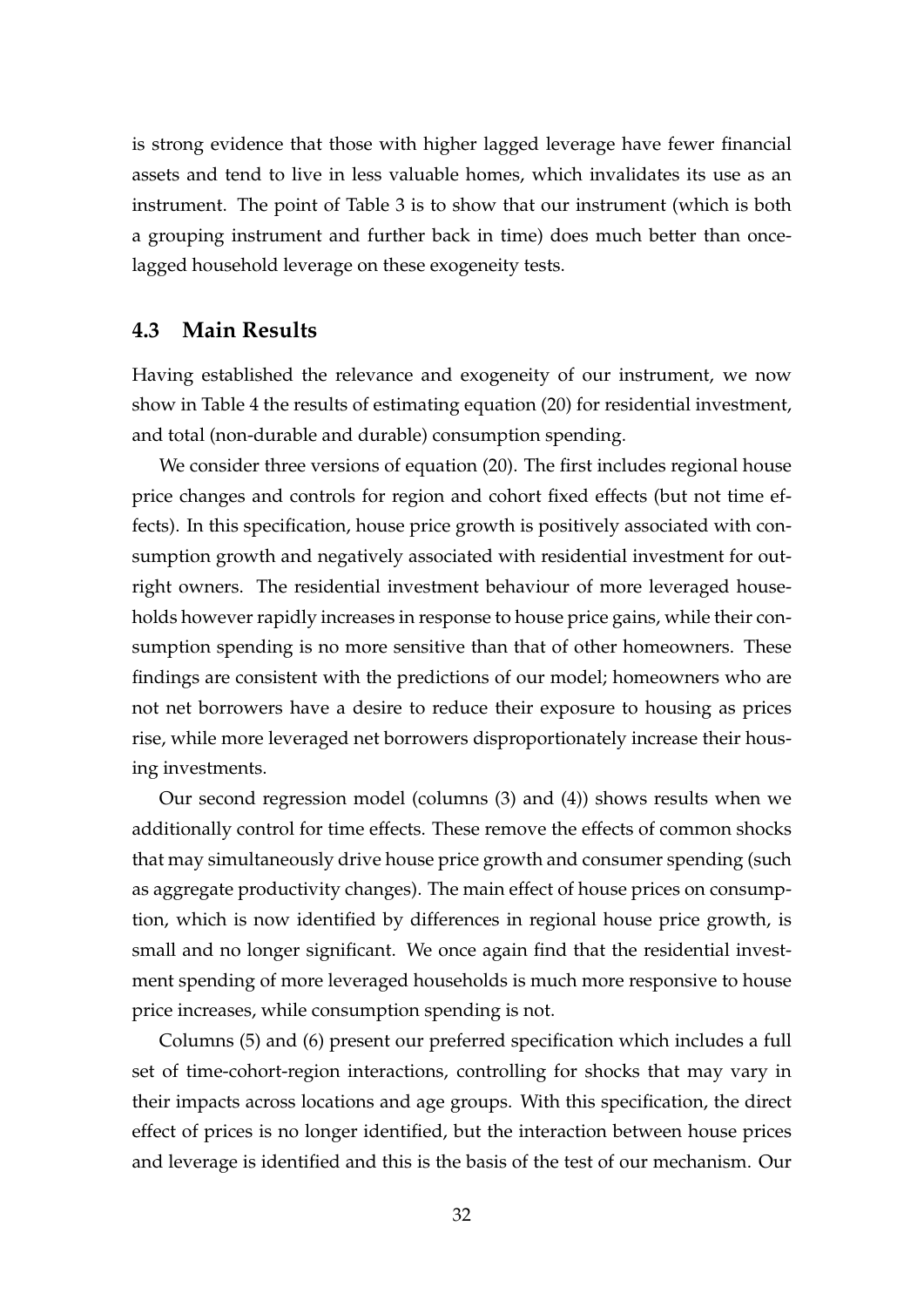is strong evidence that those with higher lagged leverage have fewer financial assets and tend to live in less valuable homes, which invalidates its use as an instrument. The point of Table 3 is to show that our instrument (which is both a grouping instrument and further back in time) does much better than oncelagged household leverage on these exogeneity tests.

#### **4.3 Main Results**

Having established the relevance and exogeneity of our instrument, we now show in Table 4 the results of estimating equation (20) for residential investment, and total (non-durable and durable) consumption spending.

We consider three versions of equation (20). The first includes regional house price changes and controls for region and cohort fixed effects (but not time effects). In this specification, house price growth is positively associated with consumption growth and negatively associated with residential investment for outright owners. The residential investment behaviour of more leveraged households however rapidly increases in response to house price gains, while their consumption spending is no more sensitive than that of other homeowners. These findings are consistent with the predictions of our model; homeowners who are not net borrowers have a desire to reduce their exposure to housing as prices rise, while more leveraged net borrowers disproportionately increase their housing investments.

Our second regression model (columns (3) and (4)) shows results when we additionally control for time effects. These remove the effects of common shocks that may simultaneously drive house price growth and consumer spending (such as aggregate productivity changes). The main effect of house prices on consumption, which is now identified by differences in regional house price growth, is small and no longer significant. We once again find that the residential investment spending of more leveraged households is much more responsive to house price increases, while consumption spending is not.

Columns (5) and (6) present our preferred specification which includes a full set of time-cohort-region interactions, controlling for shocks that may vary in their impacts across locations and age groups. With this specification, the direct effect of prices is no longer identified, but the interaction between house prices and leverage is identified and this is the basis of the test of our mechanism. Our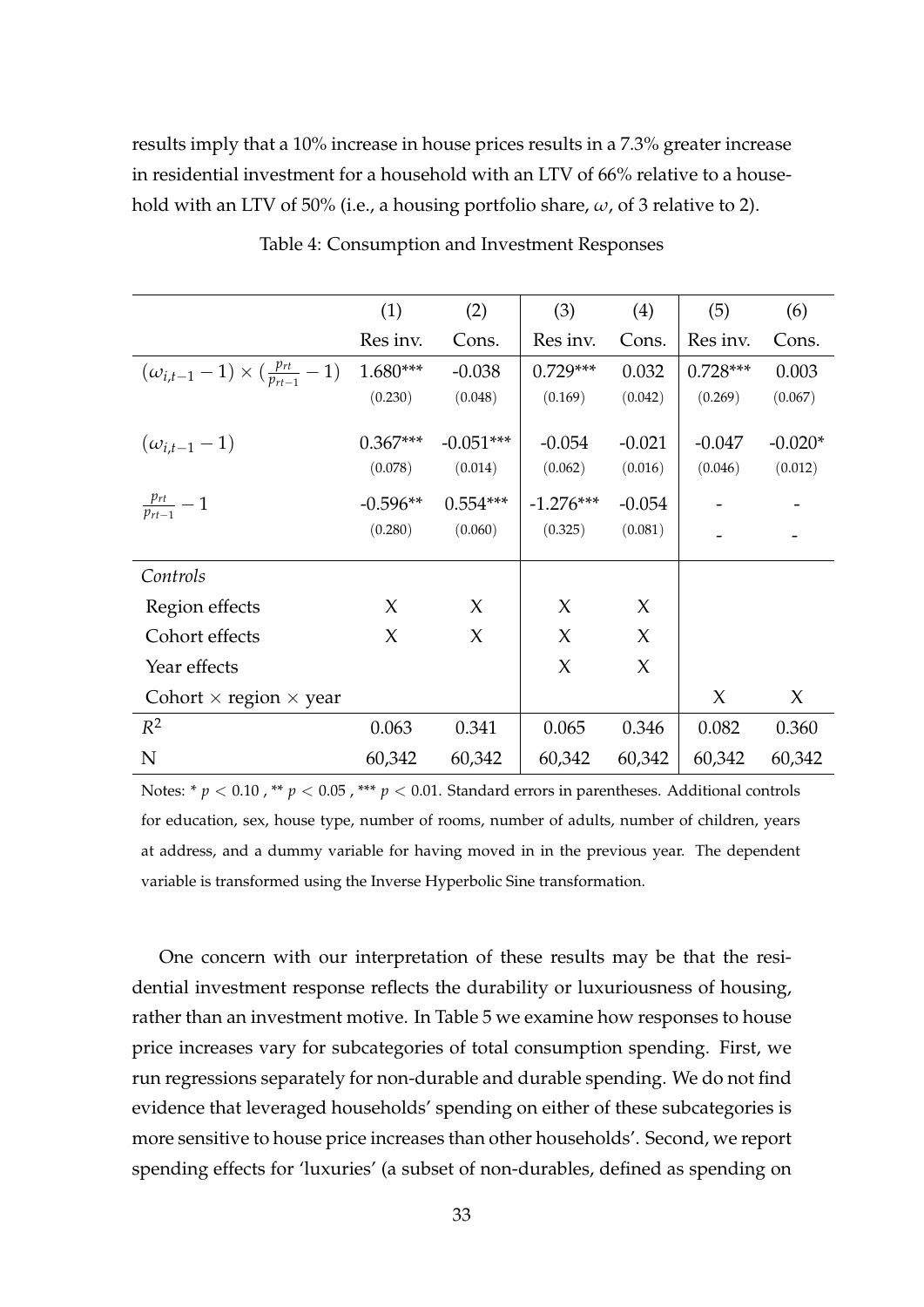results imply that a 10% increase in house prices results in a 7.3% greater increase in residential investment for a household with an LTV of 66% relative to a household with an LTV of 50% (i.e., a housing portfolio share, *ω*, of 3 relative to 2).

|                                                         | (1)                   | (2)                    | (3)                 | (4)                 | (5)                 | (6)                  |
|---------------------------------------------------------|-----------------------|------------------------|---------------------|---------------------|---------------------|----------------------|
|                                                         | Res inv.              | Cons.                  | Res inv.            | Cons.               | Res inv.            | Cons.                |
| $(\omega_{i,t-1}-1) \times (\frac{p_{rt}}{p_{rt-1}}-1)$ | $1.680***$            | $-0.038$               | $0.729***$          | 0.032               | $0.728***$          | 0.003                |
|                                                         | (0.230)               | (0.048)                | (0.169)             | (0.042)             | (0.269)             | (0.067)              |
| $(\omega_{i,t-1}-1)$                                    | $0.367***$<br>(0.078) | $-0.051***$<br>(0.014) | $-0.054$<br>(0.062) | $-0.021$<br>(0.016) | $-0.047$<br>(0.046) | $-0.020*$<br>(0.012) |
| $\frac{p_{rt}}{p_{rt-1}}-1$                             | $-0.596**$            | $0.554***$             | $-1.276***$         | $-0.054$            |                     |                      |
|                                                         | (0.280)               | (0.060)                | (0.325)             | (0.081)             |                     |                      |
| Controls                                                |                       |                        |                     |                     |                     |                      |
| Region effects                                          | X                     | $\chi$                 | X                   | $\chi$              |                     |                      |
| Cohort effects                                          | $\chi$                | $\chi$                 | X                   | $\chi$              |                     |                      |
| Year effects                                            |                       |                        | X                   | $\chi$              |                     |                      |
| Cohort $\times$ region $\times$ year                    |                       |                        |                     |                     | X                   | X                    |
| $R^2$                                                   | 0.063                 | 0.341                  | 0.065               | 0.346               | 0.082               | 0.360                |
| $\mathbf N$                                             | 60,342                | 60,342                 | 60,342              | 60,342              | 60,342              | 60,342               |

Table 4: Consumption and Investment Responses

Notes: \*  $p < 0.10$ , \*\*  $p < 0.05$ , \*\*\*  $p < 0.01$ . Standard errors in parentheses. Additional controls for education, sex, house type, number of rooms, number of adults, number of children, years at address, and a dummy variable for having moved in in the previous year. The dependent variable is transformed using the Inverse Hyperbolic Sine transformation.

One concern with our interpretation of these results may be that the residential investment response reflects the durability or luxuriousness of housing, rather than an investment motive. In Table 5 we examine how responses to house price increases vary for subcategories of total consumption spending. First, we run regressions separately for non-durable and durable spending. We do not find evidence that leveraged households' spending on either of these subcategories is more sensitive to house price increases than other households'. Second, we report spending effects for 'luxuries' (a subset of non-durables, defined as spending on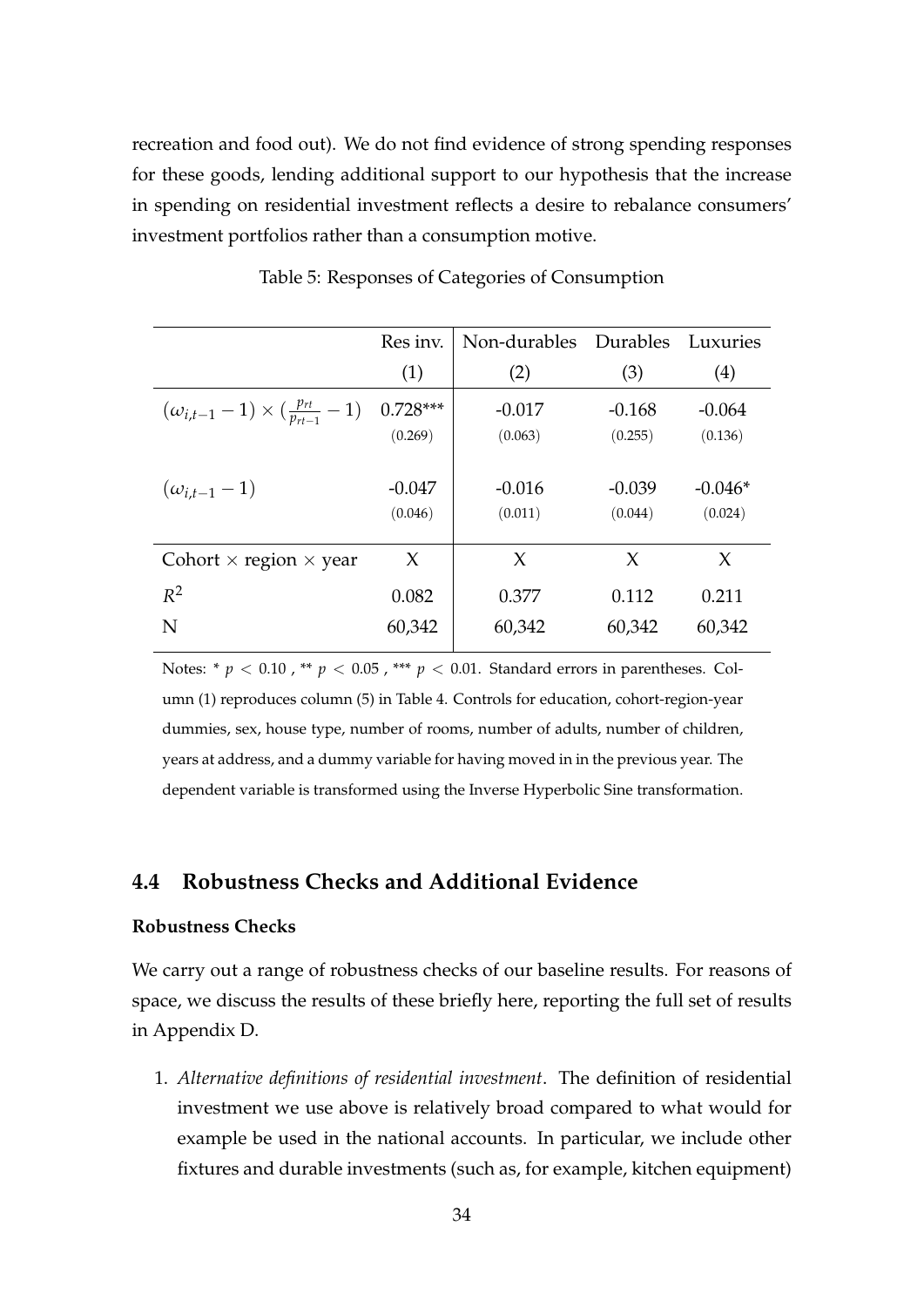recreation and food out). We do not find evidence of strong spending responses for these goods, lending additional support to our hypothesis that the increase in spending on residential investment reflects a desire to rebalance consumers' investment portfolios rather than a consumption motive.

|                                                         | Res inv.<br>(1) | Non-durables Durables<br>(2) | (3)      | Luxuries<br>(4) |
|---------------------------------------------------------|-----------------|------------------------------|----------|-----------------|
| $(\omega_{i,t-1}-1) \times (\frac{p_{rt}}{p_{rt-1}}-1)$ | $0.728***$      | $-0.017$                     | $-0.168$ | $-0.064$        |
|                                                         | (0.269)         | (0.063)                      | (0.255)  | (0.136)         |
| $(\omega_{i,t-1}-1)$                                    | $-0.047$        | $-0.016$                     | $-0.039$ | $-0.046*$       |
|                                                         | (0.046)         | (0.011)                      | (0.044)  | (0.024)         |
| Cohort $\times$ region $\times$ year                    | X               | $\chi$                       | X        | X               |
| $R^2$                                                   | 0.082           | 0.377                        | 0.112    | 0.211           |
| N                                                       | 60,342          | 60,342                       | 60,342   | 60,342          |

Table 5: Responses of Categories of Consumption

Notes: \*  $p$  < 0.10, \*\*  $p$  < 0.05, \*\*\*  $p$  < 0.01. Standard errors in parentheses. Column (1) reproduces column (5) in Table 4. Controls for education, cohort-region-year dummies, sex, house type, number of rooms, number of adults, number of children, years at address, and a dummy variable for having moved in in the previous year. The dependent variable is transformed using the Inverse Hyperbolic Sine transformation.

#### **4.4 Robustness Checks and Additional Evidence**

#### **Robustness Checks**

We carry out a range of robustness checks of our baseline results. For reasons of space, we discuss the results of these briefly here, reporting the full set of results in Appendix D.

1. *Alternative definitions of residential investment*. The definition of residential investment we use above is relatively broad compared to what would for example be used in the national accounts. In particular, we include other fixtures and durable investments (such as, for example, kitchen equipment)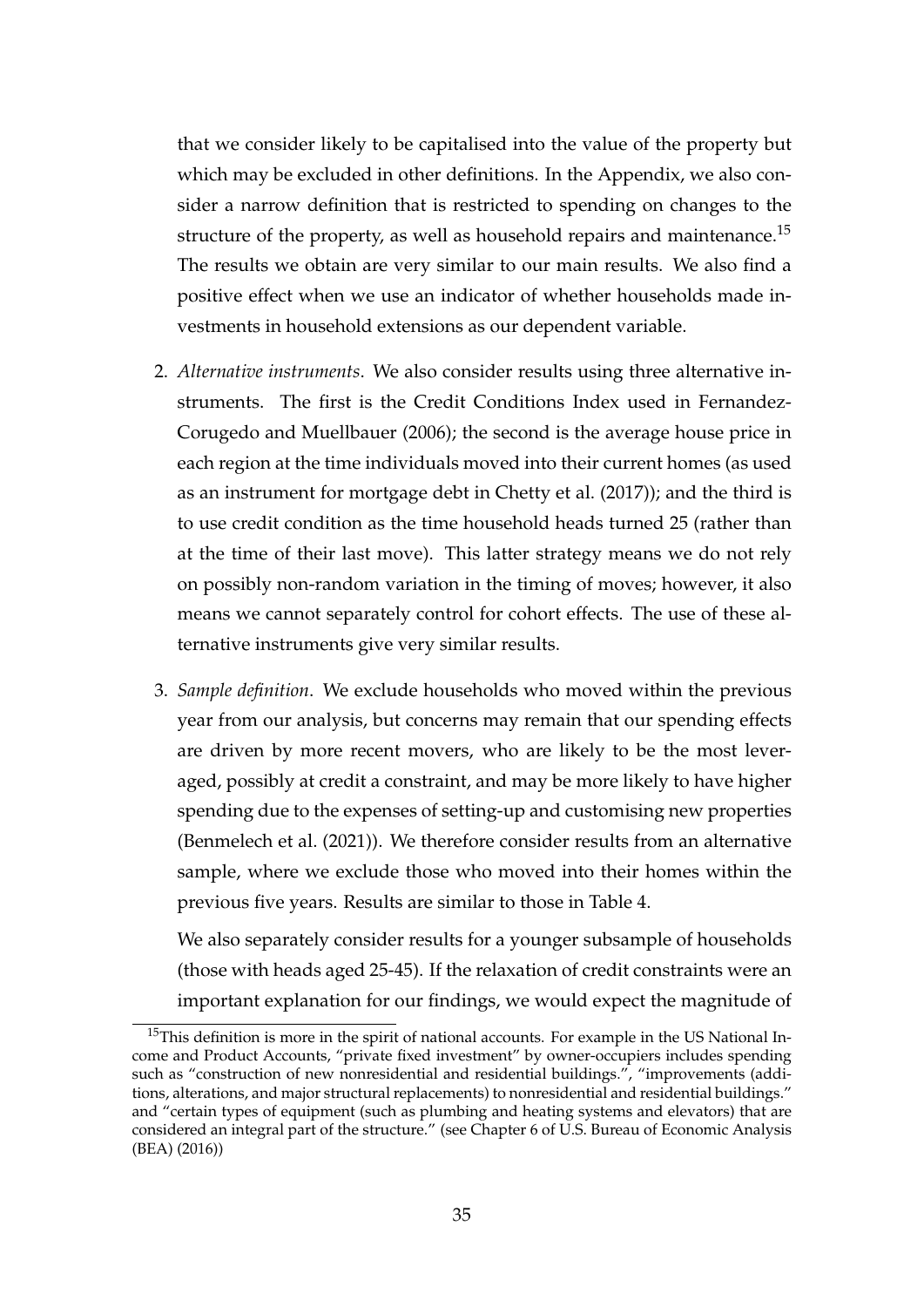that we consider likely to be capitalised into the value of the property but which may be excluded in other definitions. In the Appendix, we also consider a narrow definition that is restricted to spending on changes to the structure of the property, as well as household repairs and maintenance.<sup>15</sup> The results we obtain are very similar to our main results. We also find a positive effect when we use an indicator of whether households made investments in household extensions as our dependent variable.

- 2. *Alternative instruments*. We also consider results using three alternative instruments. The first is the Credit Conditions Index used in Fernandez-Corugedo and Muellbauer (2006); the second is the average house price in each region at the time individuals moved into their current homes (as used as an instrument for mortgage debt in Chetty et al. (2017)); and the third is to use credit condition as the time household heads turned 25 (rather than at the time of their last move). This latter strategy means we do not rely on possibly non-random variation in the timing of moves; however, it also means we cannot separately control for cohort effects. The use of these alternative instruments give very similar results.
- 3. *Sample definition*. We exclude households who moved within the previous year from our analysis, but concerns may remain that our spending effects are driven by more recent movers, who are likely to be the most leveraged, possibly at credit a constraint, and may be more likely to have higher spending due to the expenses of setting-up and customising new properties (Benmelech et al. (2021)). We therefore consider results from an alternative sample, where we exclude those who moved into their homes within the previous five years. Results are similar to those in Table 4.

We also separately consider results for a younger subsample of households (those with heads aged 25-45). If the relaxation of credit constraints were an important explanation for our findings, we would expect the magnitude of

<sup>&</sup>lt;sup>15</sup>This definition is more in the spirit of national accounts. For example in the US National Income and Product Accounts, "private fixed investment" by owner-occupiers includes spending such as "construction of new nonresidential and residential buildings.", "improvements (additions, alterations, and major structural replacements) to nonresidential and residential buildings." and "certain types of equipment (such as plumbing and heating systems and elevators) that are considered an integral part of the structure." (see Chapter 6 of U.S. Bureau of Economic Analysis (BEA) (2016))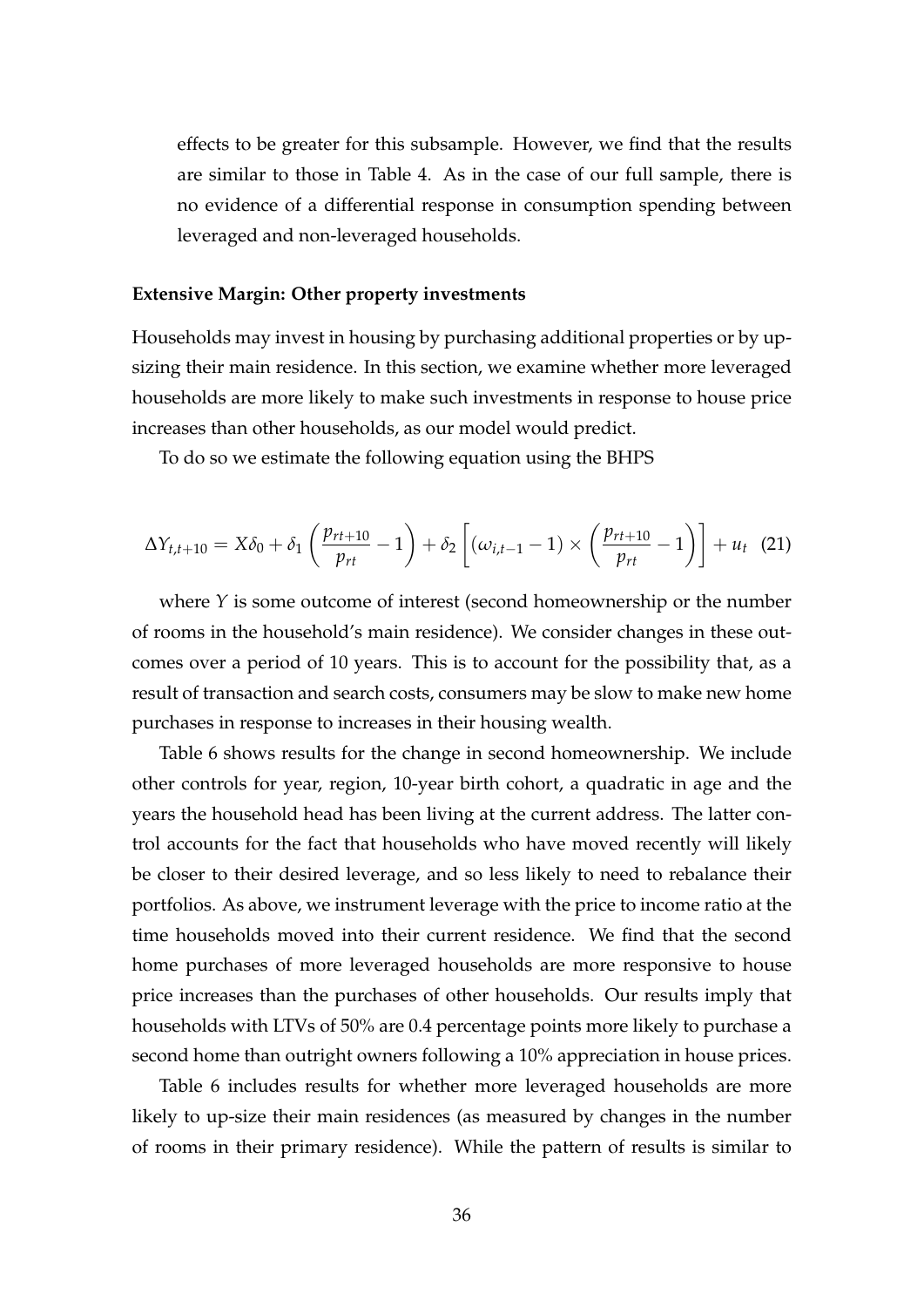effects to be greater for this subsample. However, we find that the results are similar to those in Table 4. As in the case of our full sample, there is no evidence of a differential response in consumption spending between leveraged and non-leveraged households.

#### **Extensive Margin: Other property investments**

Households may invest in housing by purchasing additional properties or by upsizing their main residence. In this section, we examine whether more leveraged households are more likely to make such investments in response to house price increases than other households, as our model would predict.

To do so we estimate the following equation using the BHPS

$$
\Delta Y_{t,t+10} = X\delta_0 + \delta_1 \left(\frac{p_{rt+10}}{p_{rt}} - 1\right) + \delta_2 \left[ \left(\omega_{i,t-1} - 1\right) \times \left(\frac{p_{rt+10}}{p_{rt}} - 1\right) \right] + u_t \quad (21)
$$

where *Y* is some outcome of interest (second homeownership or the number of rooms in the household's main residence). We consider changes in these outcomes over a period of 10 years. This is to account for the possibility that, as a result of transaction and search costs, consumers may be slow to make new home purchases in response to increases in their housing wealth.

Table 6 shows results for the change in second homeownership. We include other controls for year, region, 10-year birth cohort, a quadratic in age and the years the household head has been living at the current address. The latter control accounts for the fact that households who have moved recently will likely be closer to their desired leverage, and so less likely to need to rebalance their portfolios. As above, we instrument leverage with the price to income ratio at the time households moved into their current residence. We find that the second home purchases of more leveraged households are more responsive to house price increases than the purchases of other households. Our results imply that households with LTVs of 50% are 0.4 percentage points more likely to purchase a second home than outright owners following a 10% appreciation in house prices.

Table 6 includes results for whether more leveraged households are more likely to up-size their main residences (as measured by changes in the number of rooms in their primary residence). While the pattern of results is similar to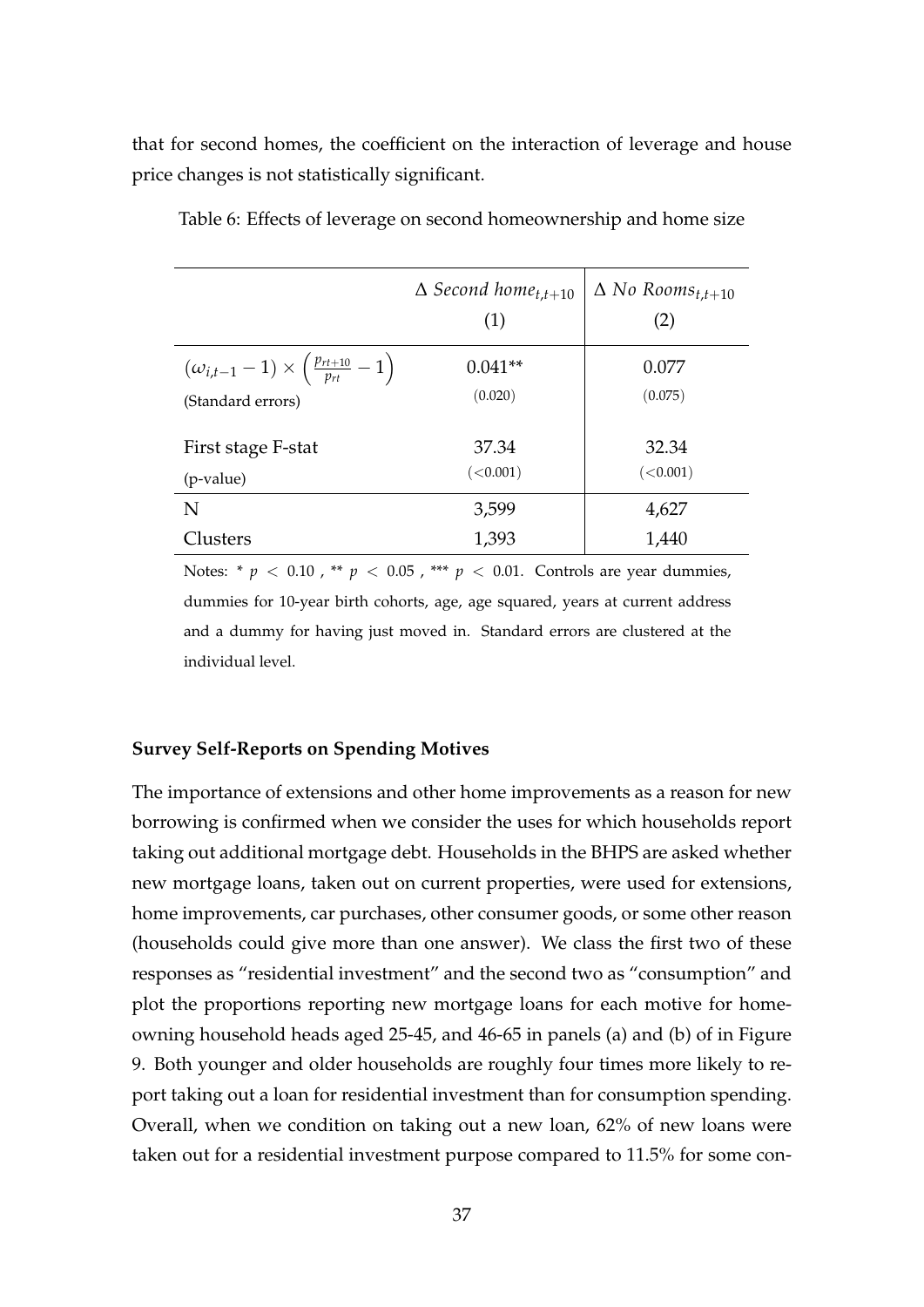that for second homes, the coefficient on the interaction of leverage and house price changes is not statistically significant.

|                                                                                        | $\Delta$ Second home <sub>t.t+10</sub><br>(1) | $\Delta$ No Rooms <sub>t,t+10</sub><br>(2) |
|----------------------------------------------------------------------------------------|-----------------------------------------------|--------------------------------------------|
| $(\omega_{i,t-1}-1)\times\left(\frac{p_{rt+10}}{p_{rt}}-1\right)$<br>(Standard errors) | $0.041**$<br>(0.020)                          | 0.077<br>(0.075)                           |
| First stage F-stat<br>(p-value)                                                        | 37.34<br>(<0.001)                             | 32.34<br>(<0.001)                          |
| N                                                                                      | 3,599                                         | 4,627                                      |
| Clusters                                                                               | 1,393                                         | 1,440                                      |

Table 6: Effects of leverage on second homeownership and home size

Notes: \* *p* < 0.10 , \*\* *p* < 0.05 , \*\*\* *p* < 0.01. Controls are year dummies, dummies for 10-year birth cohorts, age, age squared, years at current address and a dummy for having just moved in. Standard errors are clustered at the individual level.

#### **Survey Self-Reports on Spending Motives**

The importance of extensions and other home improvements as a reason for new borrowing is confirmed when we consider the uses for which households report taking out additional mortgage debt. Households in the BHPS are asked whether new mortgage loans, taken out on current properties, were used for extensions, home improvements, car purchases, other consumer goods, or some other reason (households could give more than one answer). We class the first two of these responses as "residential investment" and the second two as "consumption" and plot the proportions reporting new mortgage loans for each motive for homeowning household heads aged 25-45, and 46-65 in panels (a) and (b) of in Figure 9. Both younger and older households are roughly four times more likely to report taking out a loan for residential investment than for consumption spending. Overall, when we condition on taking out a new loan, 62% of new loans were taken out for a residential investment purpose compared to 11.5% for some con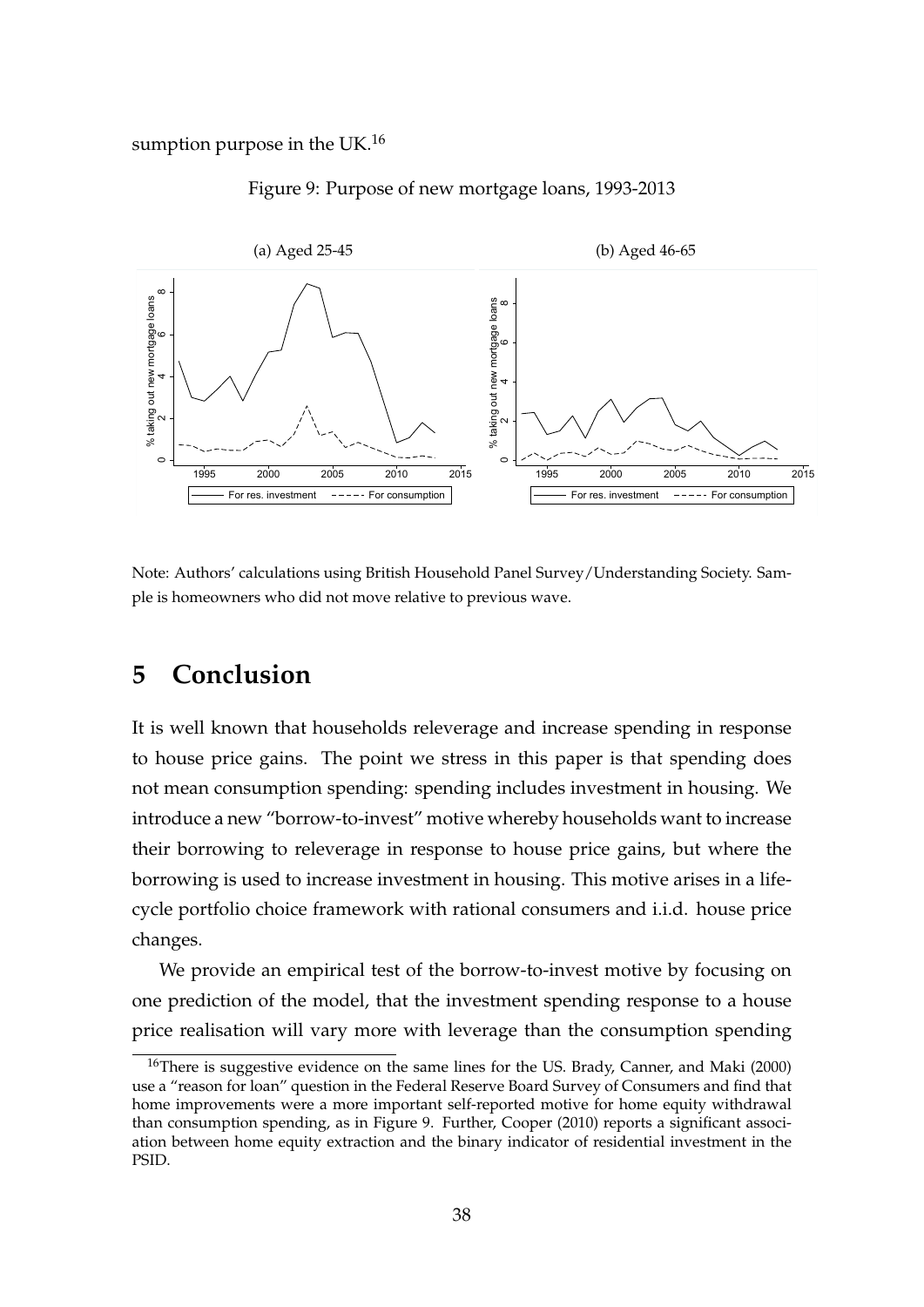sumption purpose in the UK. $^{16}$ 

#### Figure 9: Purpose of new mortgage loans, 1993-2013



Note: Authors' calculations using British Household Panel Survey/Understanding Society. Sample is homeowners who did not move relative to previous wave.

## **5 Conclusion**

It is well known that households releverage and increase spending in response to house price gains. The point we stress in this paper is that spending does not mean consumption spending: spending includes investment in housing. We introduce a new "borrow-to-invest" motive whereby households want to increase their borrowing to releverage in response to house price gains, but where the borrowing is used to increase investment in housing. This motive arises in a lifecycle portfolio choice framework with rational consumers and i.i.d. house price changes.

We provide an empirical test of the borrow-to-invest motive by focusing on one prediction of the model, that the investment spending response to a house price realisation will vary more with leverage than the consumption spending

<sup>&</sup>lt;sup>16</sup>There is suggestive evidence on the same lines for the US. Brady, Canner, and Maki (2000) use a "reason for loan" question in the Federal Reserve Board Survey of Consumers and find that home improvements were a more important self-reported motive for home equity withdrawal than consumption spending, as in Figure 9. Further, Cooper (2010) reports a significant association between home equity extraction and the binary indicator of residential investment in the PSID.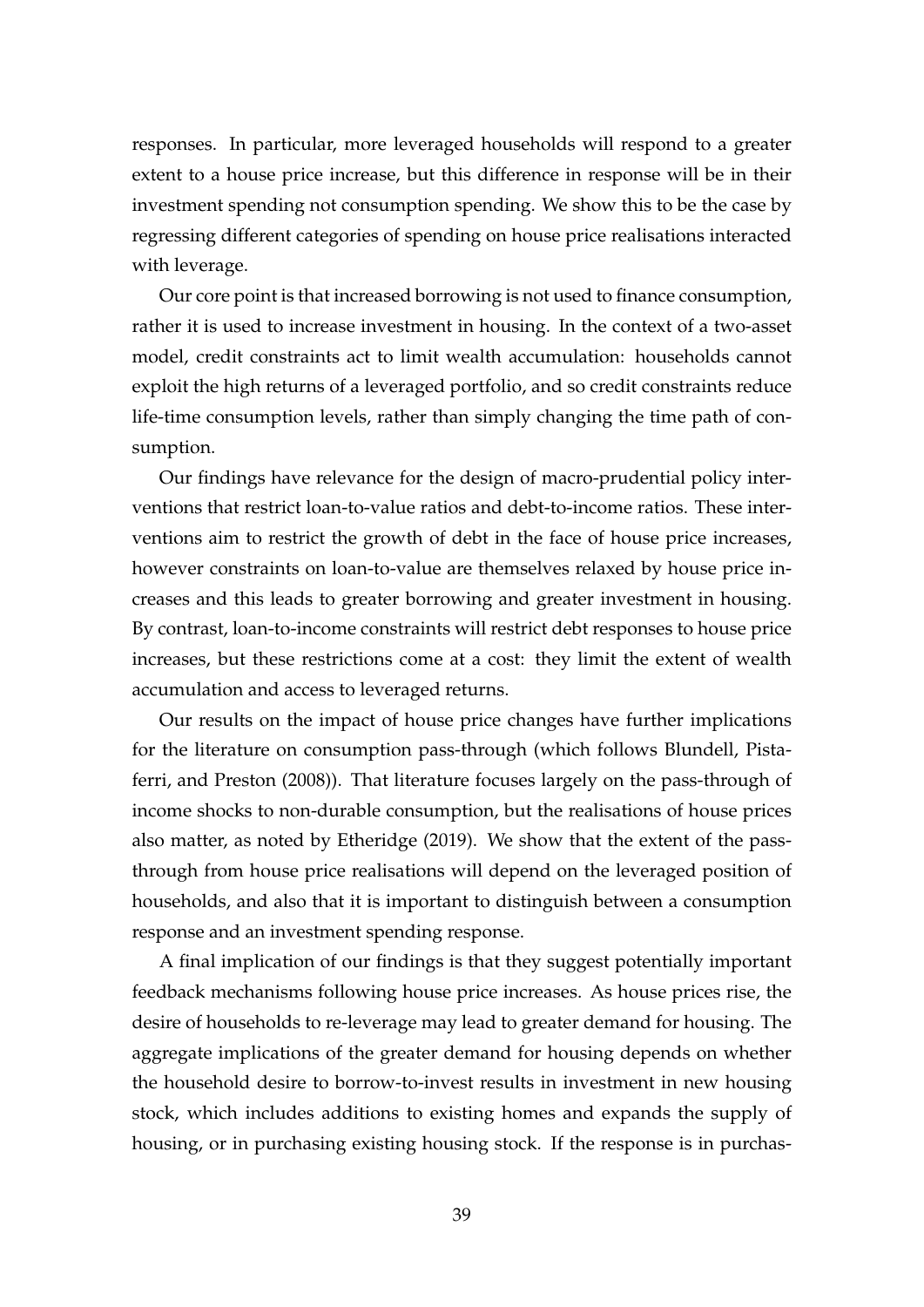responses. In particular, more leveraged households will respond to a greater extent to a house price increase, but this difference in response will be in their investment spending not consumption spending. We show this to be the case by regressing different categories of spending on house price realisations interacted with leverage.

Our core point is that increased borrowing is not used to finance consumption, rather it is used to increase investment in housing. In the context of a two-asset model, credit constraints act to limit wealth accumulation: households cannot exploit the high returns of a leveraged portfolio, and so credit constraints reduce life-time consumption levels, rather than simply changing the time path of consumption.

Our findings have relevance for the design of macro-prudential policy interventions that restrict loan-to-value ratios and debt-to-income ratios. These interventions aim to restrict the growth of debt in the face of house price increases, however constraints on loan-to-value are themselves relaxed by house price increases and this leads to greater borrowing and greater investment in housing. By contrast, loan-to-income constraints will restrict debt responses to house price increases, but these restrictions come at a cost: they limit the extent of wealth accumulation and access to leveraged returns.

Our results on the impact of house price changes have further implications for the literature on consumption pass-through (which follows Blundell, Pistaferri, and Preston (2008)). That literature focuses largely on the pass-through of income shocks to non-durable consumption, but the realisations of house prices also matter, as noted by Etheridge (2019). We show that the extent of the passthrough from house price realisations will depend on the leveraged position of households, and also that it is important to distinguish between a consumption response and an investment spending response.

A final implication of our findings is that they suggest potentially important feedback mechanisms following house price increases. As house prices rise, the desire of households to re-leverage may lead to greater demand for housing. The aggregate implications of the greater demand for housing depends on whether the household desire to borrow-to-invest results in investment in new housing stock, which includes additions to existing homes and expands the supply of housing, or in purchasing existing housing stock. If the response is in purchas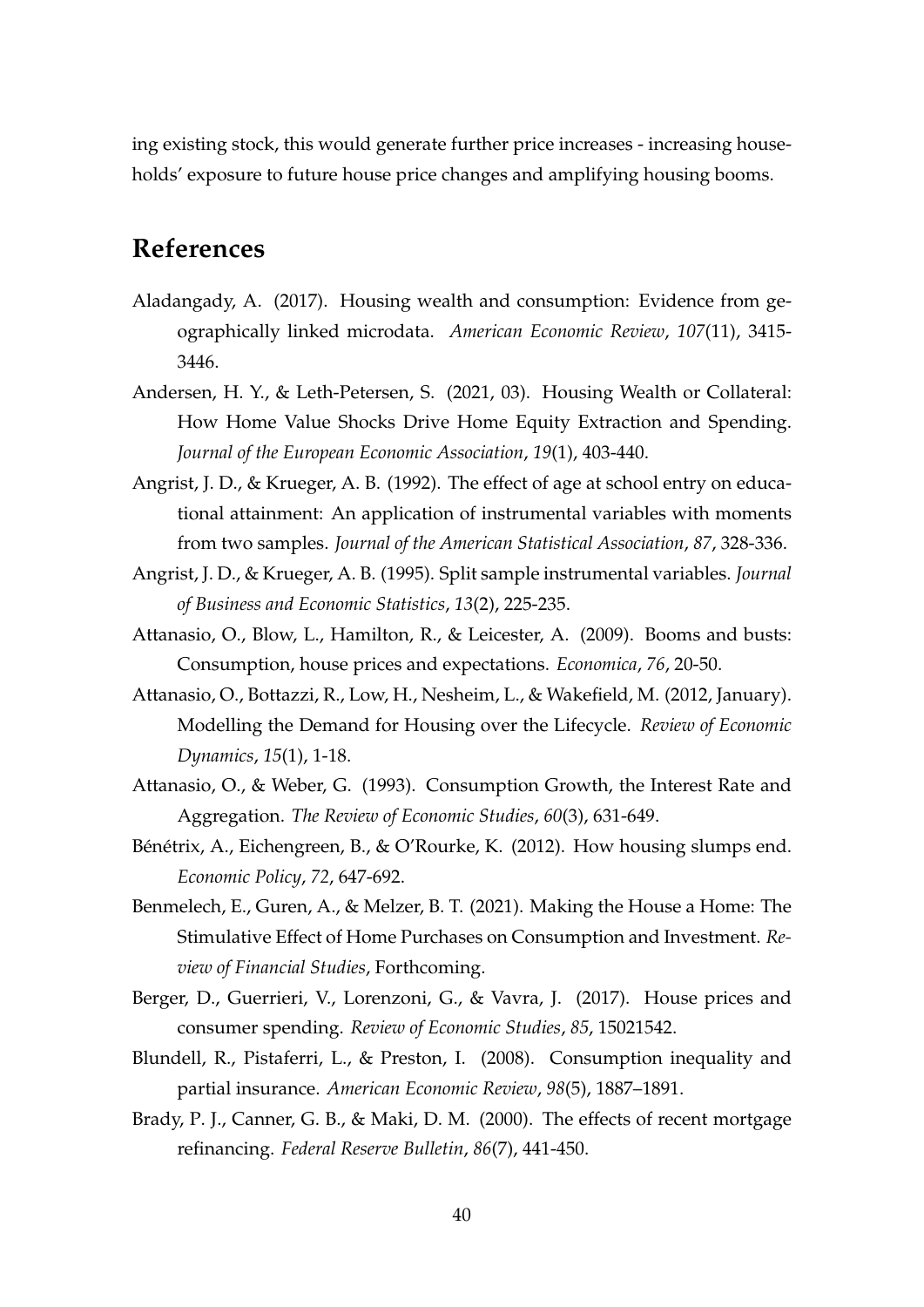ing existing stock, this would generate further price increases - increasing households' exposure to future house price changes and amplifying housing booms.

## **References**

- Aladangady, A. (2017). Housing wealth and consumption: Evidence from geographically linked microdata. *American Economic Review*, *107*(11), 3415- 3446.
- Andersen, H. Y., & Leth-Petersen, S. (2021, 03). Housing Wealth or Collateral: How Home Value Shocks Drive Home Equity Extraction and Spending. *Journal of the European Economic Association*, *19*(1), 403-440.
- Angrist, J. D., & Krueger, A. B. (1992). The effect of age at school entry on educational attainment: An application of instrumental variables with moments from two samples. *Journal of the American Statistical Association*, *87*, 328-336.
- Angrist, J. D., & Krueger, A. B. (1995). Split sample instrumental variables. *Journal of Business and Economic Statistics*, *13*(2), 225-235.
- Attanasio, O., Blow, L., Hamilton, R., & Leicester, A. (2009). Booms and busts: Consumption, house prices and expectations. *Economica*, *76*, 20-50.
- Attanasio, O., Bottazzi, R., Low, H., Nesheim, L., & Wakefield, M. (2012, January). Modelling the Demand for Housing over the Lifecycle. *Review of Economic Dynamics*, *15*(1), 1-18.
- Attanasio, O., & Weber, G. (1993). Consumption Growth, the Interest Rate and Aggregation. *The Review of Economic Studies*, *60*(3), 631-649.
- Bénétrix, A., Eichengreen, B., & O'Rourke, K. (2012). How housing slumps end. *Economic Policy*, *72*, 647-692.
- Benmelech, E., Guren, A., & Melzer, B. T. (2021). Making the House a Home: The Stimulative Effect of Home Purchases on Consumption and Investment. *Review of Financial Studies*, Forthcoming.
- Berger, D., Guerrieri, V., Lorenzoni, G., & Vavra, J. (2017). House prices and consumer spending. *Review of Economic Studies*, *85*, 15021542.
- Blundell, R., Pistaferri, L., & Preston, I. (2008). Consumption inequality and partial insurance. *American Economic Review*, *98*(5), 1887–1891.
- Brady, P. J., Canner, G. B., & Maki, D. M. (2000). The effects of recent mortgage refinancing. *Federal Reserve Bulletin*, *86*(7), 441-450.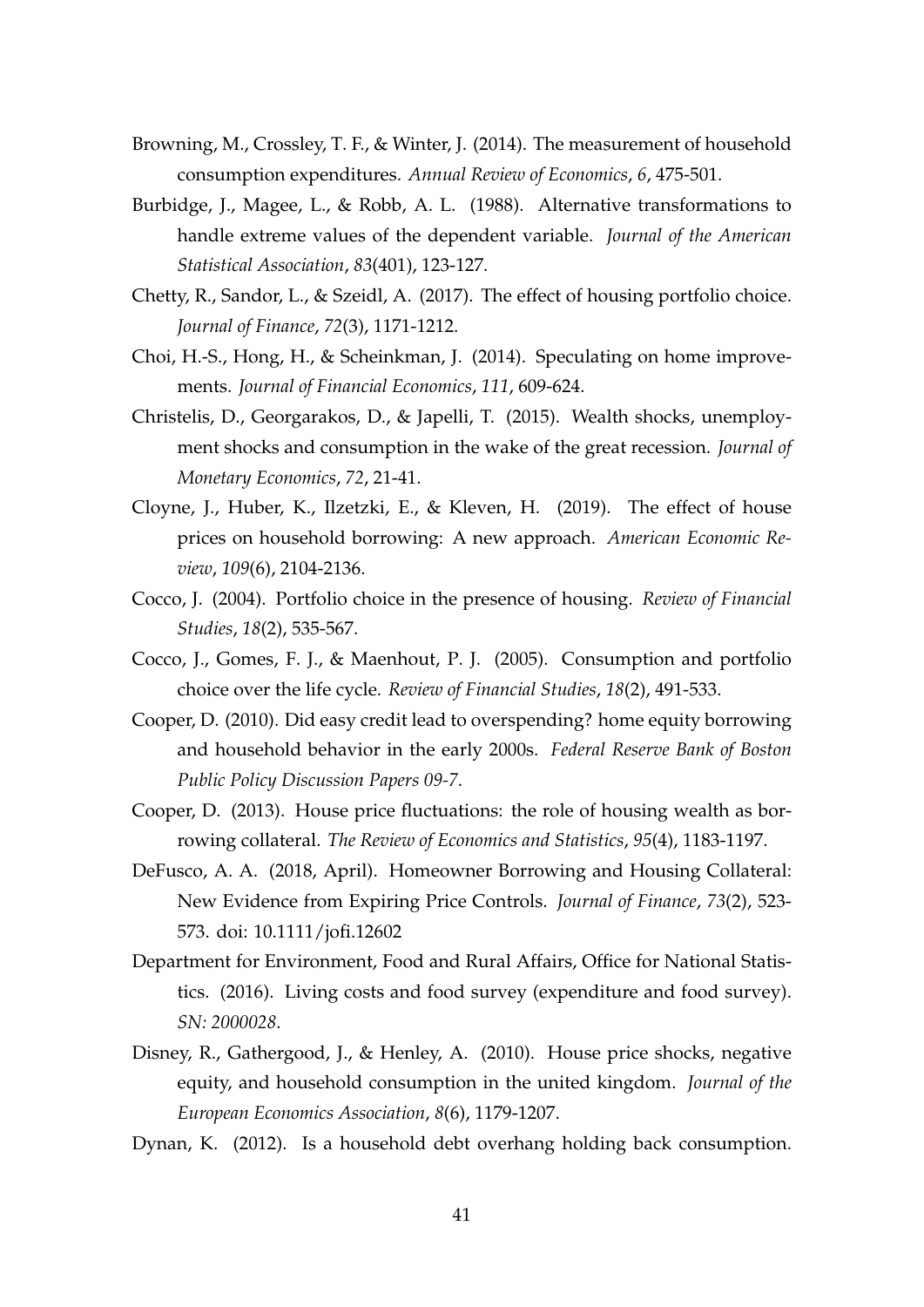- Browning, M., Crossley, T. F., & Winter, J. (2014). The measurement of household consumption expenditures. *Annual Review of Economics*, *6*, 475-501.
- Burbidge, J., Magee, L., & Robb, A. L. (1988). Alternative transformations to handle extreme values of the dependent variable. *Journal of the American Statistical Association*, *83*(401), 123-127.
- Chetty, R., Sandor, L., & Szeidl, A. (2017). The effect of housing portfolio choice. *Journal of Finance*, *72*(3), 1171-1212.
- Choi, H.-S., Hong, H., & Scheinkman, J. (2014). Speculating on home improvements. *Journal of Financial Economics*, *111*, 609-624.
- Christelis, D., Georgarakos, D., & Japelli, T. (2015). Wealth shocks, unemployment shocks and consumption in the wake of the great recession. *Journal of Monetary Economics*, *72*, 21-41.
- Cloyne, J., Huber, K., Ilzetzki, E., & Kleven, H. (2019). The effect of house prices on household borrowing: A new approach. *American Economic Review*, *109*(6), 2104-2136.
- Cocco, J. (2004). Portfolio choice in the presence of housing. *Review of Financial Studies*, *18*(2), 535-567.
- Cocco, J., Gomes, F. J., & Maenhout, P. J. (2005). Consumption and portfolio choice over the life cycle. *Review of Financial Studies*, *18*(2), 491-533.
- Cooper, D. (2010). Did easy credit lead to overspending? home equity borrowing and household behavior in the early 2000s. *Federal Reserve Bank of Boston Public Policy Discussion Papers 09-7*.
- Cooper, D. (2013). House price fluctuations: the role of housing wealth as borrowing collateral. *The Review of Economics and Statistics*, *95*(4), 1183-1197.
- DeFusco, A. A. (2018, April). Homeowner Borrowing and Housing Collateral: New Evidence from Expiring Price Controls. *Journal of Finance*, *73*(2), 523- 573. doi: 10.1111/jofi.12602
- Department for Environment, Food and Rural Affairs, Office for National Statistics. (2016). Living costs and food survey (expenditure and food survey). *SN: 2000028*.
- Disney, R., Gathergood, J., & Henley, A. (2010). House price shocks, negative equity, and household consumption in the united kingdom. *Journal of the European Economics Association*, *8*(6), 1179-1207.

Dynan, K. (2012). Is a household debt overhang holding back consumption.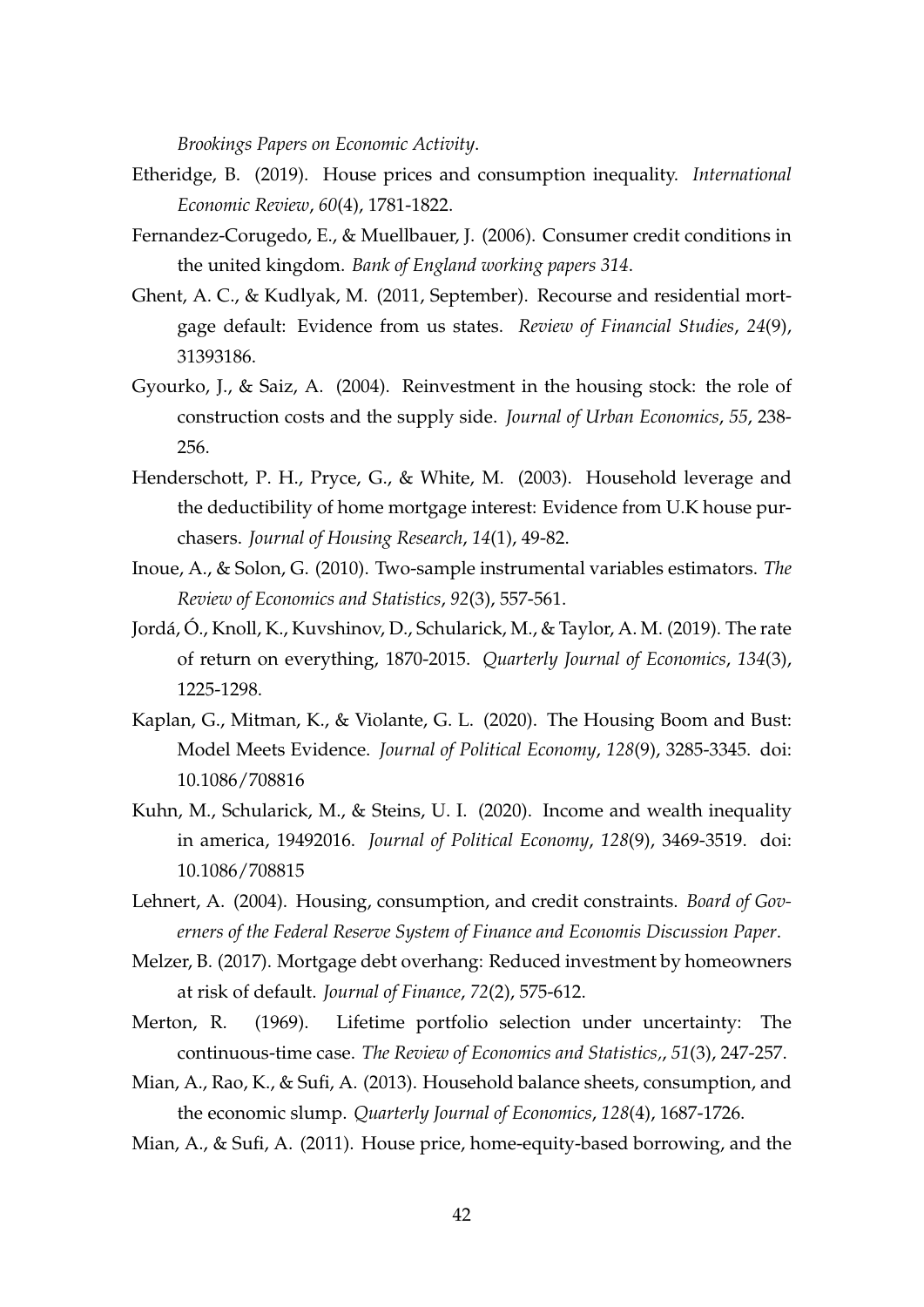*Brookings Papers on Economic Activity*.

- Etheridge, B. (2019). House prices and consumption inequality. *International Economic Review*, *60*(4), 1781-1822.
- Fernandez-Corugedo, E., & Muellbauer, J. (2006). Consumer credit conditions in the united kingdom. *Bank of England working papers 314*.
- Ghent, A. C., & Kudlyak, M. (2011, September). Recourse and residential mortgage default: Evidence from us states. *Review of Financial Studies*, *24*(9), 31393186.
- Gyourko, J., & Saiz, A. (2004). Reinvestment in the housing stock: the role of construction costs and the supply side. *Journal of Urban Economics*, *55*, 238- 256.
- Henderschott, P. H., Pryce, G., & White, M. (2003). Household leverage and the deductibility of home mortgage interest: Evidence from U.K house purchasers. *Journal of Housing Research*, *14*(1), 49-82.
- Inoue, A., & Solon, G. (2010). Two-sample instrumental variables estimators. *The Review of Economics and Statistics*, *92*(3), 557-561.
- Jordá, Ó., Knoll, K., Kuvshinov, D., Schularick, M., & Taylor, A. M. (2019). The rate of return on everything, 1870-2015. *Quarterly Journal of Economics*, *134*(3), 1225-1298.
- Kaplan, G., Mitman, K., & Violante, G. L. (2020). The Housing Boom and Bust: Model Meets Evidence. *Journal of Political Economy*, *128*(9), 3285-3345. doi: 10.1086/708816
- Kuhn, M., Schularick, M., & Steins, U. I. (2020). Income and wealth inequality in america, 19492016. *Journal of Political Economy*, *128*(9), 3469-3519. doi: 10.1086/708815
- Lehnert, A. (2004). Housing, consumption, and credit constraints. *Board of Governers of the Federal Reserve System of Finance and Economis Discussion Paper*.
- Melzer, B. (2017). Mortgage debt overhang: Reduced investment by homeowners at risk of default. *Journal of Finance*, *72*(2), 575-612.
- Merton, R. (1969). Lifetime portfolio selection under uncertainty: The continuous-time case. *The Review of Economics and Statistics,*, *51*(3), 247-257.
- Mian, A., Rao, K., & Sufi, A. (2013). Household balance sheets, consumption, and the economic slump. *Quarterly Journal of Economics*, *128*(4), 1687-1726.
- Mian, A., & Sufi, A. (2011). House price, home-equity-based borrowing, and the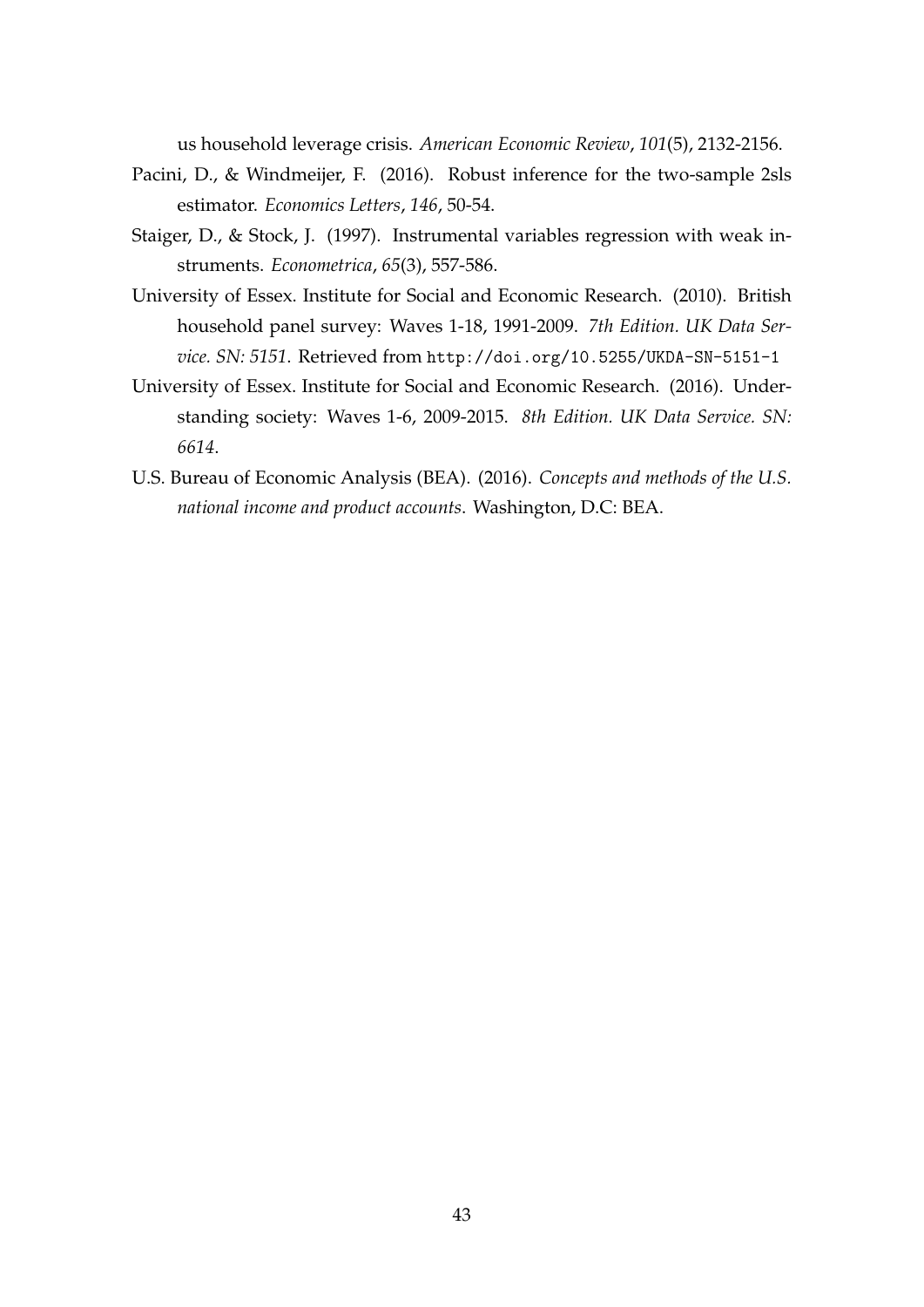us household leverage crisis. *American Economic Review*, *101*(5), 2132-2156.

- Pacini, D., & Windmeijer, F. (2016). Robust inference for the two-sample 2sls estimator. *Economics Letters*, *146*, 50-54.
- Staiger, D., & Stock, J. (1997). Instrumental variables regression with weak instruments. *Econometrica*, *65*(3), 557-586.
- University of Essex. Institute for Social and Economic Research. (2010). British household panel survey: Waves 1-18, 1991-2009. *7th Edition. UK Data Service. SN: 5151*. Retrieved from http://doi.org/10.5255/UKDA-SN-5151-1
- University of Essex. Institute for Social and Economic Research. (2016). Understanding society: Waves 1-6, 2009-2015. *8th Edition. UK Data Service. SN: 6614*.
- U.S. Bureau of Economic Analysis (BEA). (2016). *Concepts and methods of the U.S. national income and product accounts*. Washington, D.C: BEA.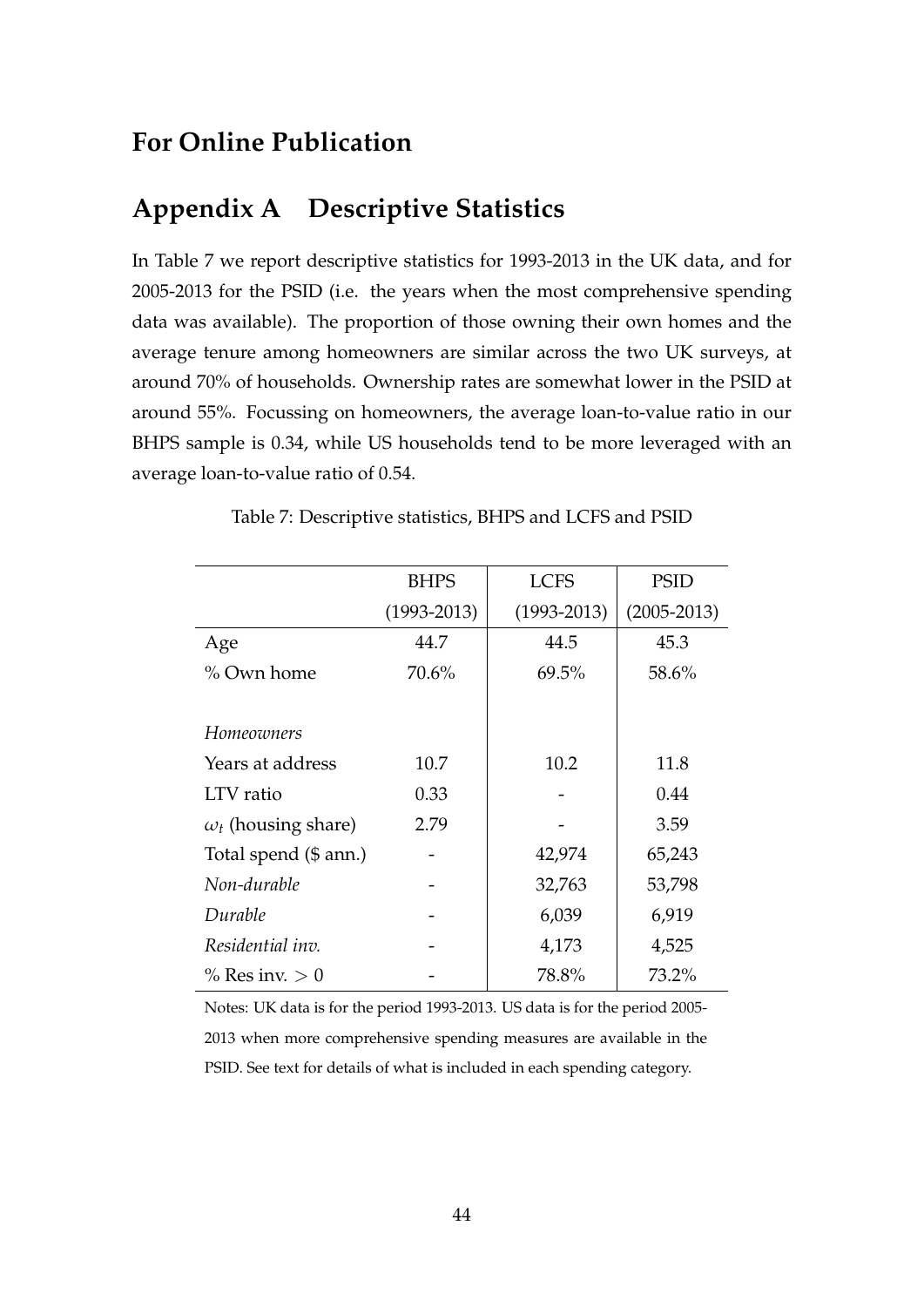## **For Online Publication**

## **Appendix A Descriptive Statistics**

In Table 7 we report descriptive statistics for 1993-2013 in the UK data, and for 2005-2013 for the PSID (i.e. the years when the most comprehensive spending data was available). The proportion of those owning their own homes and the average tenure among homeowners are similar across the two UK surveys, at around 70% of households. Ownership rates are somewhat lower in the PSID at around 55%. Focussing on homeowners, the average loan-to-value ratio in our BHPS sample is 0.34, while US households tend to be more leveraged with an average loan-to-value ratio of 0.54.

|                            | <b>BHPS</b>     | <b>LCFS</b>     | <b>PSID</b>     |
|----------------------------|-----------------|-----------------|-----------------|
|                            | $(1993 - 2013)$ | $(1993 - 2013)$ | $(2005 - 2013)$ |
| Age                        | 44.7            | 44.5            | 45.3            |
| % Own home                 | 70.6%           | 69.5%           | 58.6%           |
|                            |                 |                 |                 |
| Homeowners                 |                 |                 |                 |
| Years at address           | 10.7            | 10.2            | 11.8            |
| LTV ratio                  | 0.33            |                 | 0.44            |
| $\omega_t$ (housing share) | 2.79            |                 | 3.59            |
| Total spend (\$ ann.)      |                 | 42,974          | 65,243          |
| Non-durable                |                 | 32,763          | 53,798          |
| Durable                    |                 | 6,039           | 6,919           |
| Residential inv.           |                 | 4,173           | 4,525           |
| $\%$ Res inv. $> 0$        |                 | 78.8%           | 73.2%           |
|                            |                 |                 |                 |

Table 7: Descriptive statistics, BHPS and LCFS and PSID

Notes: UK data is for the period 1993-2013. US data is for the period 2005- 2013 when more comprehensive spending measures are available in the PSID. See text for details of what is included in each spending category.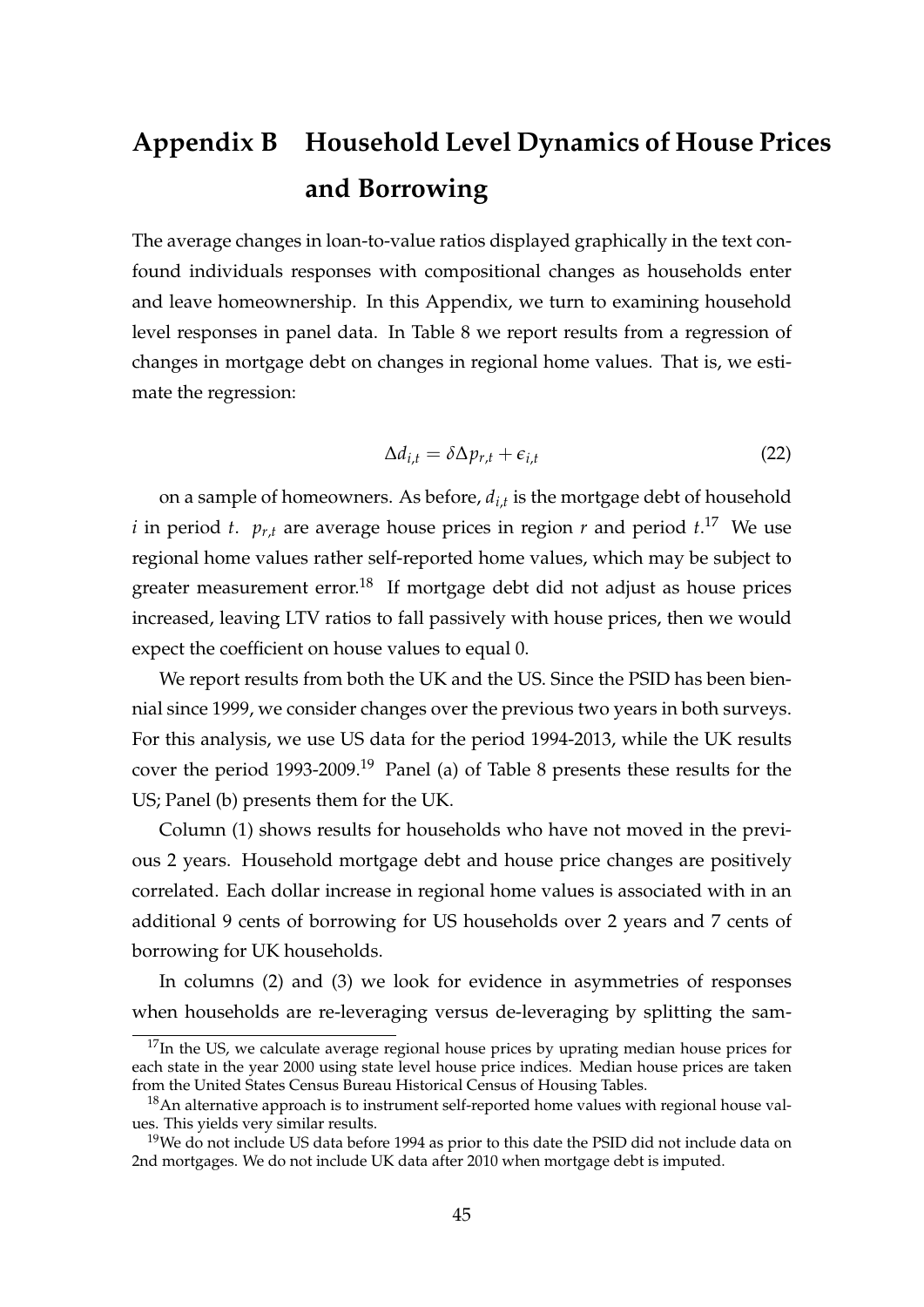## **Appendix B Household Level Dynamics of House Prices and Borrowing**

The average changes in loan-to-value ratios displayed graphically in the text confound individuals responses with compositional changes as households enter and leave homeownership. In this Appendix, we turn to examining household level responses in panel data. In Table 8 we report results from a regression of changes in mortgage debt on changes in regional home values. That is, we estimate the regression:

$$
\Delta d_{i,t} = \delta \Delta p_{r,t} + \epsilon_{i,t} \tag{22}
$$

on a sample of homeowners. As before, *di*,*<sup>t</sup>* is the mortgage debt of household *i* in period *t*.  $p_{r,t}$  are average house prices in region *r* and period  $t$ .<sup>17</sup> We use regional home values rather self-reported home values, which may be subject to greater measurement error.<sup>18</sup> If mortgage debt did not adjust as house prices increased, leaving LTV ratios to fall passively with house prices, then we would expect the coefficient on house values to equal 0.

We report results from both the UK and the US. Since the PSID has been biennial since 1999, we consider changes over the previous two years in both surveys. For this analysis, we use US data for the period 1994-2013, while the UK results cover the period 1993-2009.<sup>19</sup> Panel (a) of Table 8 presents these results for the US; Panel (b) presents them for the UK.

Column (1) shows results for households who have not moved in the previous 2 years. Household mortgage debt and house price changes are positively correlated. Each dollar increase in regional home values is associated with in an additional 9 cents of borrowing for US households over 2 years and 7 cents of borrowing for UK households.

In columns (2) and (3) we look for evidence in asymmetries of responses when households are re-leveraging versus de-leveraging by splitting the sam-

 $17$ In the US, we calculate average regional house prices by uprating median house prices for each state in the year 2000 using state level house price indices. Median house prices are taken from the United States Census Bureau Historical Census of Housing Tables.

 $18$ An alternative approach is to instrument self-reported home values with regional house values. This yields very similar results.

 $19$ We do not include US data before 1994 as prior to this date the PSID did not include data on 2nd mortgages. We do not include UK data after 2010 when mortgage debt is imputed.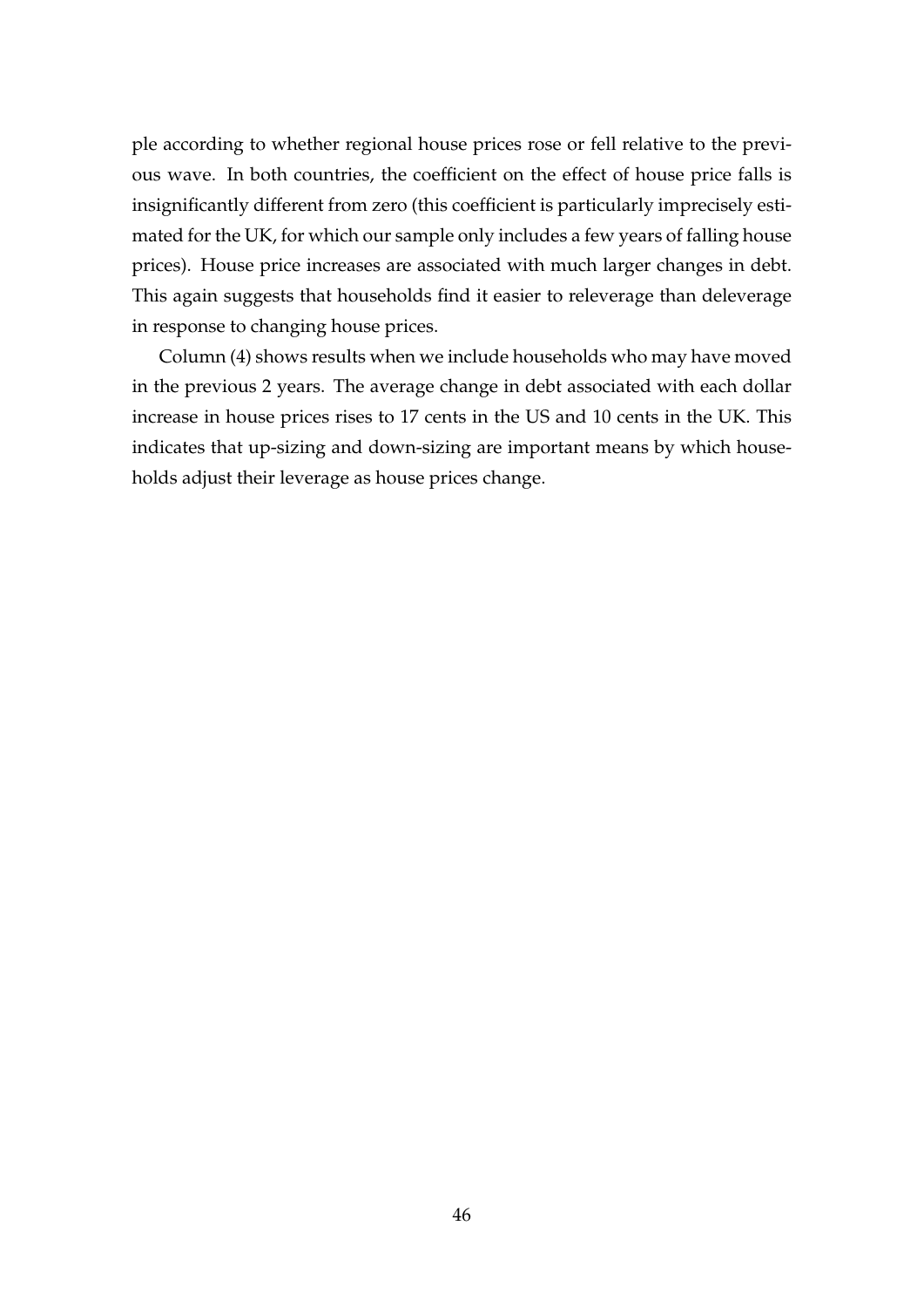ple according to whether regional house prices rose or fell relative to the previous wave. In both countries, the coefficient on the effect of house price falls is insignificantly different from zero (this coefficient is particularly imprecisely estimated for the UK, for which our sample only includes a few years of falling house prices). House price increases are associated with much larger changes in debt. This again suggests that households find it easier to releverage than deleverage in response to changing house prices.

Column (4) shows results when we include households who may have moved in the previous 2 years. The average change in debt associated with each dollar increase in house prices rises to 17 cents in the US and 10 cents in the UK. This indicates that up-sizing and down-sizing are important means by which households adjust their leverage as house prices change.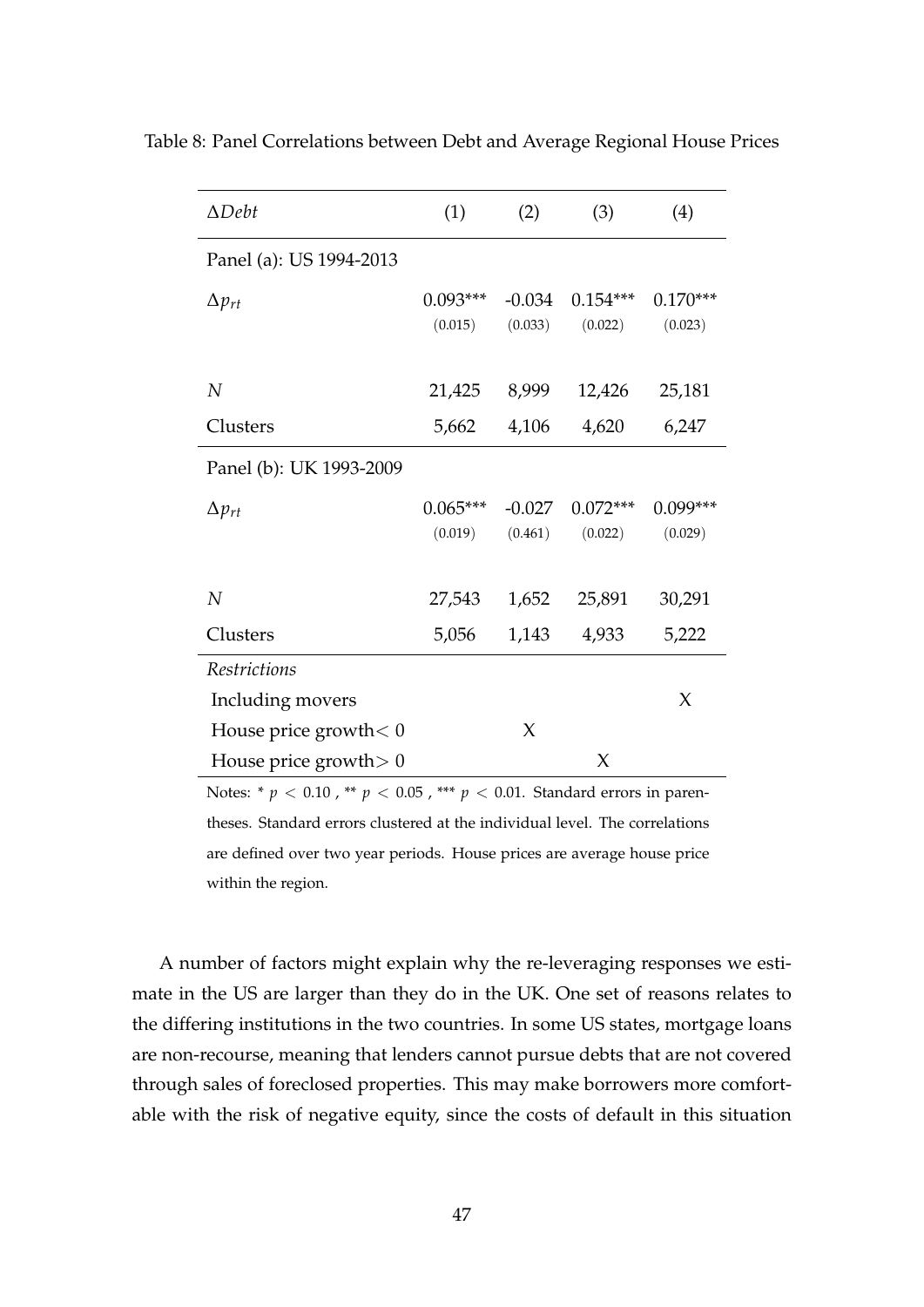| $\Delta$ Debt            | (1)        | (2)      | (3)        | (4)        |
|--------------------------|------------|----------|------------|------------|
| Panel (a): US 1994-2013  |            |          |            |            |
| $\Delta p_{rt}$          | $0.093***$ | $-0.034$ | $0.154***$ | $0.170***$ |
|                          | (0.015)    | (0.033)  | (0.022)    | (0.023)    |
| N                        | 21,425     | 8,999    | 12,426     | 25,181     |
| Clusters                 | 5,662      | 4,106    | 4,620      | 6,247      |
| Panel (b): UK 1993-2009  |            |          |            |            |
| $\Delta p_{rt}$          | $0.065***$ | $-0.027$ | $0.072***$ | $0.099***$ |
|                          | (0.019)    | (0.461)  | (0.022)    | (0.029)    |
| $\overline{N}$           | 27,543     | 1,652    | 25,891     | 30,291     |
| Clusters                 | 5,056      | 1,143    | 4,933      | 5,222      |
| <b>Restrictions</b>      |            |          |            |            |
| Including movers         |            |          |            | X          |
| House price growth $< 0$ |            | $\chi$   |            |            |
| House price growth $> 0$ |            |          | X          |            |

Table 8: Panel Correlations between Debt and Average Regional House Prices

Notes: \*  $p < 0.10$ , \*\*  $p < 0.05$ , \*\*\*  $p < 0.01$ . Standard errors in parentheses. Standard errors clustered at the individual level. The correlations are defined over two year periods. House prices are average house price within the region.

A number of factors might explain why the re-leveraging responses we estimate in the US are larger than they do in the UK. One set of reasons relates to the differing institutions in the two countries. In some US states, mortgage loans are non-recourse, meaning that lenders cannot pursue debts that are not covered through sales of foreclosed properties. This may make borrowers more comfortable with the risk of negative equity, since the costs of default in this situation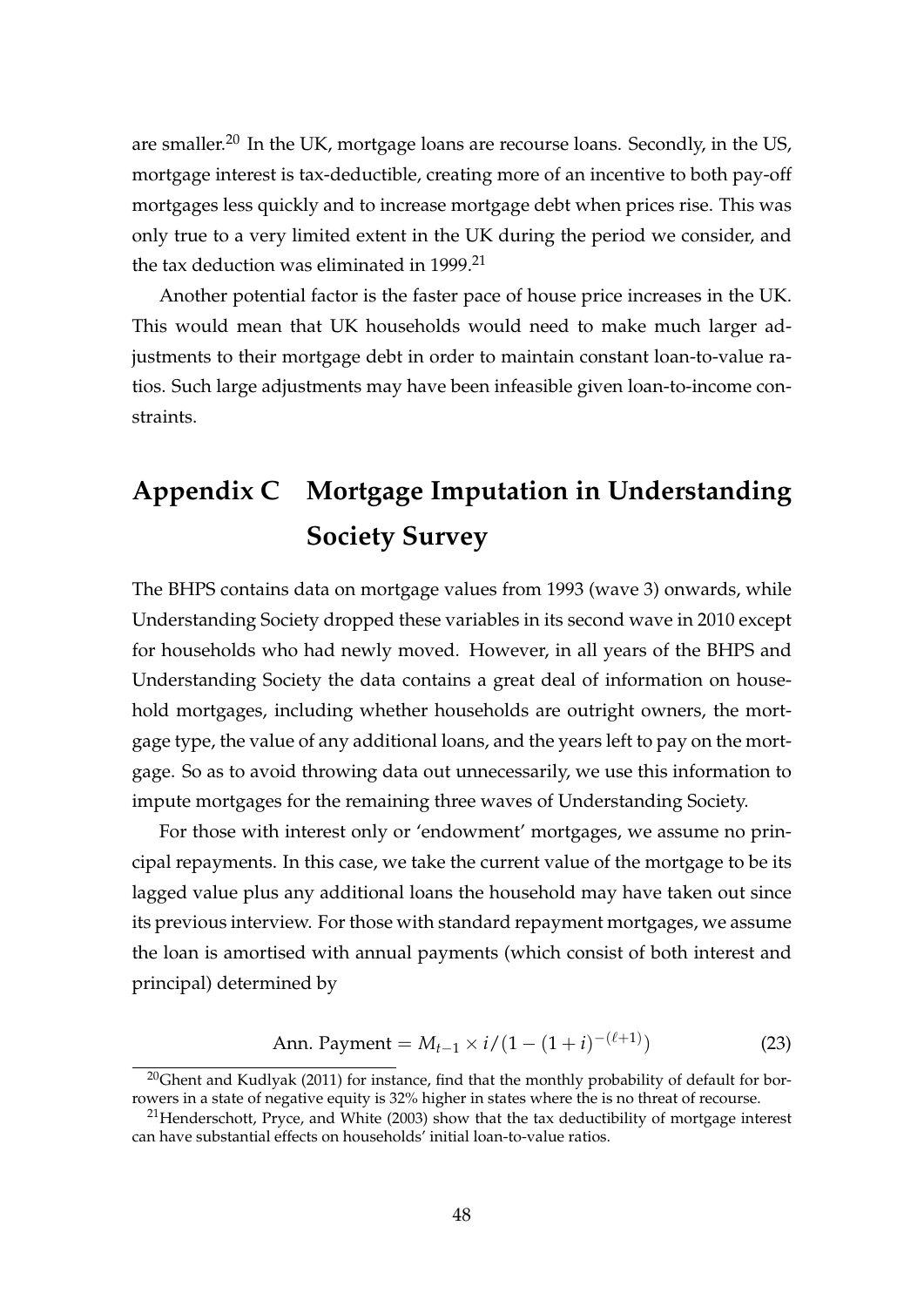are smaller.<sup>20</sup> In the UK, mortgage loans are recourse loans. Secondly, in the US, mortgage interest is tax-deductible, creating more of an incentive to both pay-off mortgages less quickly and to increase mortgage debt when prices rise. This was only true to a very limited extent in the UK during the period we consider, and the tax deduction was eliminated in 1999.<sup>21</sup>

Another potential factor is the faster pace of house price increases in the UK. This would mean that UK households would need to make much larger adjustments to their mortgage debt in order to maintain constant loan-to-value ratios. Such large adjustments may have been infeasible given loan-to-income constraints.

## **Appendix C Mortgage Imputation in Understanding Society Survey**

The BHPS contains data on mortgage values from 1993 (wave 3) onwards, while Understanding Society dropped these variables in its second wave in 2010 except for households who had newly moved. However, in all years of the BHPS and Understanding Society the data contains a great deal of information on household mortgages, including whether households are outright owners, the mortgage type, the value of any additional loans, and the years left to pay on the mortgage. So as to avoid throwing data out unnecessarily, we use this information to impute mortgages for the remaining three waves of Understanding Society.

For those with interest only or 'endowment' mortgages, we assume no principal repayments. In this case, we take the current value of the mortgage to be its lagged value plus any additional loans the household may have taken out since its previous interview. For those with standard repayment mortgages, we assume the loan is amortised with annual payments (which consist of both interest and principal) determined by

Ann. Payment = 
$$
M_{t-1} \times i/(1-(1+i)^{-(\ell+1)})
$$
 (23)

−(`+1)

 $20$ Ghent and Kudlyak (2011) for instance, find that the monthly probability of default for borrowers in a state of negative equity is 32% higher in states where the is no threat of recourse.

 $^{21}$ Henderschott, Pryce, and White (2003) show that the tax deductibility of mortgage interest can have substantial effects on households' initial loan-to-value ratios.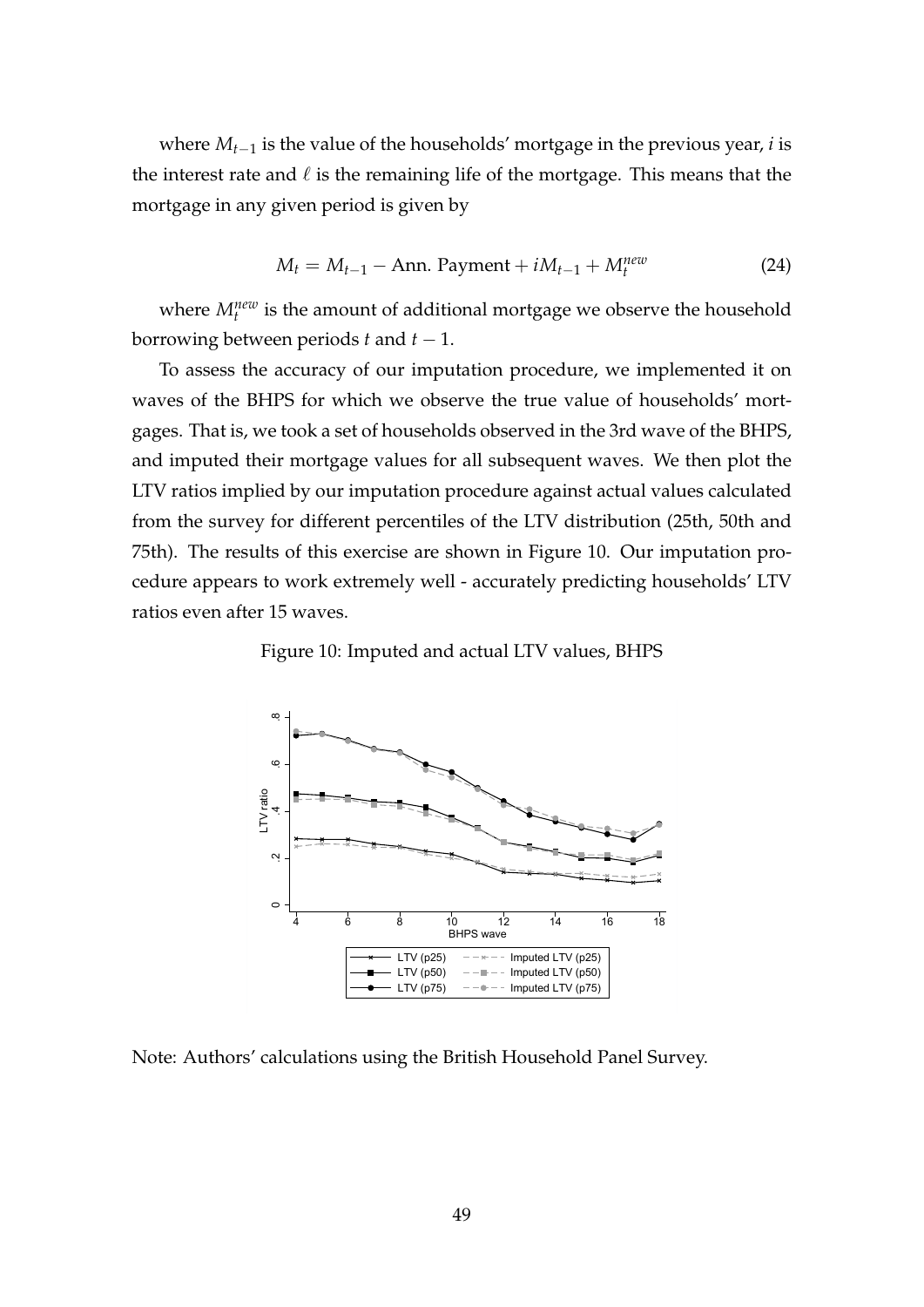where *Mt*−<sup>1</sup> is the value of the households' mortgage in the previous year, *i* is the interest rate and  $\ell$  is the remaining life of the mortgage. This means that the mortgage in any given period is given by

$$
M_t = M_{t-1} - \text{Ann. Payment} + iM_{t-1} + M_t^{new}
$$
\n
$$
(24)
$$

where  $M_t^{new}$  is the amount of additional mortgage we observe the household borrowing between periods  $t$  and  $t - 1$ .

To assess the accuracy of our imputation procedure, we implemented it on waves of the BHPS for which we observe the true value of households' mortgages. That is, we took a set of households observed in the 3rd wave of the BHPS, and imputed their mortgage values for all subsequent waves. We then plot the LTV ratios implied by our imputation procedure against actual values calculated from the survey for different percentiles of the LTV distribution (25th, 50th and 75th). The results of this exercise are shown in Figure 10. Our imputation procedure appears to work extremely well - accurately predicting households' LTV ratios even after 15 waves.

Figure 10: Imputed and actual LTV values, BHPS



Note: Authors' calculations using the British Household Panel Survey.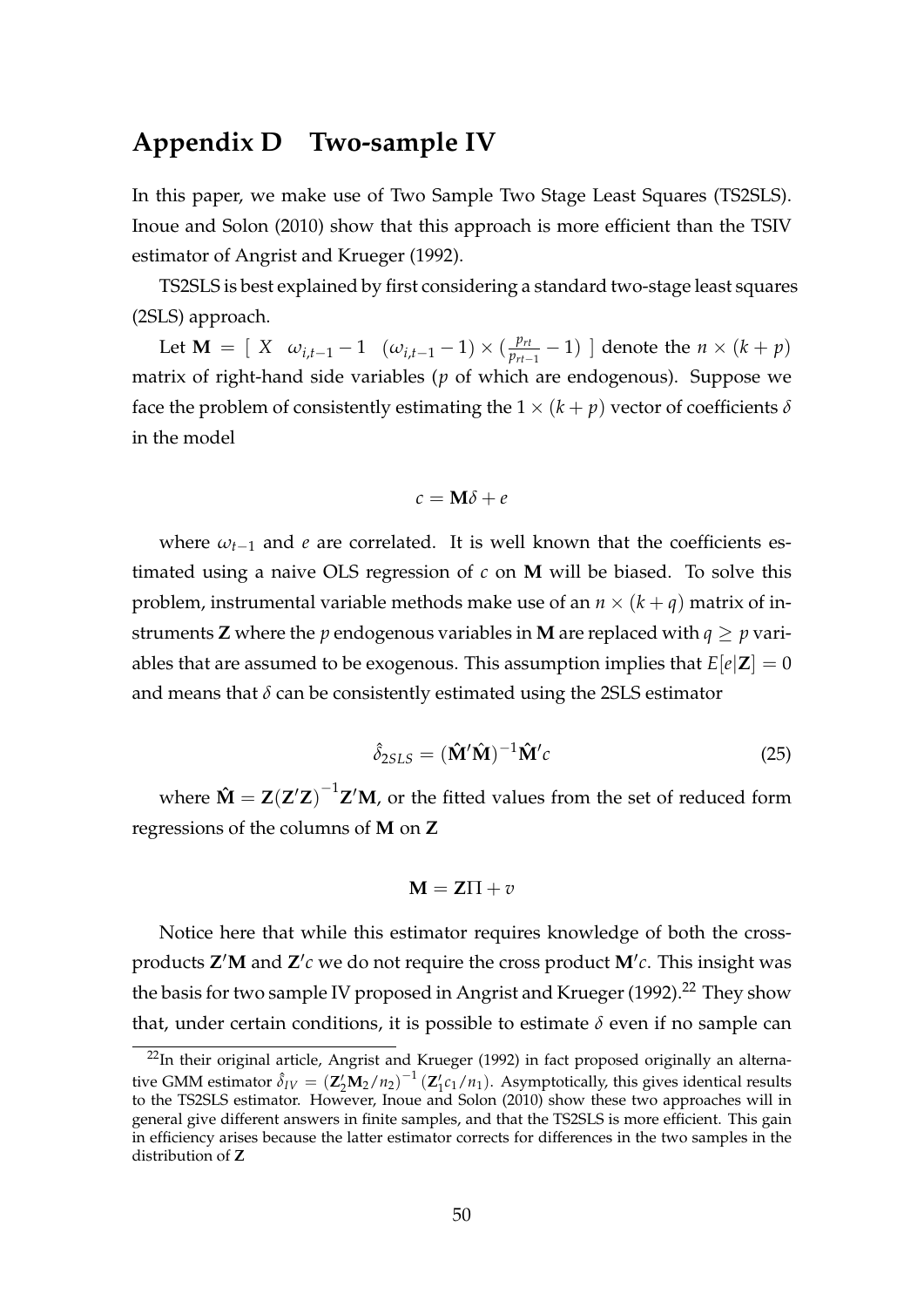## **Appendix D Two-sample IV**

In this paper, we make use of Two Sample Two Stage Least Squares (TS2SLS). Inoue and Solon (2010) show that this approach is more efficient than the TSIV estimator of Angrist and Krueger (1992).

TS2SLS is best explained by first considering a standard two-stage least squares (2SLS) approach.

Let **M** =  $[X \omega_{i,t-1} - 1 \omega_{i,t-1} - 1] \times (\frac{p_{rt}}{p_{rt}})$  $\frac{p_{rt}}{p_{rt-1}}$  − 1) ] denote the *n* × (*k* + *p*) matrix of right-hand side variables (*p* of which are endogenous). Suppose we face the problem of consistently estimating the  $1 \times (k+p)$  vector of coefficients  $\delta$ in the model

$$
c = \mathbf{M}\delta + e
$$

where  $\omega_{t-1}$  and *e* are correlated. It is well known that the coefficients estimated using a naive OLS regression of *c* on **M** will be biased. To solve this problem, instrumental variable methods make use of an  $n \times (k + q)$  matrix of instruments **Z** where the *p* endogenous variables in **M** are replaced with  $q \geq p$  variables that are assumed to be exogenous. This assumption implies that  $E[e|Z] = 0$ and means that  $\delta$  can be consistently estimated using the 2SLS estimator

$$
\hat{\delta}_{2SLS} = (\hat{\mathbf{M}}'\hat{\mathbf{M}})^{-1}\hat{\mathbf{M}}'c
$$
\n(25)

where  $\mathbf{\hat{M}} = \mathbf{Z}(\mathbf{Z}'\mathbf{Z})^{-1}\mathbf{Z}'\mathbf{M}$ , or the fitted values from the set of reduced form regressions of the columns of **M** on **Z**

$$
M = Z\Pi + v
$$

Notice here that while this estimator requires knowledge of both the crossproducts **Z'M** and **Z'**c we do not require the cross product **M'**c. This insight was the basis for two sample IV proposed in Angrist and Krueger (1992).<sup>22</sup> They show that, under certain conditions, it is possible to estimate  $\delta$  even if no sample can

<sup>&</sup>lt;sup>22</sup>In their original article, Angrist and Krueger (1992) in fact proposed originally an alternative GMM estimator  $\hat{\delta}_{IV} = (\mathbf{Z}_2' \mathbf{M}_2/n_2)^{-1} (\mathbf{Z}_1' c_1/n_1)$ . Asymptotically, this gives identical results to the TS2SLS estimator. However, Inoue and Solon (2010) show these two approaches will in general give different answers in finite samples, and that the TS2SLS is more efficient. This gain in efficiency arises because the latter estimator corrects for differences in the two samples in the distribution of **Z**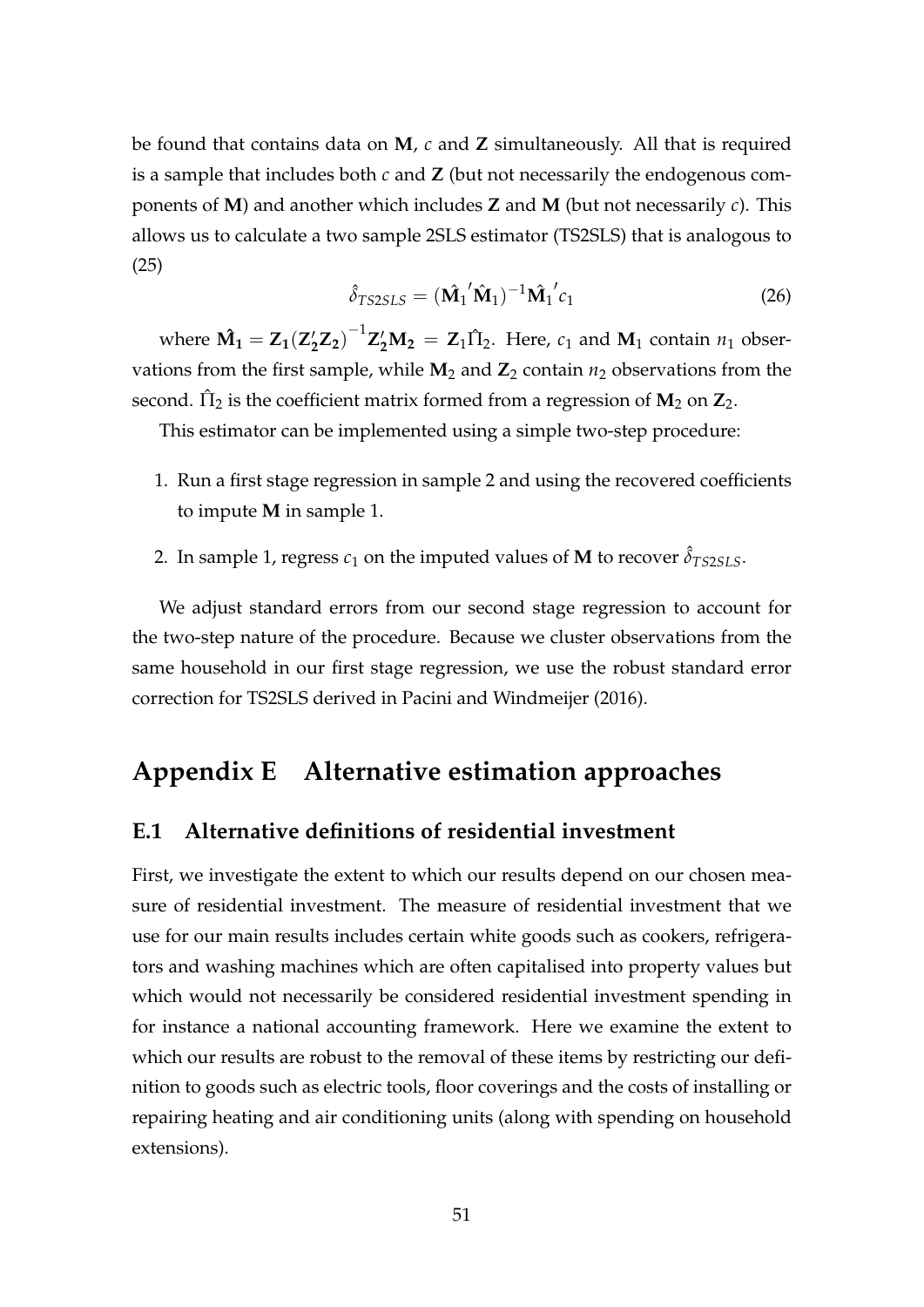be found that contains data on **M**, *c* and **Z** simultaneously. All that is required is a sample that includes both *c* and **Z** (but not necessarily the endogenous components of **M**) and another which includes **Z** and **M** (but not necessarily *c*). This allows us to calculate a two sample 2SLS estimator (TS2SLS) that is analogous to (25)

$$
\hat{\delta}_{TS2SLS} = (\hat{\mathbf{M}}_1' \hat{\mathbf{M}}_1)^{-1} \hat{\mathbf{M}}_1' c_1
$$
\n(26)

where  $\hat{\mathbf{M}}_1 = \mathbf{Z}_1 (\mathbf{Z}_2' \mathbf{Z}_2)^{-1} \mathbf{Z}_2' \mathbf{M}_2 = \mathbf{Z}_1 \hat{\Pi}_2$ . Here,  $c_1$  and  $\mathbf{M}_1$  contain  $n_1$  observations from the first sample, while  $M_2$  and  $Z_2$  contain  $n_2$  observations from the second.  $\hat{\Pi}_2$  is the coefficient matrix formed from a regression of  $\mathbf{M}_2$  on  $\mathbf{Z}_2$ .

This estimator can be implemented using a simple two-step procedure:

- 1. Run a first stage regression in sample 2 and using the recovered coefficients to impute **M** in sample 1.
- 2. In sample 1, regress  $c_1$  on the imputed values of **M** to recover  $\hat{\delta}_{TS2SLS}$ .

We adjust standard errors from our second stage regression to account for the two-step nature of the procedure. Because we cluster observations from the same household in our first stage regression, we use the robust standard error correction for TS2SLS derived in Pacini and Windmeijer (2016).

## **Appendix E Alternative estimation approaches**

#### **E.1 Alternative definitions of residential investment**

First, we investigate the extent to which our results depend on our chosen measure of residential investment. The measure of residential investment that we use for our main results includes certain white goods such as cookers, refrigerators and washing machines which are often capitalised into property values but which would not necessarily be considered residential investment spending in for instance a national accounting framework. Here we examine the extent to which our results are robust to the removal of these items by restricting our definition to goods such as electric tools, floor coverings and the costs of installing or repairing heating and air conditioning units (along with spending on household extensions).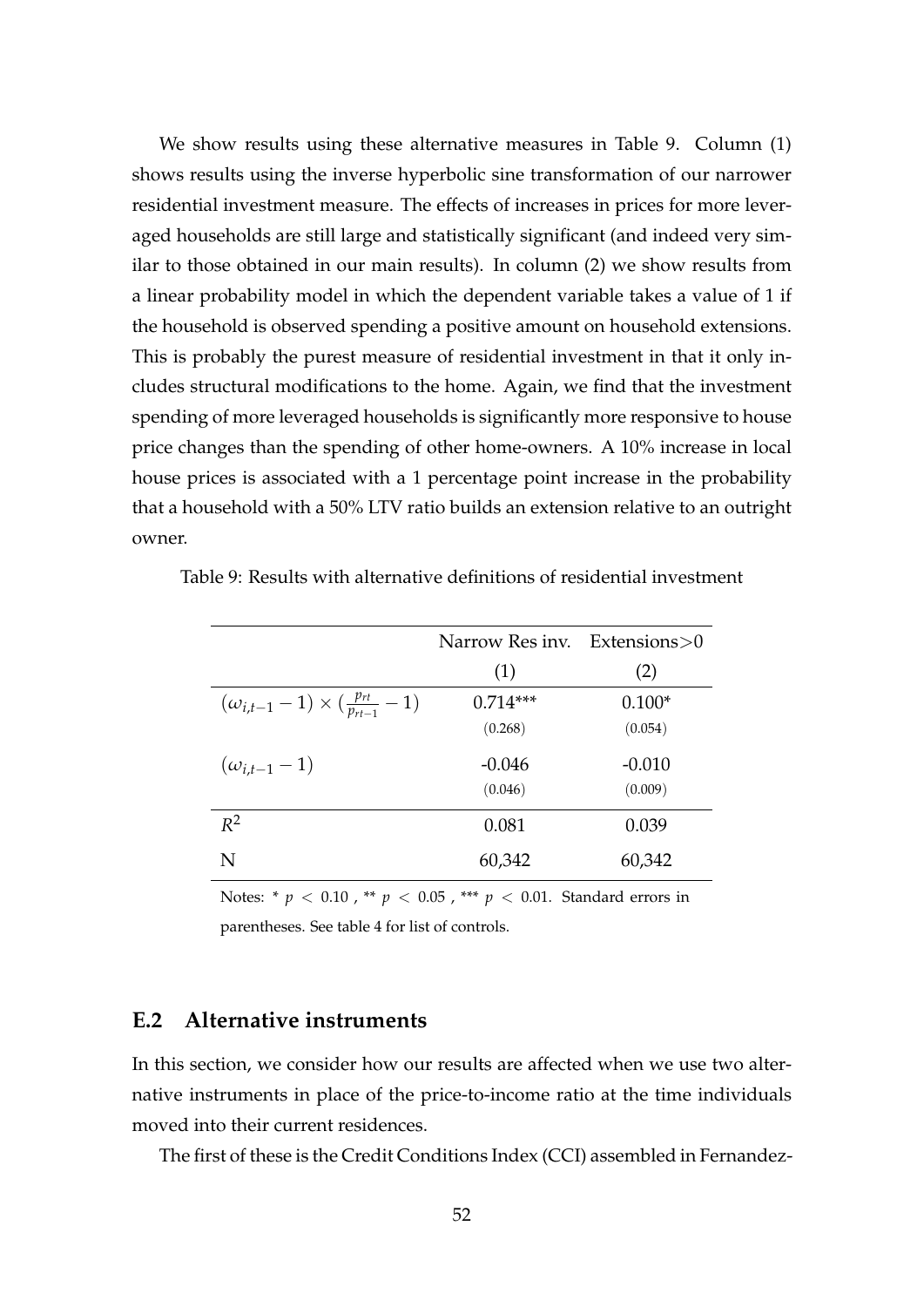We show results using these alternative measures in Table 9. Column (1) shows results using the inverse hyperbolic sine transformation of our narrower residential investment measure. The effects of increases in prices for more leveraged households are still large and statistically significant (and indeed very similar to those obtained in our main results). In column (2) we show results from a linear probability model in which the dependent variable takes a value of 1 if the household is observed spending a positive amount on household extensions. This is probably the purest measure of residential investment in that it only includes structural modifications to the home. Again, we find that the investment spending of more leveraged households is significantly more responsive to house price changes than the spending of other home-owners. A 10% increase in local house prices is associated with a 1 percentage point increase in the probability that a household with a 50% LTV ratio builds an extension relative to an outright owner.

|                                                         | Narrow Res inv. | Extensions $>0$ |
|---------------------------------------------------------|-----------------|-----------------|
|                                                         | (1)             | (2)             |
| $(\omega_{i,t-1}-1) \times (\frac{p_{rt}}{p_{rt-1}}-1)$ | $0.714***$      | $0.100*$        |
|                                                         | (0.268)         | (0.054)         |
| $(\omega_{i,t-1}-1)$                                    | $-0.046$        | $-0.010$        |
|                                                         | (0.046)         | (0.009)         |
| $R^2$                                                   | 0.081           | 0.039           |
| N                                                       | 60,342          | 60,342          |

Table 9: Results with alternative definitions of residential investment

Notes: \* *p* < 0.10 , \*\* *p* < 0.05 , \*\*\* *p* < 0.01. Standard errors in parentheses. See table 4 for list of controls.

#### **E.2 Alternative instruments**

In this section, we consider how our results are affected when we use two alternative instruments in place of the price-to-income ratio at the time individuals moved into their current residences.

The first of these is the Credit Conditions Index (CCI) assembled in Fernandez-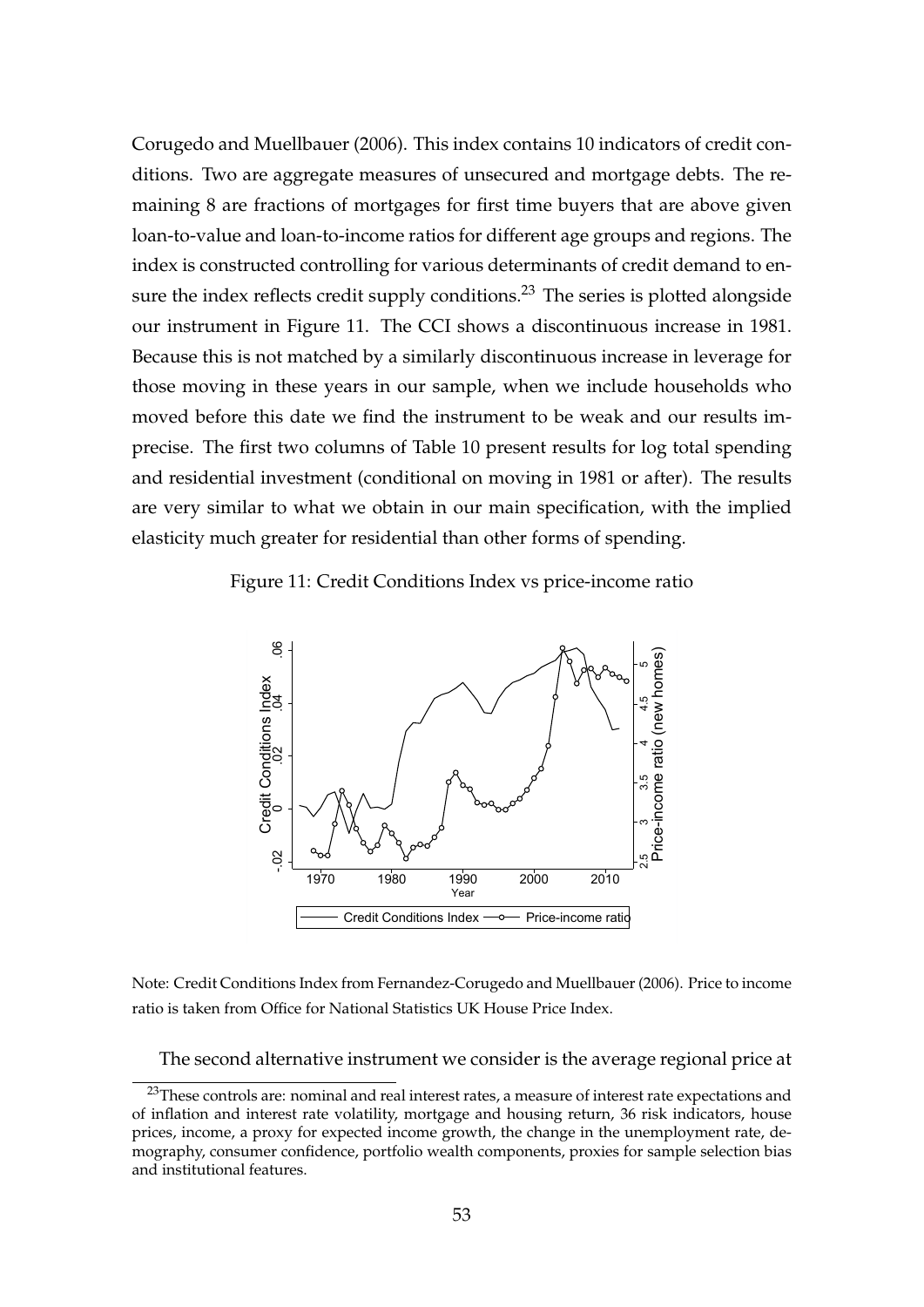Corugedo and Muellbauer (2006). This index contains 10 indicators of credit conditions. Two are aggregate measures of unsecured and mortgage debts. The remaining 8 are fractions of mortgages for first time buyers that are above given loan-to-value and loan-to-income ratios for different age groups and regions. The index is constructed controlling for various determinants of credit demand to ensure the index reflects credit supply conditions.<sup>23</sup> The series is plotted alongside our instrument in Figure 11. The CCI shows a discontinuous increase in 1981. Because this is not matched by a similarly discontinuous increase in leverage for those moving in these years in our sample, when we include households who moved before this date we find the instrument to be weak and our results imprecise. The first two columns of Table 10 present results for log total spending and residential investment (conditional on moving in 1981 or after). The results are very similar to what we obtain in our main specification, with the implied elasticity much greater for residential than other forms of spending.

Figure 11: Credit Conditions Index vs price-income ratio



Note: Credit Conditions Index from Fernandez-Corugedo and Muellbauer (2006). Price to income ratio is taken from Office for National Statistics UK House Price Index.

The second alternative instrument we consider is the average regional price at

<sup>&</sup>lt;sup>23</sup>These controls are: nominal and real interest rates, a measure of interest rate expectations and of inflation and interest rate volatility, mortgage and housing return, 36 risk indicators, house prices, income, a proxy for expected income growth, the change in the unemployment rate, demography, consumer confidence, portfolio wealth components, proxies for sample selection bias and institutional features.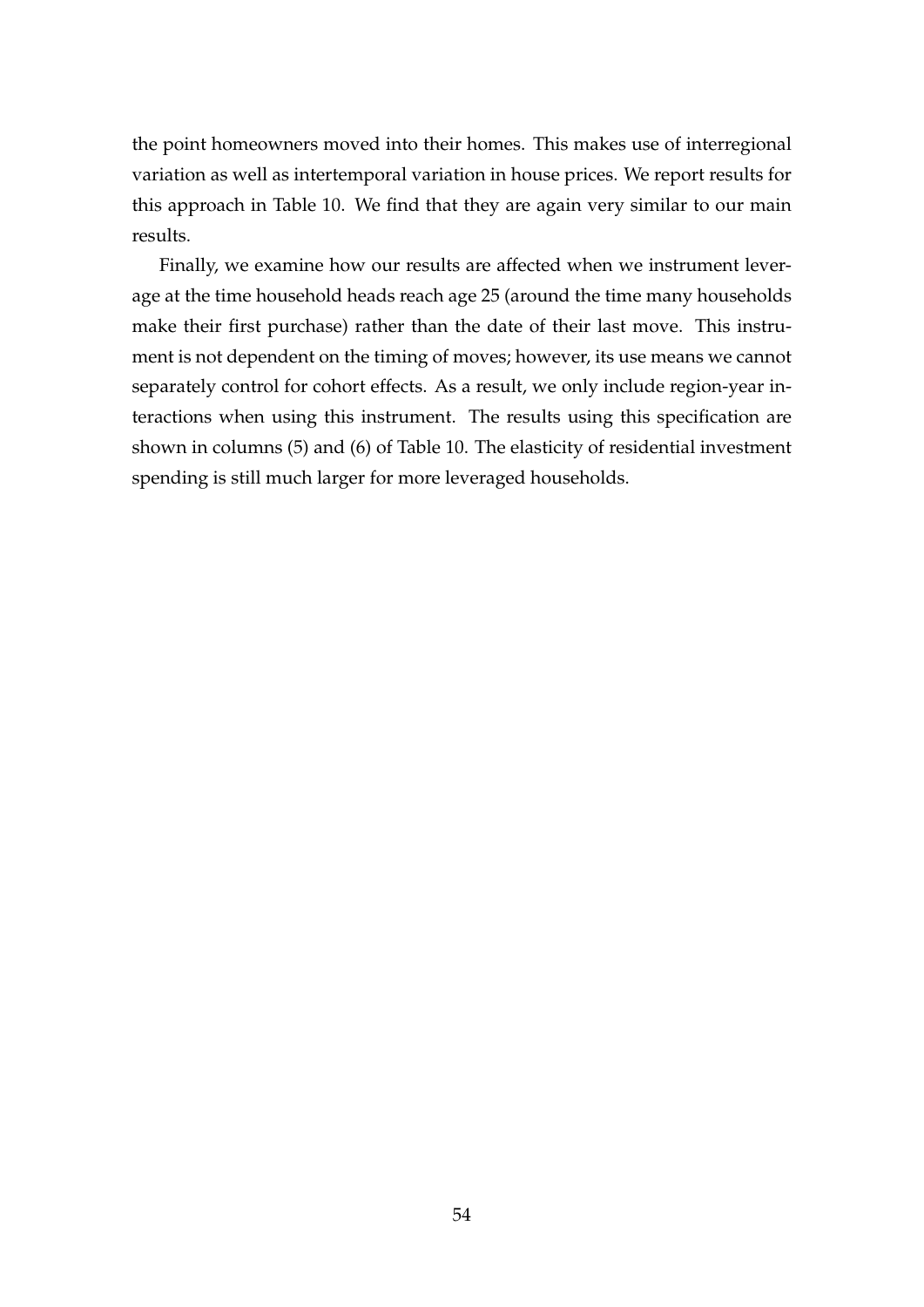the point homeowners moved into their homes. This makes use of interregional variation as well as intertemporal variation in house prices. We report results for this approach in Table 10. We find that they are again very similar to our main results.

Finally, we examine how our results are affected when we instrument leverage at the time household heads reach age 25 (around the time many households make their first purchase) rather than the date of their last move. This instrument is not dependent on the timing of moves; however, its use means we cannot separately control for cohort effects. As a result, we only include region-year interactions when using this instrument. The results using this specification are shown in columns (5) and (6) of Table 10. The elasticity of residential investment spending is still much larger for more leveraged households.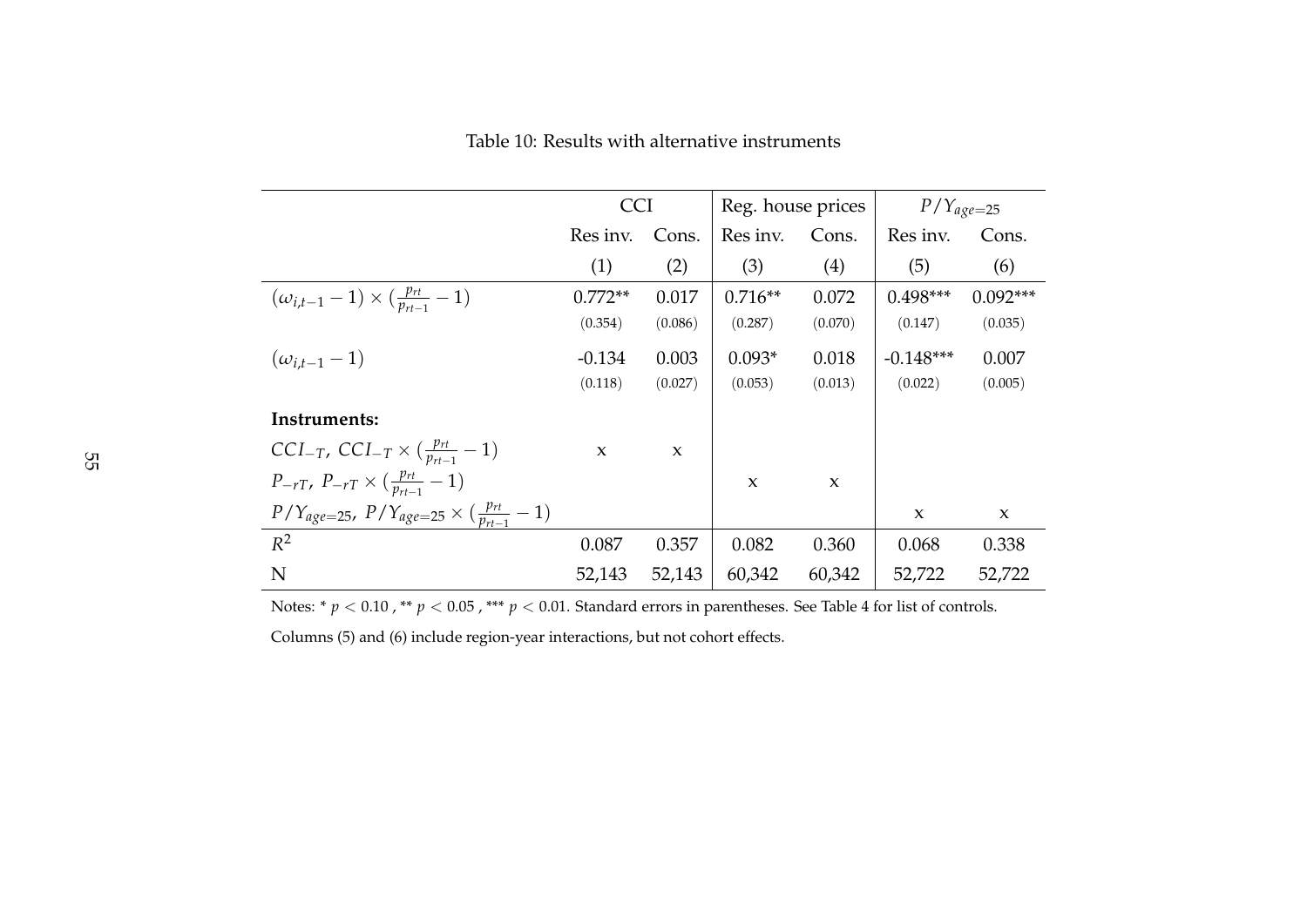Table 10: Results with alternative instruments

|                                                                  | <b>CCI</b>   |         | Reg. house prices |                     | $P/Y_{age=25}$ |              |
|------------------------------------------------------------------|--------------|---------|-------------------|---------------------|----------------|--------------|
|                                                                  | Res inv.     | Cons.   | Res inv.          | Cons.               | Res inv.       | Cons.        |
|                                                                  | (1)          | (2)     | (3)               | (4)                 | (5)            | (6)          |
| $(\omega_{i,t-1}-1) \times (\frac{p_{rt}}{p_{rt-1}}-1)$          | $0.772**$    | 0.017   | $0.716**$         | 0.072               | $0.498***$     | $0.092***$   |
|                                                                  | (0.354)      | (0.086) | (0.287)           | (0.070)             | (0.147)        | (0.035)      |
| $(\omega_{i,t-1}-1)$                                             | $-0.134$     | 0.003   | $0.093*$          | 0.018               | $-0.148***$    | 0.007        |
|                                                                  | (0.118)      | (0.027) | (0.053)           | (0.013)             | (0.022)        | (0.005)      |
| Instruments:                                                     |              |         |                   |                     |                |              |
| $CCI_{-T}$ , $CCI_{-T} \times (\frac{p_{rt}}{p_{rt-1}} - 1)$     | $\mathbf{x}$ | X       |                   |                     |                |              |
| $P_{-rT}$ , $P_{-rT} \times (\frac{p_{rt}}{p_{rt-1}} - 1)$       |              |         | $\mathbf{x}$      | $\boldsymbol{\chi}$ |                |              |
| $P/Y_{age=25}$ , $P/Y_{age=25} \times (\frac{p_{rt}}{p_{rt}-1})$ |              |         |                   |                     | X              | $\mathbf{x}$ |
| $R^2$                                                            | 0.087        | 0.357   | 0.082             | 0.360               | 0.068          | 0.338        |
| N                                                                | 52,143       | 52,143  | 60,342            | 60,342              | 52,722         | 52,722       |

Notes: \*  $p < 0.10$  , \*\*  $p < 0.05$  , \*\*\*  $p < 0.01$ . Standard errors in parentheses. See Table 4 for list of controls.

Columns (5) and (6) include region-year interactions, but not cohort effects.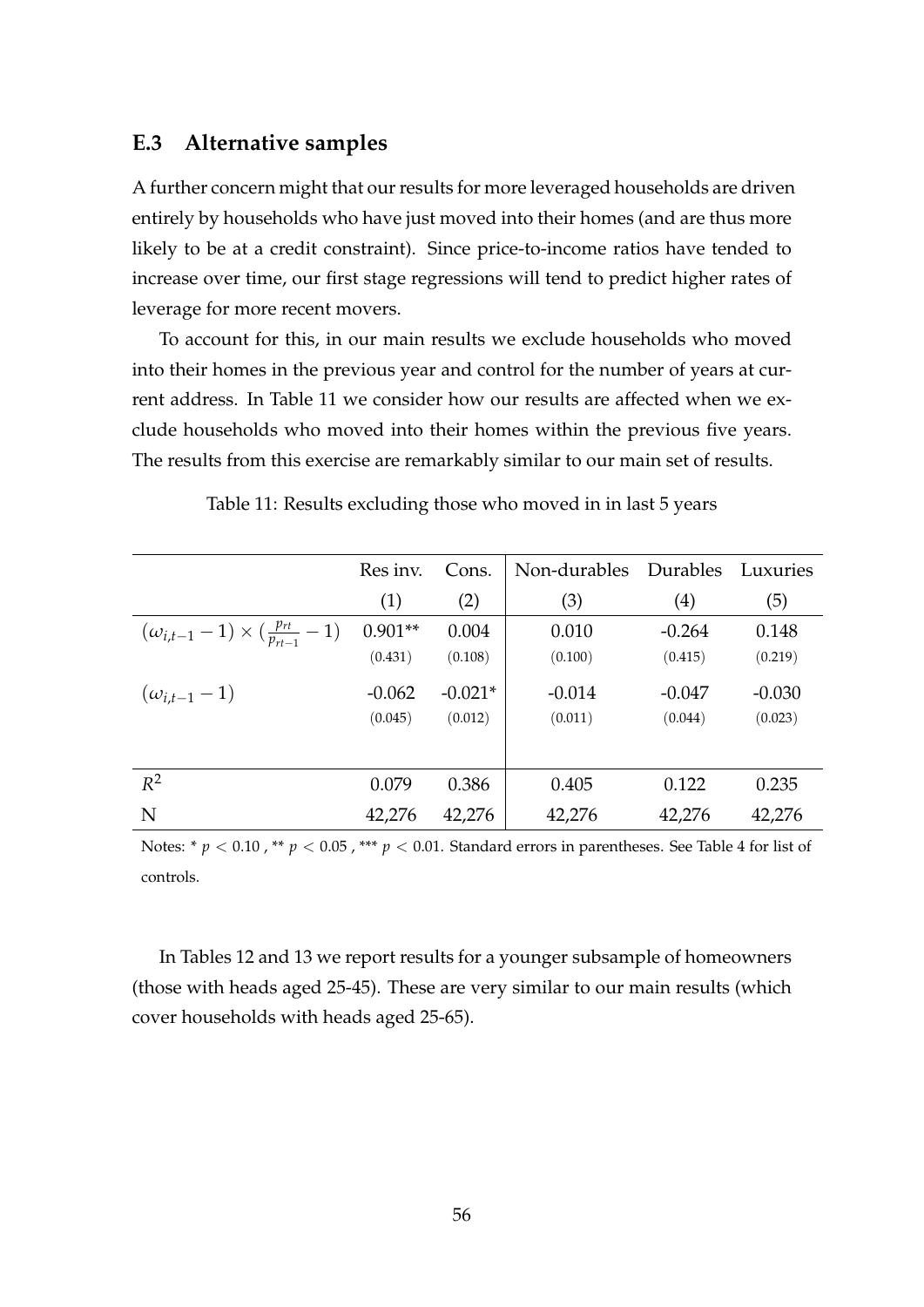#### **E.3 Alternative samples**

A further concern might that our results for more leveraged households are driven entirely by households who have just moved into their homes (and are thus more likely to be at a credit constraint). Since price-to-income ratios have tended to increase over time, our first stage regressions will tend to predict higher rates of leverage for more recent movers.

To account for this, in our main results we exclude households who moved into their homes in the previous year and control for the number of years at current address. In Table 11 we consider how our results are affected when we exclude households who moved into their homes within the previous five years. The results from this exercise are remarkably similar to our main set of results.

|                                                         | Res inv.  | Cons.     | Non-durables | Durables | Luxuries |
|---------------------------------------------------------|-----------|-----------|--------------|----------|----------|
|                                                         | (1)       | (2)       | (3)          | (4)      | (5)      |
| $(\omega_{i,t-1}-1) \times (\frac{p_{rt}}{p_{rt-1}}-1)$ | $0.901**$ | 0.004     | 0.010        | $-0.264$ | 0.148    |
|                                                         | (0.431)   | (0.108)   | (0.100)      | (0.415)  | (0.219)  |
| $(\omega_{i,t-1}-1)$                                    | $-0.062$  | $-0.021*$ | $-0.014$     | -0.047   | $-0.030$ |
|                                                         | (0.045)   | (0.012)   | (0.011)      | (0.044)  | (0.023)  |
|                                                         |           |           |              |          |          |
| $R^2$                                                   | 0.079     | 0.386     | 0.405        | 0.122    | 0.235    |
| N                                                       | 42,276    | 42,276    | 42,276       | 42,276   | 42,276   |

Table 11: Results excluding those who moved in in last 5 years

Notes: \* *p* < 0.10, \*\* *p* < 0.05, \*\*\* *p* < 0.01. Standard errors in parentheses. See Table 4 for list of controls.

In Tables 12 and 13 we report results for a younger subsample of homeowners (those with heads aged 25-45). These are very similar to our main results (which cover households with heads aged 25-65).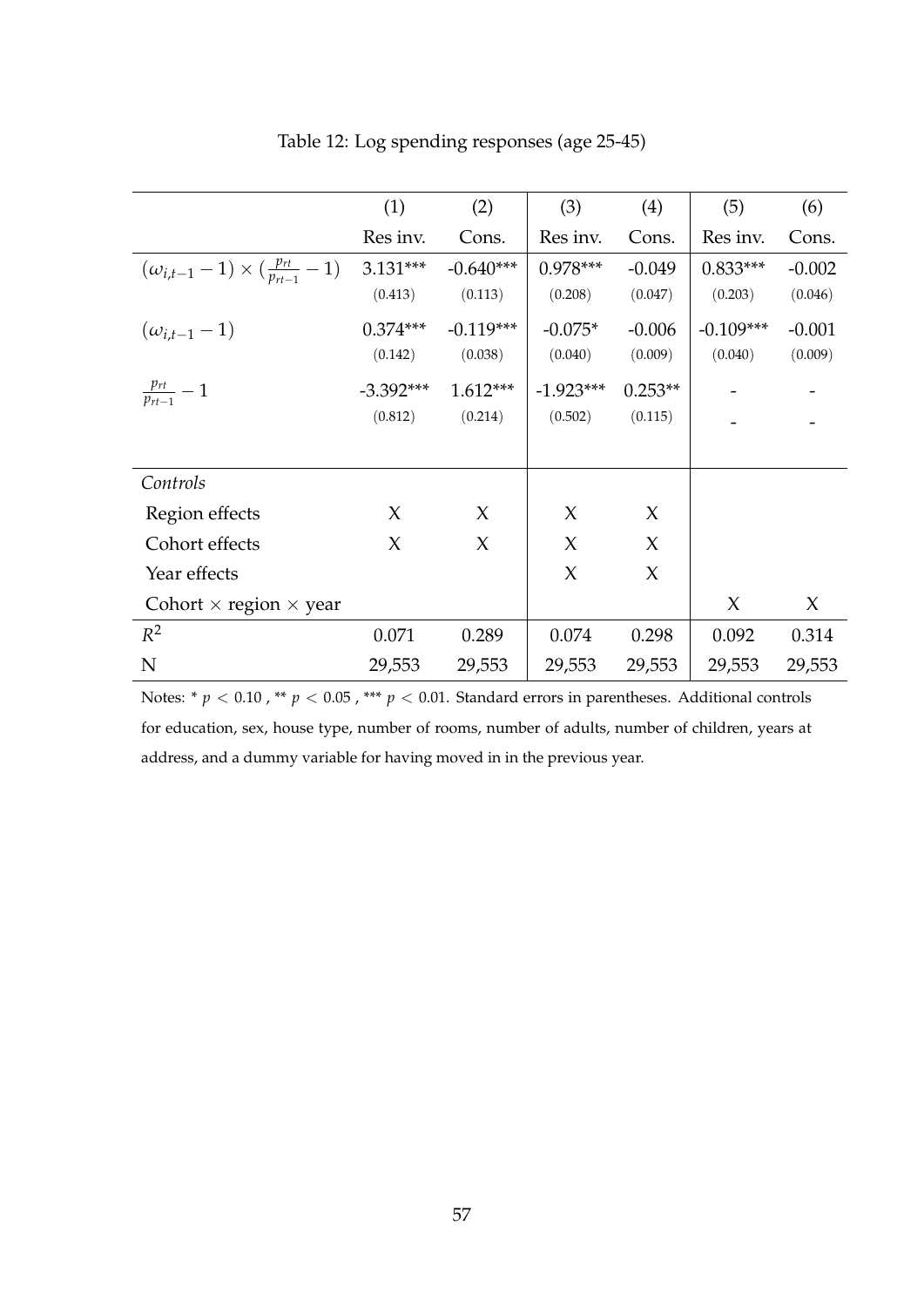|                                                         | (1)         | (2)         | (3)         | (4)       | (5)         | (6)      |
|---------------------------------------------------------|-------------|-------------|-------------|-----------|-------------|----------|
|                                                         | Res inv.    | Cons.       | Res inv.    | Cons.     | Res inv.    | Cons.    |
| $(\omega_{i,t-1}-1) \times (\frac{p_{rt}}{p_{rt-1}}-1)$ | $3.131***$  | $-0.640***$ | $0.978***$  | $-0.049$  | $0.833***$  | $-0.002$ |
|                                                         | (0.413)     | (0.113)     | (0.208)     | (0.047)   | (0.203)     | (0.046)  |
| $(\omega_{i,t-1}-1)$                                    | $0.374***$  | $-0.119***$ | $-0.075*$   | $-0.006$  | $-0.109***$ | $-0.001$ |
|                                                         | (0.142)     | (0.038)     | (0.040)     | (0.009)   | (0.040)     | (0.009)  |
| $\frac{p_{rt}}{p_{rt-1}}-1$                             | $-3.392***$ | $1.612***$  | $-1.923***$ | $0.253**$ |             |          |
|                                                         | (0.812)     | (0.214)     | (0.502)     | (0.115)   |             |          |
|                                                         |             |             |             |           |             |          |
| Controls                                                |             |             |             |           |             |          |
| Region effects                                          | $\chi$      | X           | $\chi$      | $\chi$    |             |          |
| Cohort effects                                          | $\chi$      | $\chi$      | $\chi$      | $\chi$    |             |          |
| Year effects                                            |             |             | X           | $\chi$    |             |          |
| Cohort $\times$ region $\times$ year                    |             |             |             |           | $\chi$      | X        |
| $R^2$                                                   | 0.071       | 0.289       | 0.074       | 0.298     | 0.092       | 0.314    |
| N                                                       | 29,553      | 29,553      | 29,553      | 29,553    | 29,553      | 29,553   |

Table 12: Log spending responses (age 25-45)

Notes: \* *p* < 0.10 , \*\* *p* < 0.05 , \*\*\* *p* < 0.01. Standard errors in parentheses. Additional controls for education, sex, house type, number of rooms, number of adults, number of children, years at address, and a dummy variable for having moved in in the previous year.